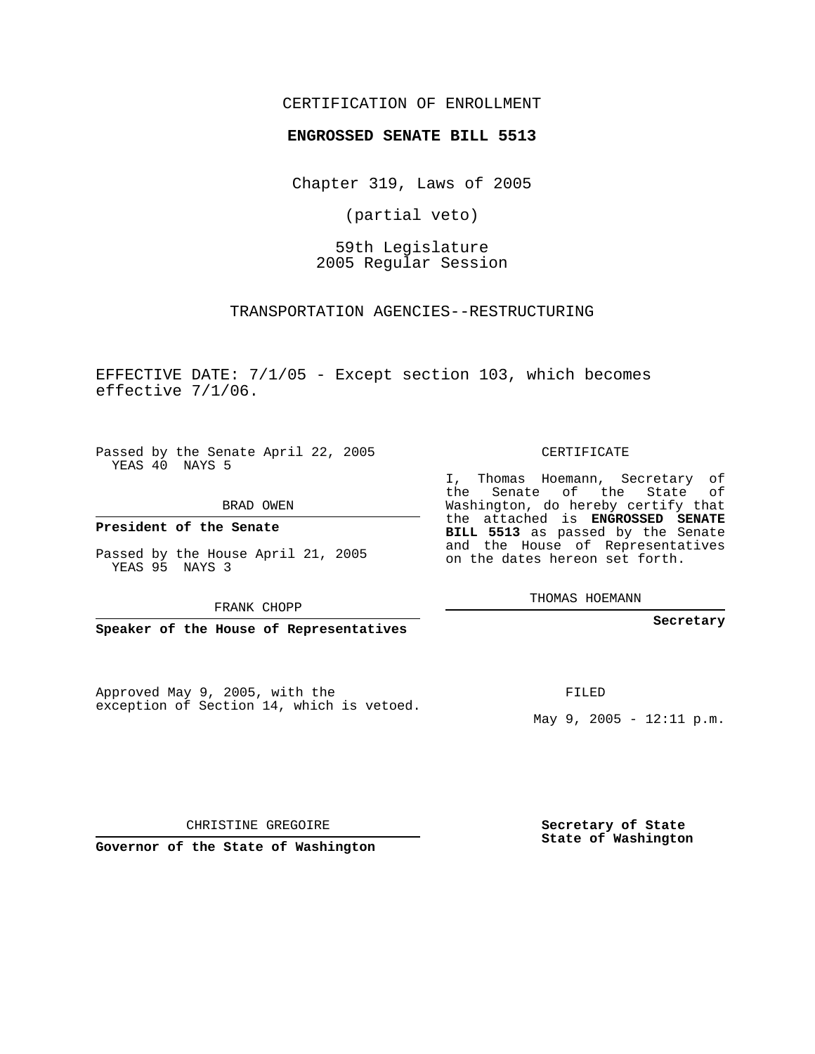### CERTIFICATION OF ENROLLMENT

#### **ENGROSSED SENATE BILL 5513**

Chapter 319, Laws of 2005

(partial veto)

59th Legislature 2005 Regular Session

TRANSPORTATION AGENCIES--RESTRUCTURING

EFFECTIVE DATE: 7/1/05 - Except section 103, which becomes effective 7/1/06.

Passed by the Senate April 22, 2005 YEAS 40 NAYS 5

BRAD OWEN

**President of the Senate**

Passed by the House April 21, 2005 YEAS 95 NAYS 3

FRANK CHOPP

**Speaker of the House of Representatives**

Approved May 9, 2005, with the exception of Section 14, which is vetoed. CERTIFICATE

I, Thomas Hoemann, Secretary of the Senate of the State of Washington, do hereby certify that the attached is **ENGROSSED SENATE BILL 5513** as passed by the Senate and the House of Representatives on the dates hereon set forth.

THOMAS HOEMANN

**Secretary**

FILED

May 9, 2005 -  $12:11 \text{ p.m.}$ 

**Secretary of State State of Washington**

CHRISTINE GREGOIRE

**Governor of the State of Washington**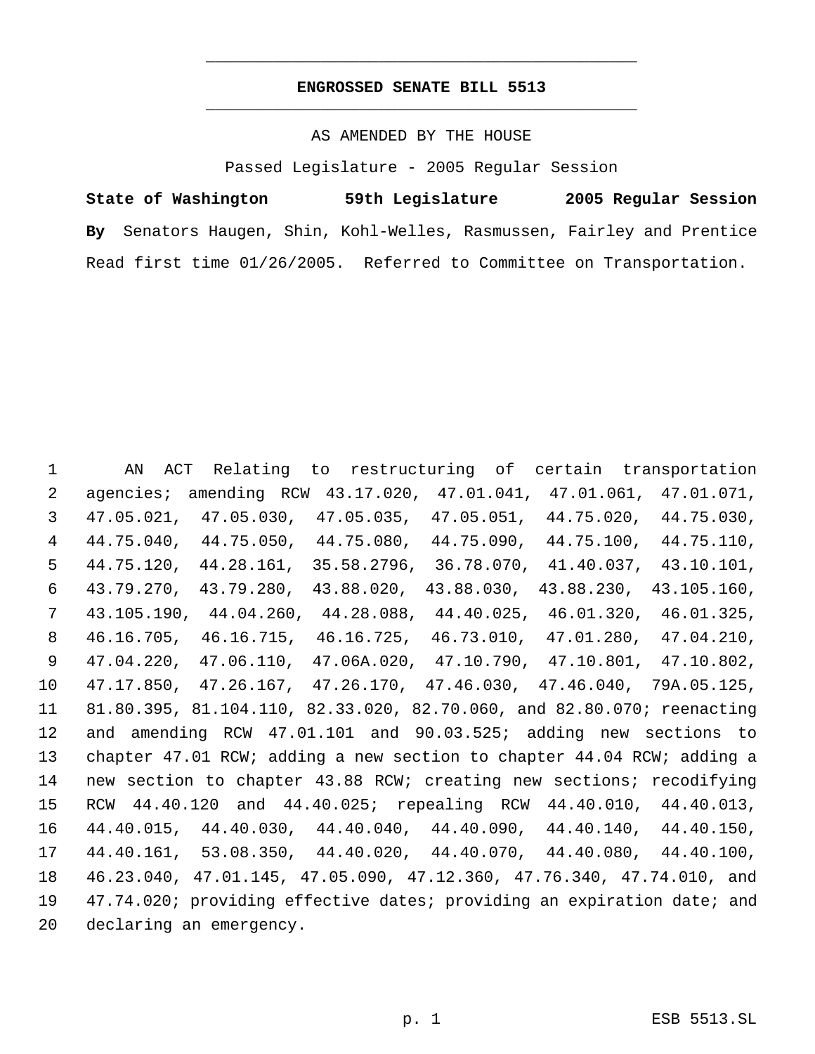# **ENGROSSED SENATE BILL 5513** \_\_\_\_\_\_\_\_\_\_\_\_\_\_\_\_\_\_\_\_\_\_\_\_\_\_\_\_\_\_\_\_\_\_\_\_\_\_\_\_\_\_\_\_\_

\_\_\_\_\_\_\_\_\_\_\_\_\_\_\_\_\_\_\_\_\_\_\_\_\_\_\_\_\_\_\_\_\_\_\_\_\_\_\_\_\_\_\_\_\_

### AS AMENDED BY THE HOUSE

Passed Legislature - 2005 Regular Session

**State of Washington 59th Legislature 2005 Regular Session By** Senators Haugen, Shin, Kohl-Welles, Rasmussen, Fairley and Prentice Read first time 01/26/2005. Referred to Committee on Transportation.

 AN ACT Relating to restructuring of certain transportation agencies; amending RCW 43.17.020, 47.01.041, 47.01.061, 47.01.071, 47.05.021, 47.05.030, 47.05.035, 47.05.051, 44.75.020, 44.75.030, 44.75.040, 44.75.050, 44.75.080, 44.75.090, 44.75.100, 44.75.110, 44.75.120, 44.28.161, 35.58.2796, 36.78.070, 41.40.037, 43.10.101, 43.79.270, 43.79.280, 43.88.020, 43.88.030, 43.88.230, 43.105.160, 43.105.190, 44.04.260, 44.28.088, 44.40.025, 46.01.320, 46.01.325, 46.16.705, 46.16.715, 46.16.725, 46.73.010, 47.01.280, 47.04.210, 47.04.220, 47.06.110, 47.06A.020, 47.10.790, 47.10.801, 47.10.802, 47.17.850, 47.26.167, 47.26.170, 47.46.030, 47.46.040, 79A.05.125, 81.80.395, 81.104.110, 82.33.020, 82.70.060, and 82.80.070; reenacting and amending RCW 47.01.101 and 90.03.525; adding new sections to chapter 47.01 RCW; adding a new section to chapter 44.04 RCW; adding a new section to chapter 43.88 RCW; creating new sections; recodifying RCW 44.40.120 and 44.40.025; repealing RCW 44.40.010, 44.40.013, 44.40.015, 44.40.030, 44.40.040, 44.40.090, 44.40.140, 44.40.150, 44.40.161, 53.08.350, 44.40.020, 44.40.070, 44.40.080, 44.40.100, 46.23.040, 47.01.145, 47.05.090, 47.12.360, 47.76.340, 47.74.010, and 47.74.020; providing effective dates; providing an expiration date; and declaring an emergency.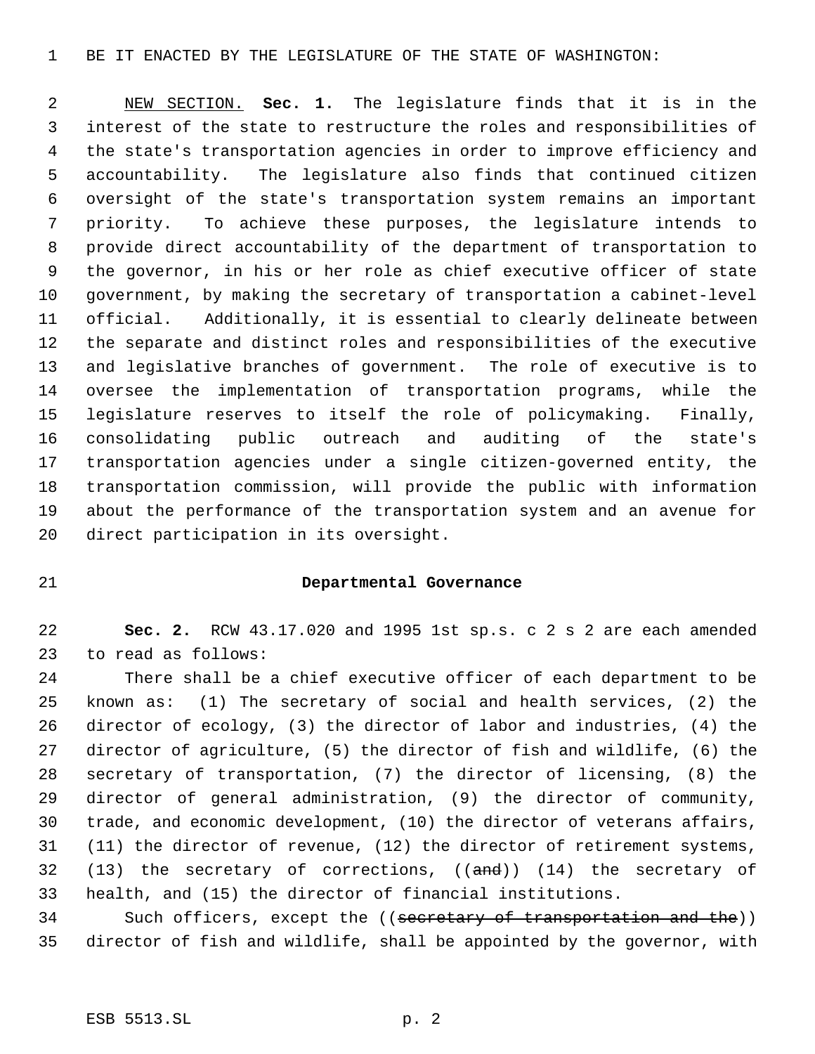#### BE IT ENACTED BY THE LEGISLATURE OF THE STATE OF WASHINGTON:

 NEW SECTION. **Sec. 1.** The legislature finds that it is in the interest of the state to restructure the roles and responsibilities of the state's transportation agencies in order to improve efficiency and accountability. The legislature also finds that continued citizen oversight of the state's transportation system remains an important priority. To achieve these purposes, the legislature intends to provide direct accountability of the department of transportation to the governor, in his or her role as chief executive officer of state government, by making the secretary of transportation a cabinet-level official. Additionally, it is essential to clearly delineate between the separate and distinct roles and responsibilities of the executive and legislative branches of government. The role of executive is to oversee the implementation of transportation programs, while the legislature reserves to itself the role of policymaking. Finally, consolidating public outreach and auditing of the state's transportation agencies under a single citizen-governed entity, the transportation commission, will provide the public with information about the performance of the transportation system and an avenue for direct participation in its oversight.

## **Departmental Governance**

 **Sec. 2.** RCW 43.17.020 and 1995 1st sp.s. c 2 s 2 are each amended to read as follows:

 There shall be a chief executive officer of each department to be known as: (1) The secretary of social and health services, (2) the director of ecology, (3) the director of labor and industries, (4) the director of agriculture, (5) the director of fish and wildlife, (6) the secretary of transportation, (7) the director of licensing, (8) the director of general administration, (9) the director of community, trade, and economic development, (10) the director of veterans affairs, (11) the director of revenue, (12) the director of retirement systems, 32 (13) the secretary of corrections,  $((and))$  (14) the secretary of health, and (15) the director of financial institutions.

34 Such officers, except the ((secretary of transportation and the)) director of fish and wildlife, shall be appointed by the governor, with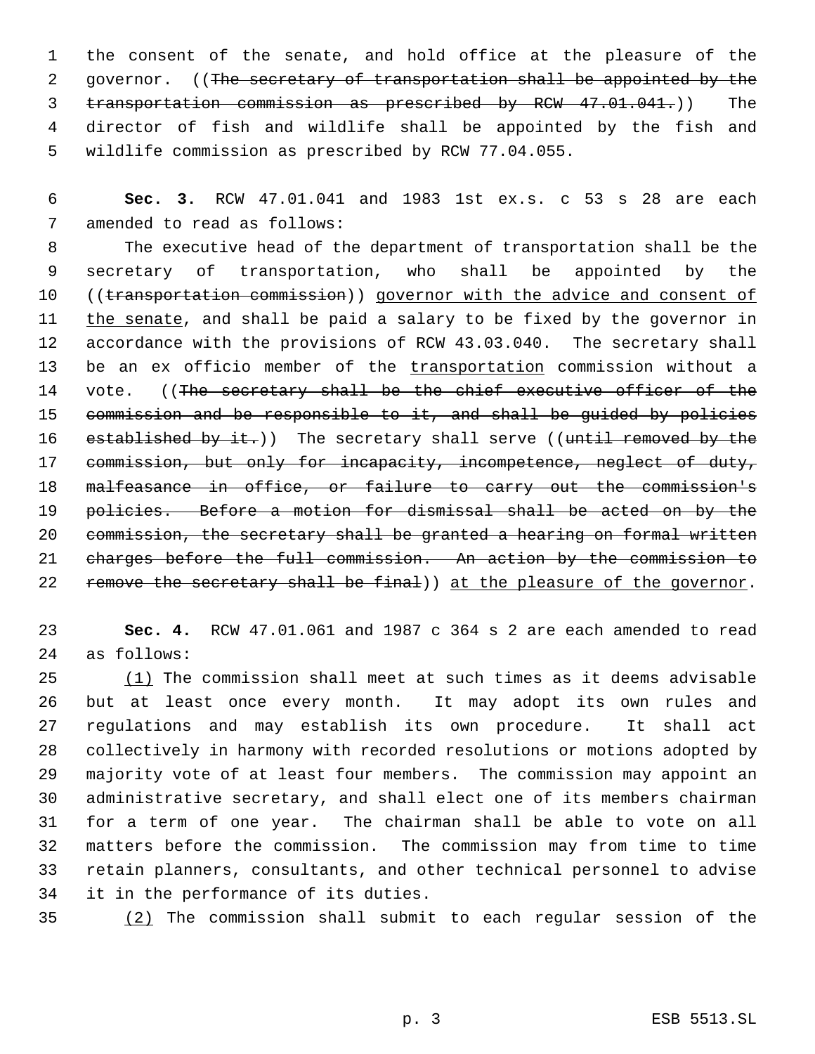the consent of the senate, and hold office at the pleasure of the 2 governor. ((The secretary of transportation shall be appointed by the transportation commission as prescribed by RCW 47.01.041.)) The director of fish and wildlife shall be appointed by the fish and wildlife commission as prescribed by RCW 77.04.055.

 **Sec. 3.** RCW 47.01.041 and 1983 1st ex.s. c 53 s 28 are each amended to read as follows:

 The executive head of the department of transportation shall be the secretary of transportation, who shall be appointed by the 10 ((transportation commission)) governor with the advice and consent of 11 the senate, and shall be paid a salary to be fixed by the governor in accordance with the provisions of RCW 43.03.040. The secretary shall 13 be an ex officio member of the transportation commission without a 14 vote. ((The secretary shall be the chief executive officer of the 15 commission and be responsible to it, and shall be guided by policies 16 established by it.)) The secretary shall serve ((until removed by the commission, but only for incapacity, incompetence, neglect of duty, malfeasance in office, or failure to carry out the commission's 19 policies. Before a motion for dismissal shall be acted on by the commission, the secretary shall be granted a hearing on formal written charges before the full commission. An action by the commission to 22 remove the secretary shall be final)) at the pleasure of the governor.

 **Sec. 4.** RCW 47.01.061 and 1987 c 364 s 2 are each amended to read as follows:

 $(1)$  The commission shall meet at such times as it deems advisable but at least once every month. It may adopt its own rules and regulations and may establish its own procedure. It shall act collectively in harmony with recorded resolutions or motions adopted by majority vote of at least four members. The commission may appoint an administrative secretary, and shall elect one of its members chairman for a term of one year. The chairman shall be able to vote on all matters before the commission. The commission may from time to time retain planners, consultants, and other technical personnel to advise it in the performance of its duties.

(2) The commission shall submit to each regular session of the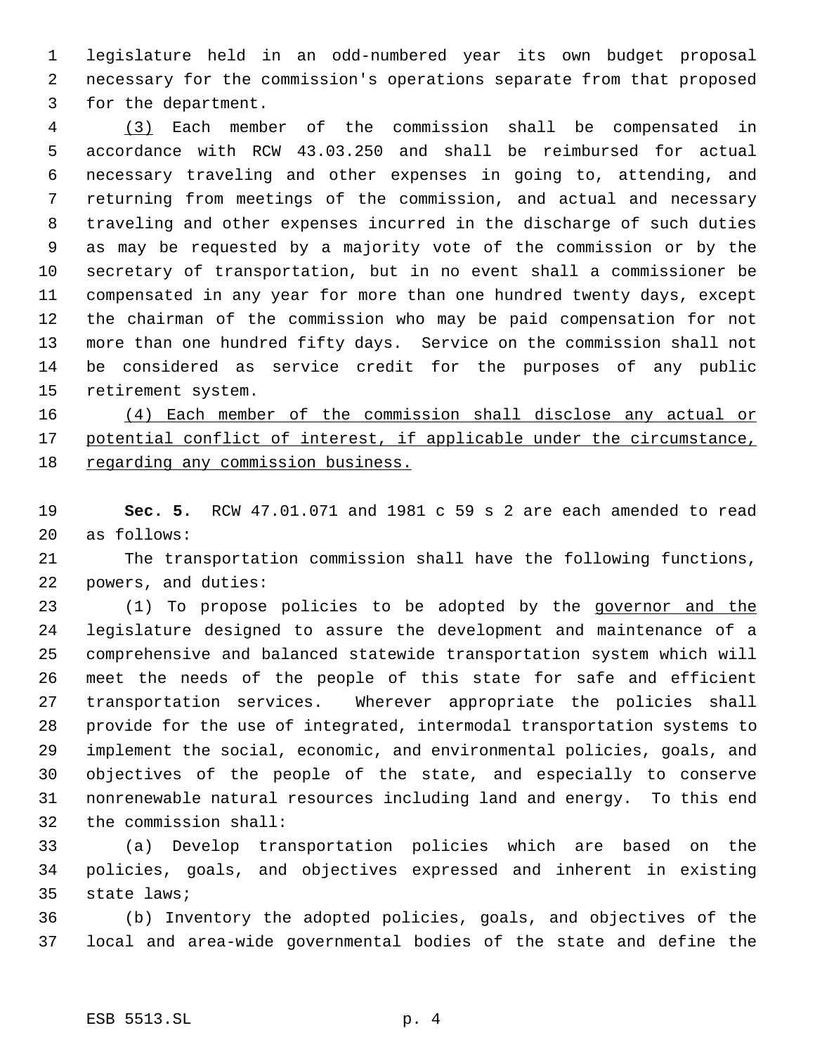legislature held in an odd-numbered year its own budget proposal necessary for the commission's operations separate from that proposed for the department.

 (3) Each member of the commission shall be compensated in accordance with RCW 43.03.250 and shall be reimbursed for actual necessary traveling and other expenses in going to, attending, and returning from meetings of the commission, and actual and necessary traveling and other expenses incurred in the discharge of such duties as may be requested by a majority vote of the commission or by the secretary of transportation, but in no event shall a commissioner be compensated in any year for more than one hundred twenty days, except the chairman of the commission who may be paid compensation for not more than one hundred fifty days. Service on the commission shall not be considered as service credit for the purposes of any public retirement system.

 (4) Each member of the commission shall disclose any actual or 17 potential conflict of interest, if applicable under the circumstance, regarding any commission business.

 **Sec. 5.** RCW 47.01.071 and 1981 c 59 s 2 are each amended to read as follows:

 The transportation commission shall have the following functions, powers, and duties:

 (1) To propose policies to be adopted by the governor and the legislature designed to assure the development and maintenance of a comprehensive and balanced statewide transportation system which will meet the needs of the people of this state for safe and efficient transportation services. Wherever appropriate the policies shall provide for the use of integrated, intermodal transportation systems to implement the social, economic, and environmental policies, goals, and objectives of the people of the state, and especially to conserve nonrenewable natural resources including land and energy. To this end the commission shall:

 (a) Develop transportation policies which are based on the policies, goals, and objectives expressed and inherent in existing state laws;

 (b) Inventory the adopted policies, goals, and objectives of the local and area-wide governmental bodies of the state and define the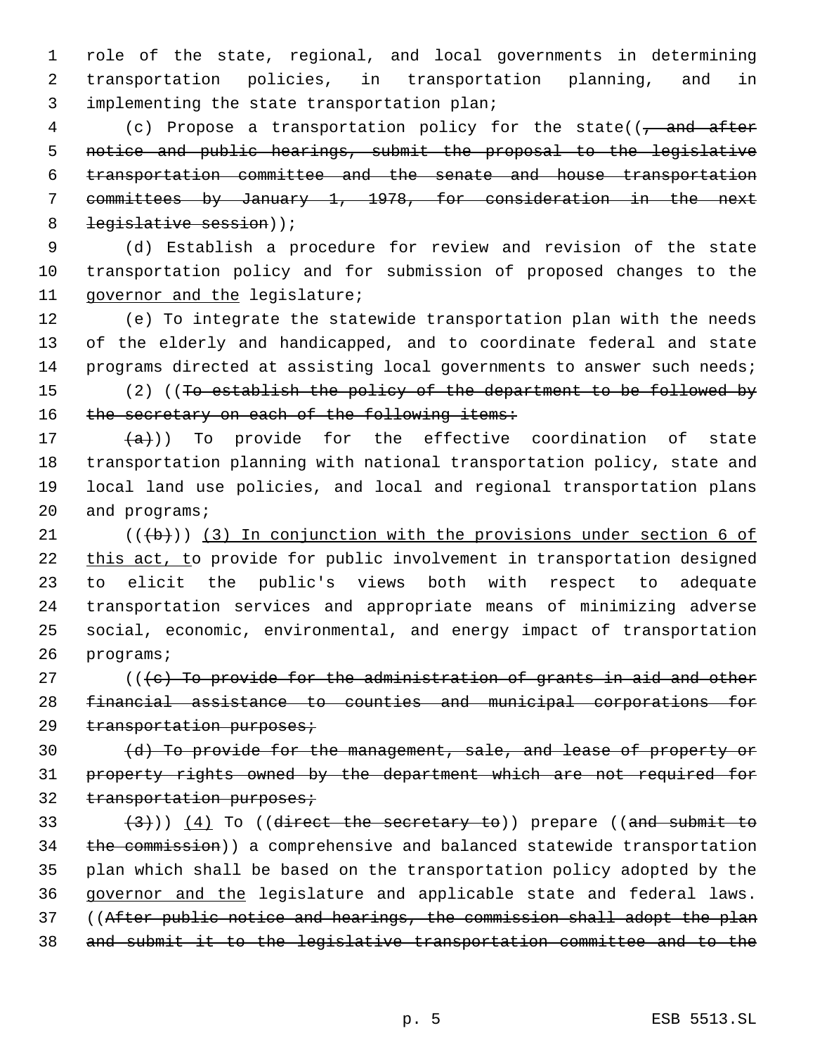role of the state, regional, and local governments in determining transportation policies, in transportation planning, and in implementing the state transportation plan;

4 (c) Propose a transportation policy for the state(( $\frac{1}{1}$  and after notice and public hearings, submit the proposal to the legislative transportation committee and the senate and house transportation committees by January 1, 1978, for consideration in the next 8 legislative session));

 (d) Establish a procedure for review and revision of the state transportation policy and for submission of proposed changes to the governor and the legislature;

 (e) To integrate the statewide transportation plan with the needs of the elderly and handicapped, and to coordinate federal and state programs directed at assisting local governments to answer such needs;

 (2) ((To establish the policy of the department to be followed by 16 the secretary on each of the following items:

 $(a)$ )) To provide for the effective coordination of state transportation planning with national transportation policy, state and local land use policies, and local and regional transportation plans and programs;

 $((\lbrace b \rbrace))$  (3) In conjunction with the provisions under section 6 of 22 this act, to provide for public involvement in transportation designed to elicit the public's views both with respect to adequate transportation services and appropriate means of minimizing adverse social, economic, environmental, and energy impact of transportation programs;

 $($   $($   $\langle$   $\epsilon$   $\rangle$  To provide for the administration of grants in aid and other financial assistance to counties and municipal corporations for 29 transportation purposes;

 (d) To provide for the management, sale, and lease of property or property rights owned by the department which are not required for 32 transportation purposes;

 $(33 \t+3)$ ) (4) To ((direct the secretary to)) prepare ((and submit to 34 the commission)) a comprehensive and balanced statewide transportation plan which shall be based on the transportation policy adopted by the governor and the legislature and applicable state and federal laws. ((After public notice and hearings, the commission shall adopt the plan and submit it to the legislative transportation committee and to the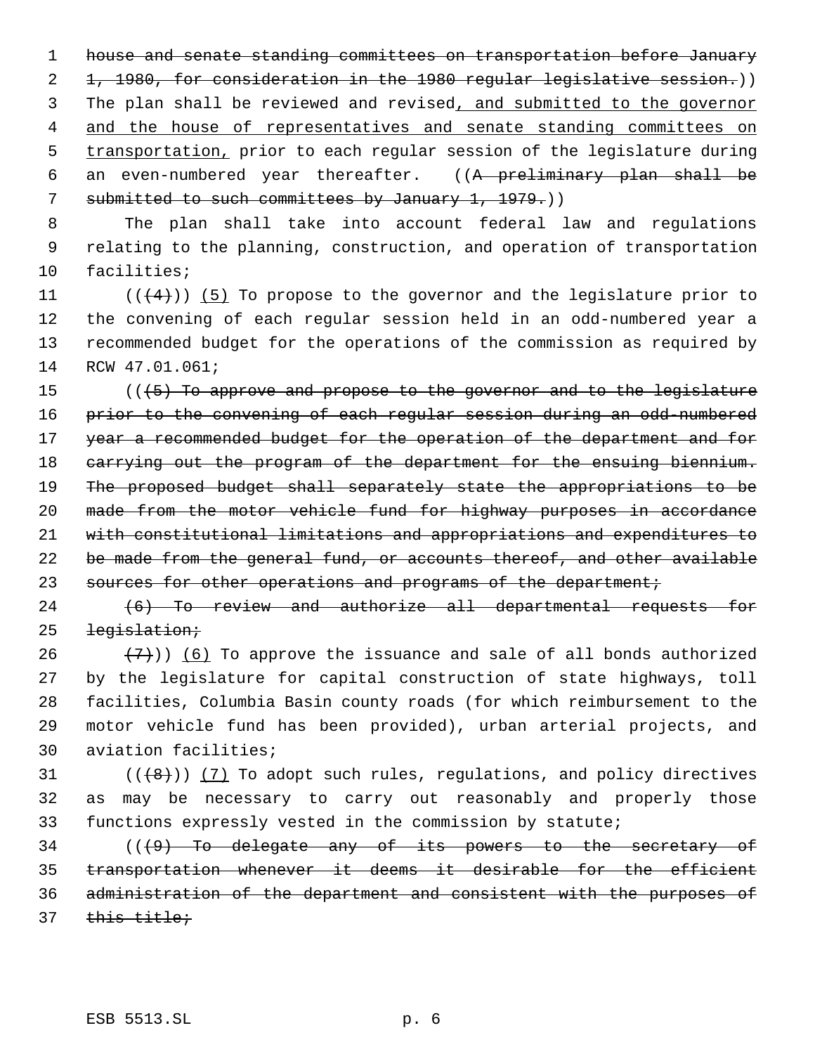1 house and senate standing committees on transportation before January 2 1, 1980, for consideration in the 1980 regular legislative session.)) 3 The plan shall be reviewed and revised, and submitted to the governor 4 and the house of representatives and senate standing committees on 5 transportation, prior to each regular session of the legislature during 6 an even-numbered year thereafter. ((A preliminary plan shall be 7 submitted to such committees by January 1, 1979.)

 8 The plan shall take into account federal law and regulations 9 relating to the planning, construction, and operation of transportation 10 facilities;

 $((4+))$  (5) To propose to the governor and the legislature prior to the convening of each regular session held in an odd-numbered year a recommended budget for the operations of the commission as required by RCW 47.01.061;

15 (((5) To approve and propose to the governor and to the legislature 16 prior to the convening of each regular session during an odd-numbered 17 year a recommended budget for the operation of the department and for 18 carrying out the program of the department for the ensuing biennium. 19 The proposed budget shall separately state the appropriations to be 20 made from the motor vehicle fund for highway purposes in accordance 21 with constitutional limitations and appropriations and expenditures to 22 be made from the general fund, or accounts thereof, and other available 23 sources for other operations and programs of the department;

24 (6) To review and authorize all departmental requests for 25 legislation;

 $(7)$ )) (6) To approve the issuance and sale of all bonds authorized by the legislature for capital construction of state highways, toll facilities, Columbia Basin county roads (for which reimbursement to the motor vehicle fund has been provided), urban arterial projects, and aviation facilities;

31  $((\{8\})$   $(7)$  To adopt such rules, regulations, and policy directives 32 as may be necessary to carry out reasonably and properly those 33 functions expressly vested in the commission by statute;

34 (((9) To delegate any of its powers to the secretary of 35 transportation whenever it deems it desirable for the efficient 36 administration of the department and consistent with the purposes of 37 this title;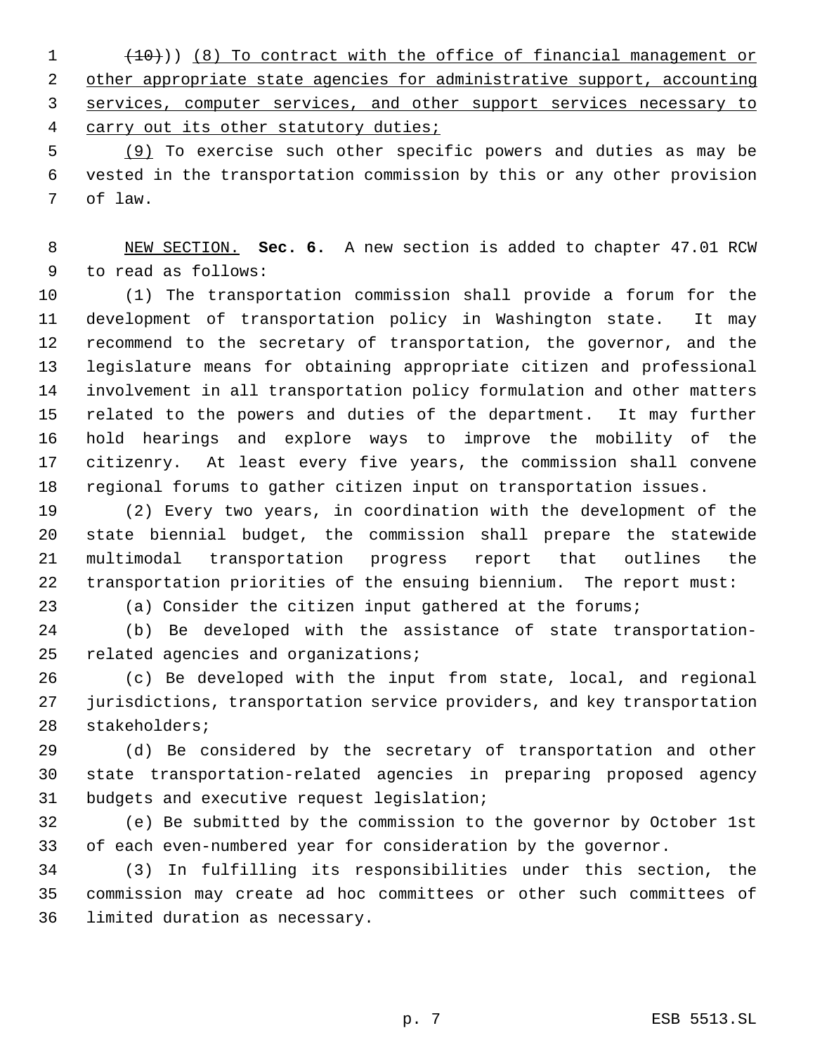(10))) (8) To contract with the office of financial management or 2 other appropriate state agencies for administrative support, accounting services, computer services, and other support services necessary to carry out its other statutory duties;

 (9) To exercise such other specific powers and duties as may be vested in the transportation commission by this or any other provision of law.

 NEW SECTION. **Sec. 6.** A new section is added to chapter 47.01 RCW to read as follows:

 (1) The transportation commission shall provide a forum for the development of transportation policy in Washington state. It may recommend to the secretary of transportation, the governor, and the legislature means for obtaining appropriate citizen and professional involvement in all transportation policy formulation and other matters related to the powers and duties of the department. It may further hold hearings and explore ways to improve the mobility of the citizenry. At least every five years, the commission shall convene regional forums to gather citizen input on transportation issues.

 (2) Every two years, in coordination with the development of the state biennial budget, the commission shall prepare the statewide multimodal transportation progress report that outlines the transportation priorities of the ensuing biennium. The report must:

(a) Consider the citizen input gathered at the forums;

 (b) Be developed with the assistance of state transportation-related agencies and organizations;

 (c) Be developed with the input from state, local, and regional jurisdictions, transportation service providers, and key transportation stakeholders;

 (d) Be considered by the secretary of transportation and other state transportation-related agencies in preparing proposed agency budgets and executive request legislation;

 (e) Be submitted by the commission to the governor by October 1st of each even-numbered year for consideration by the governor.

 (3) In fulfilling its responsibilities under this section, the commission may create ad hoc committees or other such committees of limited duration as necessary.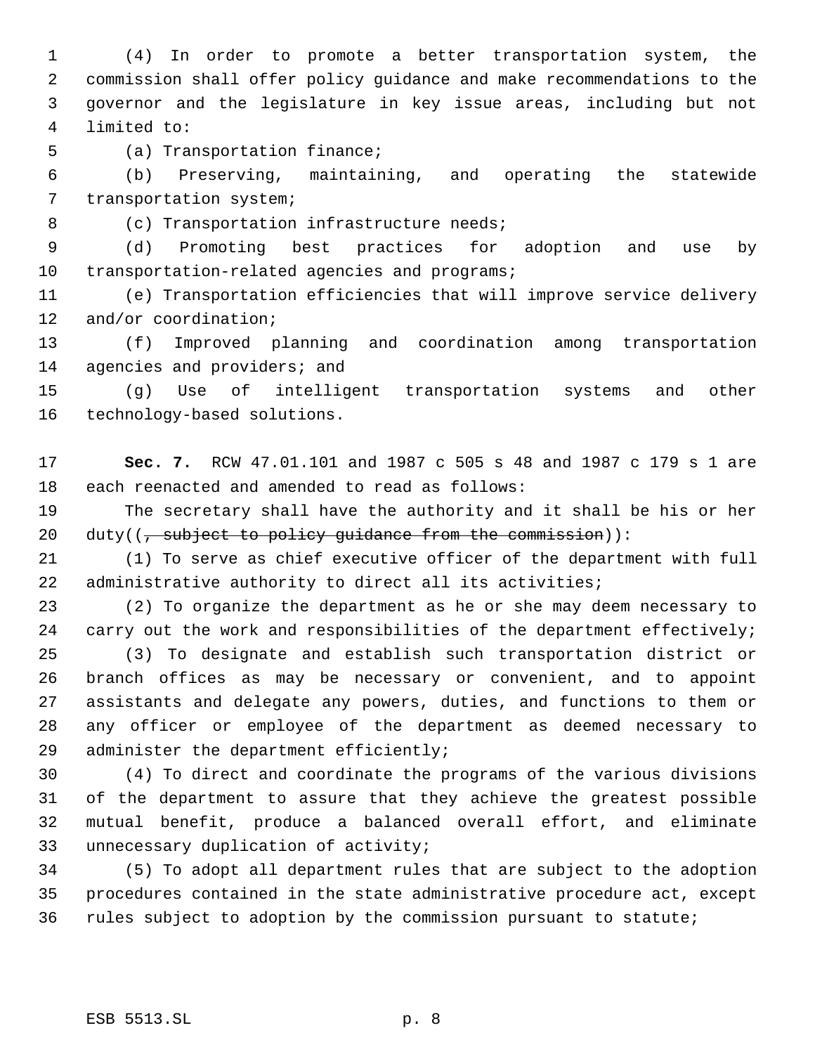(4) In order to promote a better transportation system, the commission shall offer policy guidance and make recommendations to the governor and the legislature in key issue areas, including but not limited to:

(a) Transportation finance;

 (b) Preserving, maintaining, and operating the statewide transportation system;

8 (c) Transportation infrastructure needs;

 (d) Promoting best practices for adoption and use by 10 transportation-related agencies and programs;

 (e) Transportation efficiencies that will improve service delivery 12 and/or coordination;

 (f) Improved planning and coordination among transportation 14 agencies and providers; and

 (g) Use of intelligent transportation systems and other technology-based solutions.

 **Sec. 7.** RCW 47.01.101 and 1987 c 505 s 48 and 1987 c 179 s 1 are each reenacted and amended to read as follows:

 The secretary shall have the authority and it shall be his or her 20 duty( $\left(1, \frac{1}{2}, \frac{1}{2}, \frac{1}{2}, \frac{1}{2}, \frac{1}{2}, \frac{1}{2}, \frac{1}{2}, \frac{1}{2}, \frac{1}{2}, \frac{1}{2}, \frac{1}{2}, \frac{1}{2}, \frac{1}{2}, \frac{1}{2}, \frac{1}{2}, \frac{1}{2}, \frac{1}{2}, \frac{1}{2}, \frac{1}{2}, \frac{1}{2}, \frac{1}{2}, \frac{1}{2}, \frac{1}{2}, \frac{1}{2}, \frac{1}{2}, \frac{1}{2}, \frac{1}{2}, \frac{1}{2}, \frac{1}{2}, \frac{1$ 

 (1) To serve as chief executive officer of the department with full 22 administrative authority to direct all its activities;

 (2) To organize the department as he or she may deem necessary to 24 carry out the work and responsibilities of the department effectively;

 (3) To designate and establish such transportation district or branch offices as may be necessary or convenient, and to appoint assistants and delegate any powers, duties, and functions to them or any officer or employee of the department as deemed necessary to administer the department efficiently;

 (4) To direct and coordinate the programs of the various divisions of the department to assure that they achieve the greatest possible mutual benefit, produce a balanced overall effort, and eliminate unnecessary duplication of activity;

 (5) To adopt all department rules that are subject to the adoption procedures contained in the state administrative procedure act, except rules subject to adoption by the commission pursuant to statute;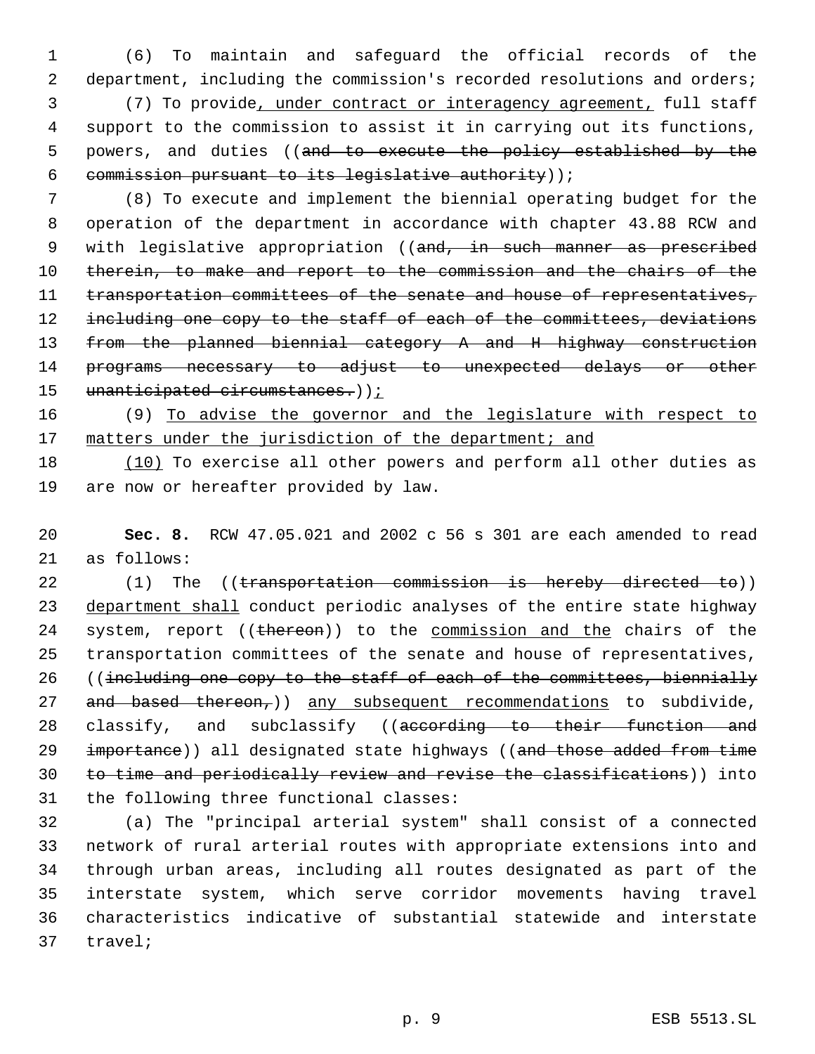(6) To maintain and safeguard the official records of the 2 department, including the commission's recorded resolutions and orders; (7) To provide, under contract or interagency agreement, full staff support to the commission to assist it in carrying out its functions, 5 powers, and duties ((and to execute the policy established by the commission pursuant to its legislative authority));

 7 (8) To execute and implement the biennial operating budget for the 8 operation of the department in accordance with chapter 43.88 RCW and 9 with legislative appropriation ((and, in such manner as prescribed 10 therein, to make and report to the commission and the chairs of the 11 transportation committees of the senate and house of representatives, 12 including one copy to the staff of each of the committees, deviations 13 from the planned biennial category A and H highway construction 14 programs necessary to adjust to unexpected delays or other 15 unanticipated circumstances.));

16 (9) To advise the governor and the legislature with respect to 17 matters under the jurisdiction of the department; and

18 (10) To exercise all other powers and perform all other duties as 19 are now or hereafter provided by law.

20 **Sec. 8.** RCW 47.05.021 and 2002 c 56 s 301 are each amended to read 21 as follows:

22 (1) The ((transportation commission is hereby directed to)) 23 department shall conduct periodic analyses of the entire state highway 24 system, report ((thereon)) to the commission and the chairs of the 25 transportation committees of the senate and house of representatives, 26 ((including one copy to the staff of each of the committees, biennially 27 and based thereon, any subsequent recommendations to subdivide, 28 classify, and subclassify ((according to their function and 29 importance)) all designated state highways ((and those added from time 30 to time and periodically review and revise the classifications)) into 31 the following three functional classes:

 (a) The "principal arterial system" shall consist of a connected network of rural arterial routes with appropriate extensions into and through urban areas, including all routes designated as part of the interstate system, which serve corridor movements having travel characteristics indicative of substantial statewide and interstate 37 travel;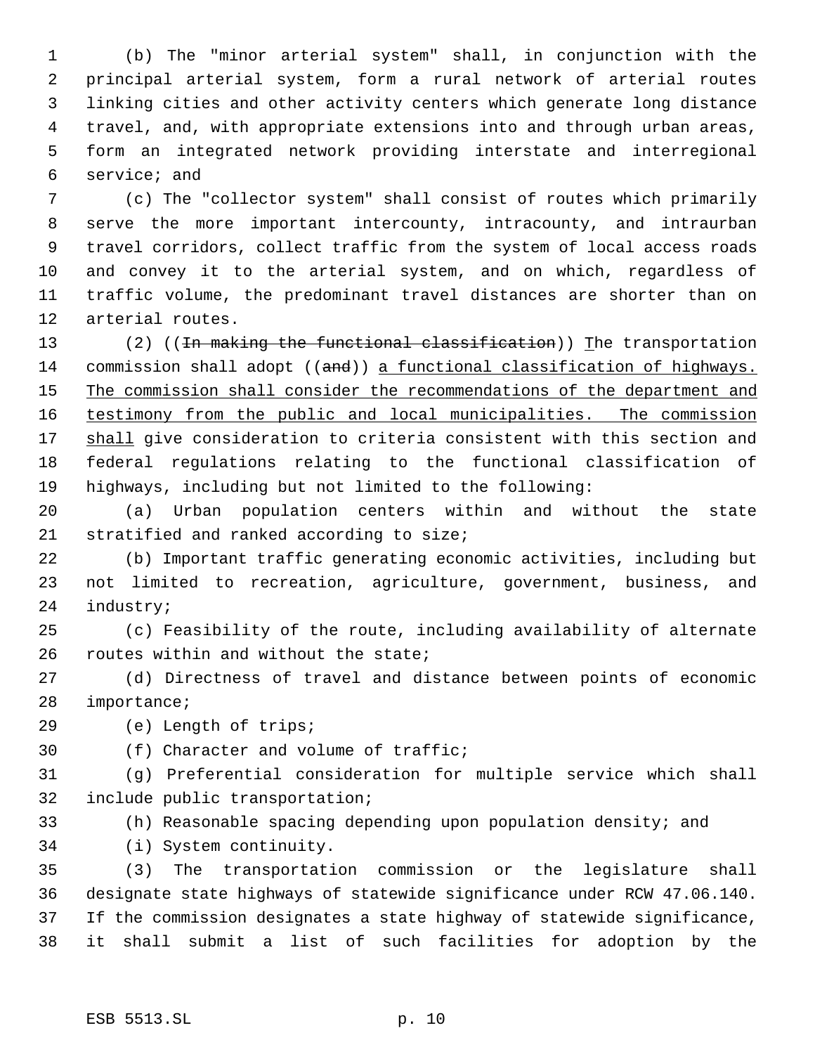(b) The "minor arterial system" shall, in conjunction with the principal arterial system, form a rural network of arterial routes linking cities and other activity centers which generate long distance travel, and, with appropriate extensions into and through urban areas, form an integrated network providing interstate and interregional service; and

 (c) The "collector system" shall consist of routes which primarily serve the more important intercounty, intracounty, and intraurban travel corridors, collect traffic from the system of local access roads and convey it to the arterial system, and on which, regardless of traffic volume, the predominant travel distances are shorter than on arterial routes.

13 (2) ((In making the functional classification)) The transportation 14 commission shall adopt ((and)) a functional classification of highways. 15 The commission shall consider the recommendations of the department and testimony from the public and local municipalities. The commission 17 shall give consideration to criteria consistent with this section and federal regulations relating to the functional classification of highways, including but not limited to the following:

 (a) Urban population centers within and without the state stratified and ranked according to size;

 (b) Important traffic generating economic activities, including but not limited to recreation, agriculture, government, business, and industry;

 (c) Feasibility of the route, including availability of alternate routes within and without the state;

 (d) Directness of travel and distance between points of economic importance;

(e) Length of trips;

(f) Character and volume of traffic;

 (g) Preferential consideration for multiple service which shall include public transportation;

(h) Reasonable spacing depending upon population density; and

(i) System continuity.

 (3) The transportation commission or the legislature shall designate state highways of statewide significance under RCW 47.06.140. If the commission designates a state highway of statewide significance, it shall submit a list of such facilities for adoption by the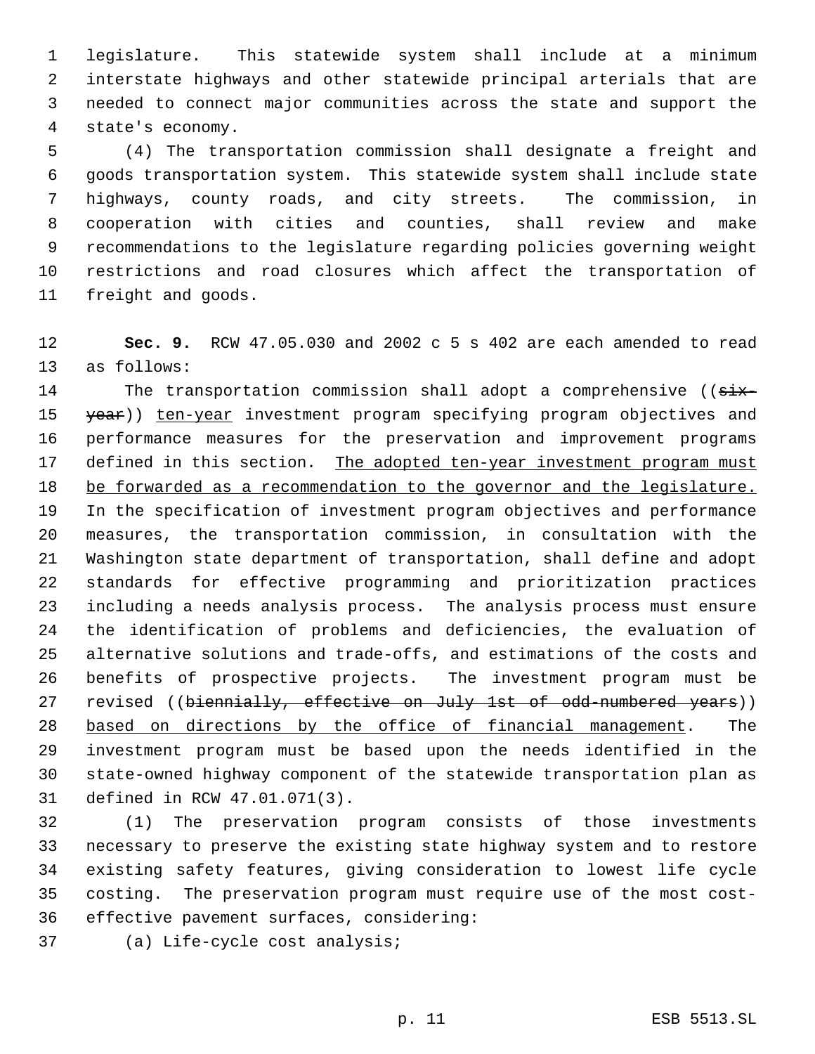legislature. This statewide system shall include at a minimum interstate highways and other statewide principal arterials that are needed to connect major communities across the state and support the state's economy.

 (4) The transportation commission shall designate a freight and goods transportation system. This statewide system shall include state highways, county roads, and city streets. The commission, in cooperation with cities and counties, shall review and make recommendations to the legislature regarding policies governing weight restrictions and road closures which affect the transportation of freight and goods.

 **Sec. 9.** RCW 47.05.030 and 2002 c 5 s 402 are each amended to read as follows:

14 The transportation commission shall adopt a comprehensive ((six-15 year)) ten-year investment program specifying program objectives and performance measures for the preservation and improvement programs 17 defined in this section. The adopted ten-year investment program must be forwarded as a recommendation to the governor and the legislature. In the specification of investment program objectives and performance measures, the transportation commission, in consultation with the Washington state department of transportation, shall define and adopt standards for effective programming and prioritization practices including a needs analysis process. The analysis process must ensure the identification of problems and deficiencies, the evaluation of alternative solutions and trade-offs, and estimations of the costs and benefits of prospective projects. The investment program must be 27 revised ((biennially, effective on July 1st of odd-numbered years)) based on directions by the office of financial management. The investment program must be based upon the needs identified in the state-owned highway component of the statewide transportation plan as defined in RCW 47.01.071(3).

 (1) The preservation program consists of those investments necessary to preserve the existing state highway system and to restore existing safety features, giving consideration to lowest life cycle costing. The preservation program must require use of the most cost-effective pavement surfaces, considering:

(a) Life-cycle cost analysis;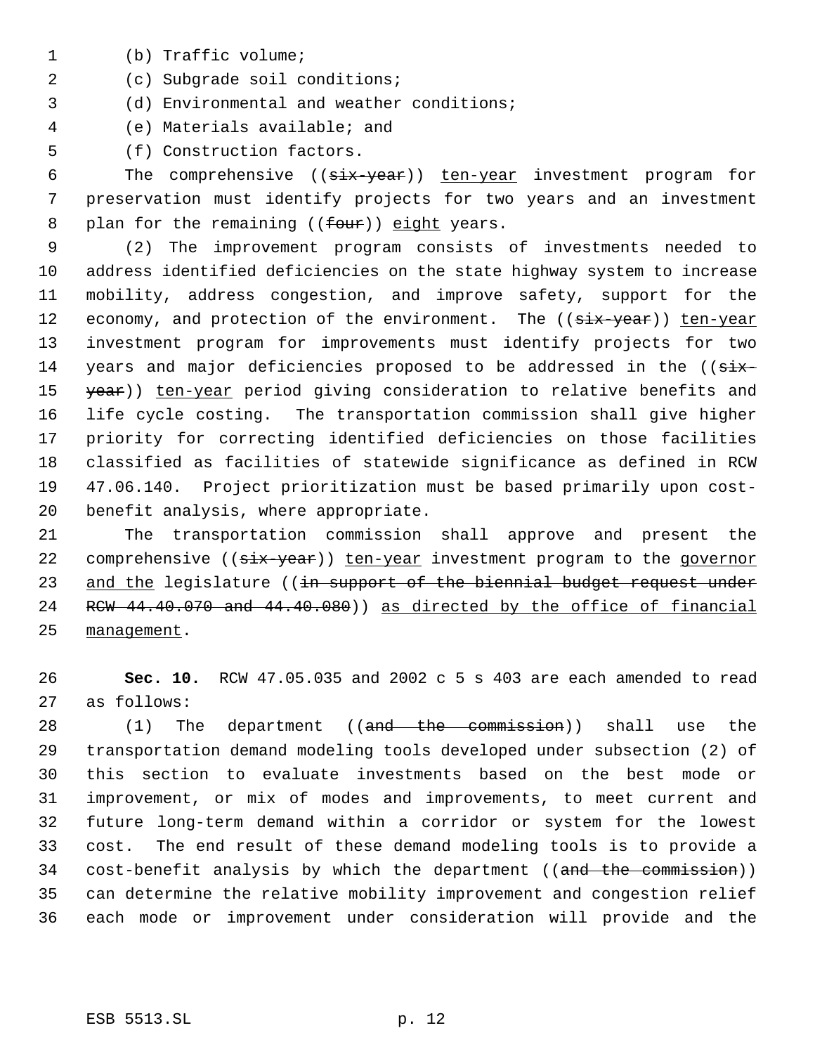- (b) Traffic volume;
- (c) Subgrade soil conditions;

(d) Environmental and weather conditions;

(e) Materials available; and

(f) Construction factors.

6 The comprehensive ((six-year)) ten-year investment program for preservation must identify projects for two years and an investment 8 plan for the remaining  $((four))$  eight years.

 (2) The improvement program consists of investments needed to address identified deficiencies on the state highway system to increase mobility, address congestion, and improve safety, support for the 12 economy, and protection of the environment. The ((six-year)) ten-year investment program for improvements must identify projects for two 14 years and major deficiencies proposed to be addressed in the  $((\text{six}-$ 15 year)) ten-year period giving consideration to relative benefits and life cycle costing. The transportation commission shall give higher priority for correcting identified deficiencies on those facilities classified as facilities of statewide significance as defined in RCW 47.06.140. Project prioritization must be based primarily upon cost-benefit analysis, where appropriate.

 The transportation commission shall approve and present the 22 comprehensive (( $\frac{1}{1}x - \frac{1}{1}$ ) ten-year investment program to the governor 23 and the legislature ((in support of the biennial budget request under RCW 44.40.070 and 44.40.080)) as directed by the office of financial management.

 **Sec. 10.** RCW 47.05.035 and 2002 c 5 s 403 are each amended to read as follows:

28 (1) The department ((and the commission)) shall use the transportation demand modeling tools developed under subsection (2) of this section to evaluate investments based on the best mode or improvement, or mix of modes and improvements, to meet current and future long-term demand within a corridor or system for the lowest cost. The end result of these demand modeling tools is to provide a 34 cost-benefit analysis by which the department ((and the commission)) can determine the relative mobility improvement and congestion relief each mode or improvement under consideration will provide and the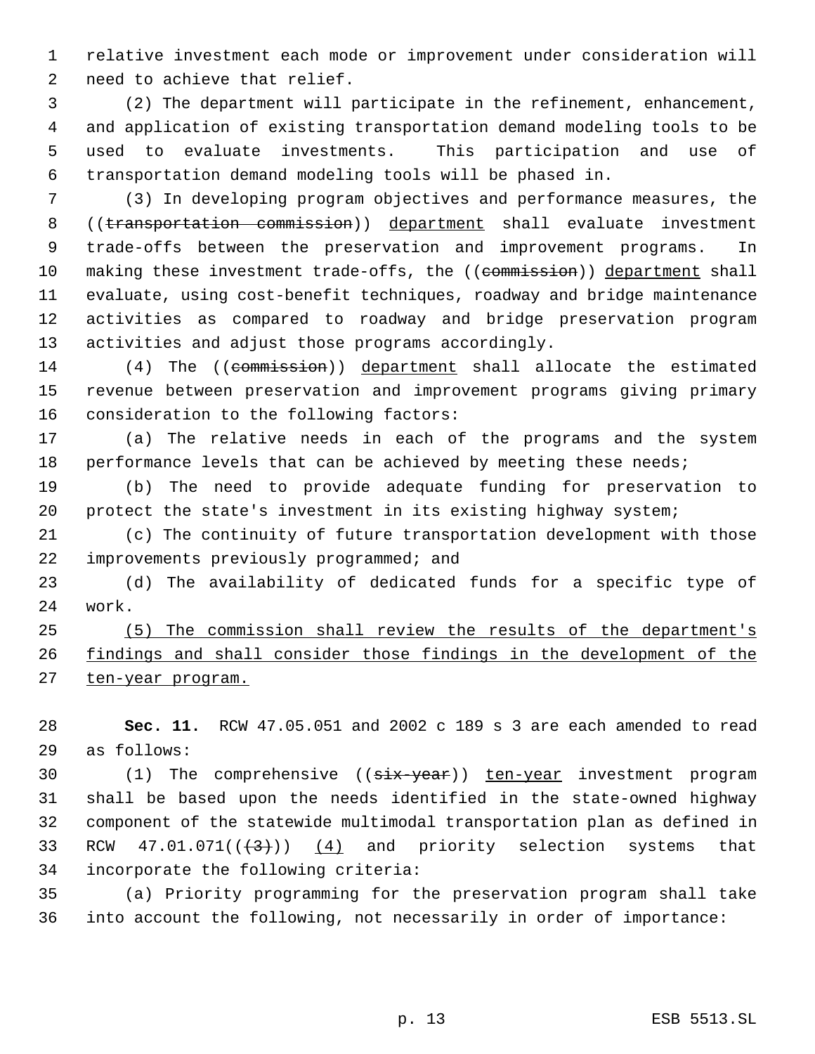relative investment each mode or improvement under consideration will need to achieve that relief.

 (2) The department will participate in the refinement, enhancement, and application of existing transportation demand modeling tools to be used to evaluate investments. This participation and use of transportation demand modeling tools will be phased in.

 (3) In developing program objectives and performance measures, the 8 ((transportation commission)) department shall evaluate investment trade-offs between the preservation and improvement programs. In 10 making these investment trade-offs, the ((commission)) department shall evaluate, using cost-benefit techniques, roadway and bridge maintenance activities as compared to roadway and bridge preservation program activities and adjust those programs accordingly.

14 (4) The ((commission)) department shall allocate the estimated revenue between preservation and improvement programs giving primary consideration to the following factors:

 (a) The relative needs in each of the programs and the system 18 performance levels that can be achieved by meeting these needs;

 (b) The need to provide adequate funding for preservation to protect the state's investment in its existing highway system;

 (c) The continuity of future transportation development with those improvements previously programmed; and

 (d) The availability of dedicated funds for a specific type of work.

 (5) The commission shall review the results of the department's findings and shall consider those findings in the development of the 27 ten-year program.

 **Sec. 11.** RCW 47.05.051 and 2002 c 189 s 3 are each amended to read as follows:

30 (1) The comprehensive (( $\frac{1}{3}$ ) ten-year investment program shall be based upon the needs identified in the state-owned highway component of the statewide multimodal transportation plan as defined in 33 RCW  $47.01.071((+3))$   $(4)$  and priority selection systems that incorporate the following criteria:

 (a) Priority programming for the preservation program shall take into account the following, not necessarily in order of importance: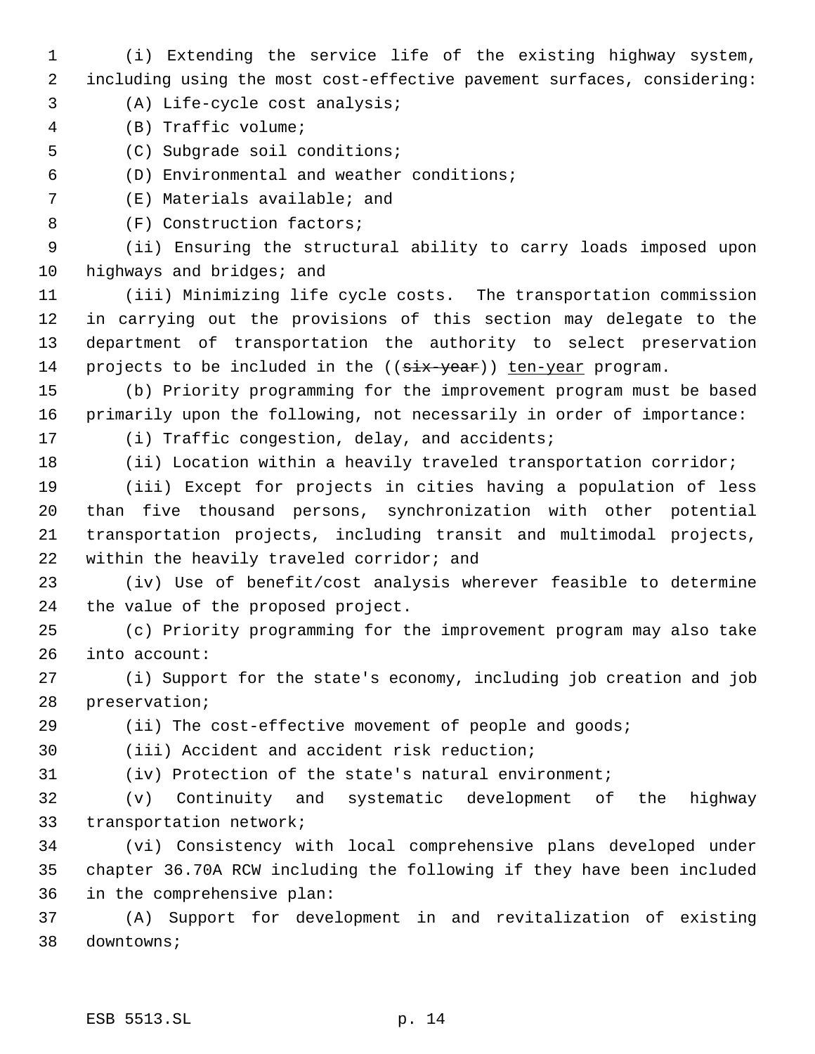- (i) Extending the service life of the existing highway system, including using the most cost-effective pavement surfaces, considering:
- (A) Life-cycle cost analysis;
- (B) Traffic volume;
- (C) Subgrade soil conditions;
- (D) Environmental and weather conditions;
- (E) Materials available; and
- 8 (F) Construction factors;

 (ii) Ensuring the structural ability to carry loads imposed upon 10 highways and bridges; and

 (iii) Minimizing life cycle costs. The transportation commission in carrying out the provisions of this section may delegate to the department of transportation the authority to select preservation 14 projects to be included in the (( $\frac{1}{x}$ -year)) ten-year program.

 (b) Priority programming for the improvement program must be based primarily upon the following, not necessarily in order of importance: (i) Traffic congestion, delay, and accidents;

(ii) Location within a heavily traveled transportation corridor;

 (iii) Except for projects in cities having a population of less than five thousand persons, synchronization with other potential transportation projects, including transit and multimodal projects, within the heavily traveled corridor; and

 (iv) Use of benefit/cost analysis wherever feasible to determine the value of the proposed project.

 (c) Priority programming for the improvement program may also take into account:

 (i) Support for the state's economy, including job creation and job preservation;

29 (ii) The cost-effective movement of people and goods;

(iii) Accident and accident risk reduction;

(iv) Protection of the state's natural environment;

 (v) Continuity and systematic development of the highway transportation network;

 (vi) Consistency with local comprehensive plans developed under chapter 36.70A RCW including the following if they have been included in the comprehensive plan:

 (A) Support for development in and revitalization of existing downtowns;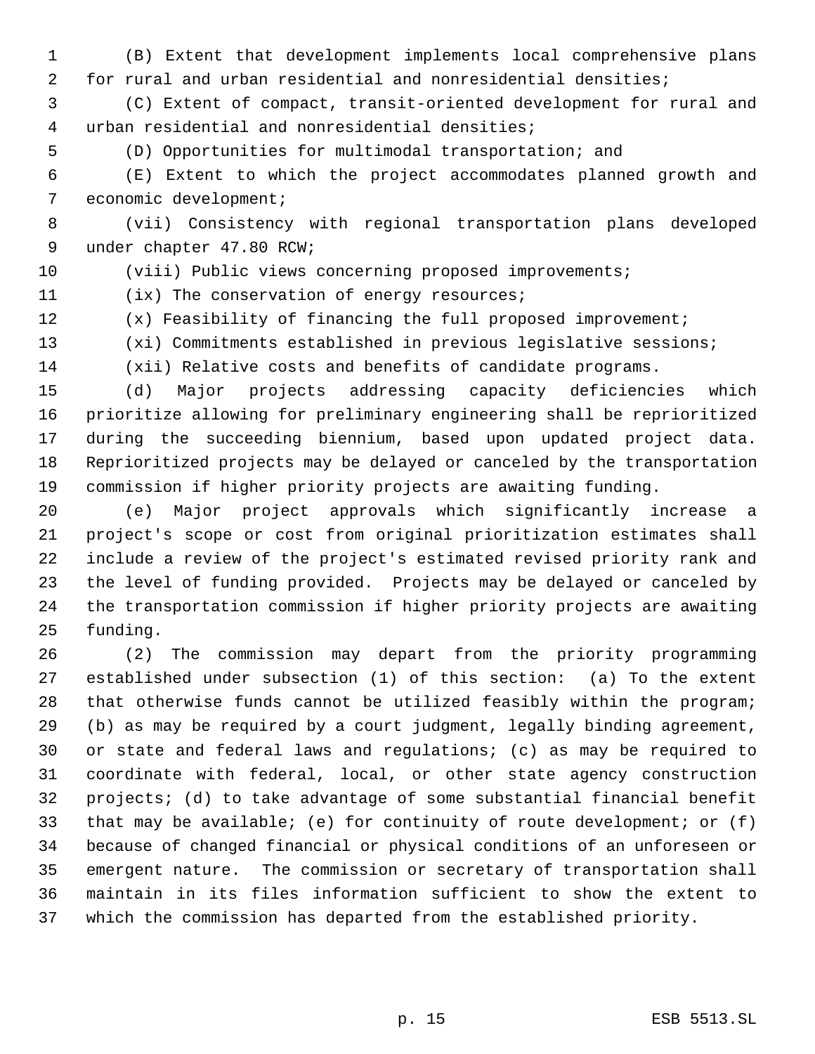(B) Extent that development implements local comprehensive plans for rural and urban residential and nonresidential densities;

 (C) Extent of compact, transit-oriented development for rural and urban residential and nonresidential densities;

(D) Opportunities for multimodal transportation; and

 (E) Extent to which the project accommodates planned growth and economic development;

 (vii) Consistency with regional transportation plans developed under chapter 47.80 RCW;

(viii) Public views concerning proposed improvements;

(ix) The conservation of energy resources;

(x) Feasibility of financing the full proposed improvement;

(xi) Commitments established in previous legislative sessions;

(xii) Relative costs and benefits of candidate programs.

 (d) Major projects addressing capacity deficiencies which prioritize allowing for preliminary engineering shall be reprioritized during the succeeding biennium, based upon updated project data. Reprioritized projects may be delayed or canceled by the transportation commission if higher priority projects are awaiting funding.

 (e) Major project approvals which significantly increase a project's scope or cost from original prioritization estimates shall include a review of the project's estimated revised priority rank and the level of funding provided. Projects may be delayed or canceled by the transportation commission if higher priority projects are awaiting funding.

 (2) The commission may depart from the priority programming established under subsection (1) of this section: (a) To the extent that otherwise funds cannot be utilized feasibly within the program; (b) as may be required by a court judgment, legally binding agreement, or state and federal laws and regulations; (c) as may be required to coordinate with federal, local, or other state agency construction projects; (d) to take advantage of some substantial financial benefit that may be available; (e) for continuity of route development; or (f) because of changed financial or physical conditions of an unforeseen or emergent nature. The commission or secretary of transportation shall maintain in its files information sufficient to show the extent to which the commission has departed from the established priority.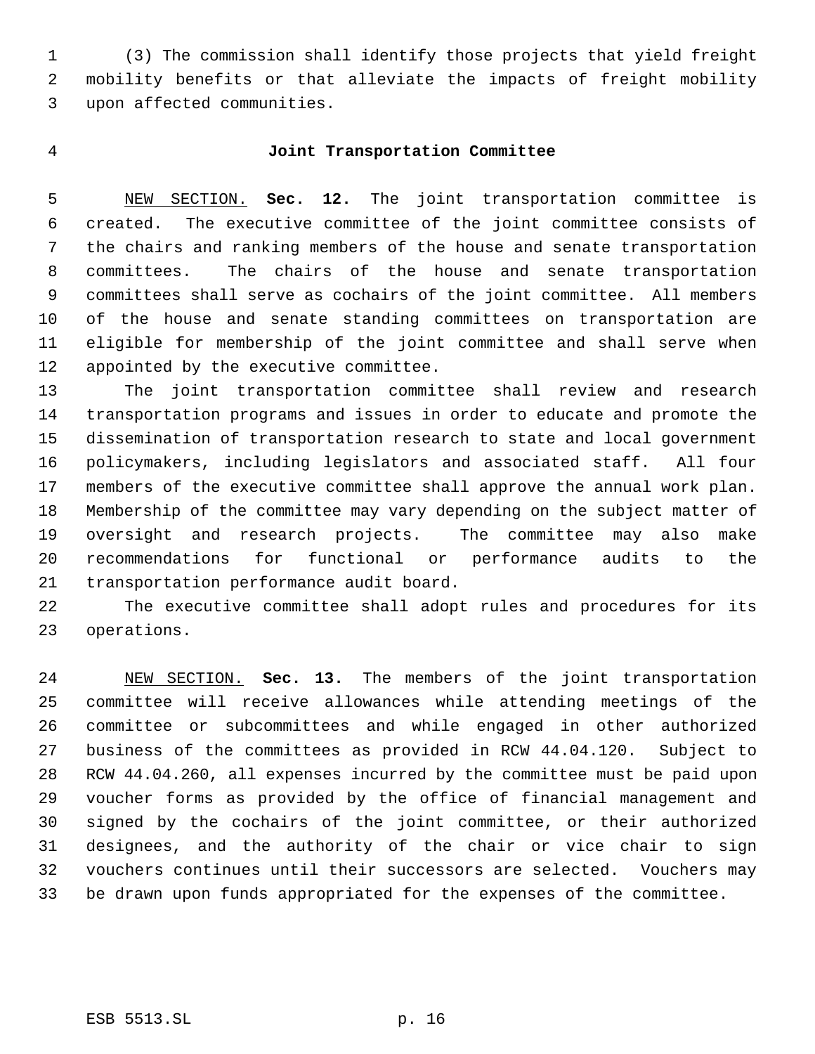(3) The commission shall identify those projects that yield freight mobility benefits or that alleviate the impacts of freight mobility upon affected communities.

## **Joint Transportation Committee**

 NEW SECTION. **Sec. 12.** The joint transportation committee is created. The executive committee of the joint committee consists of the chairs and ranking members of the house and senate transportation committees. The chairs of the house and senate transportation committees shall serve as cochairs of the joint committee. All members of the house and senate standing committees on transportation are eligible for membership of the joint committee and shall serve when appointed by the executive committee.

 The joint transportation committee shall review and research transportation programs and issues in order to educate and promote the dissemination of transportation research to state and local government policymakers, including legislators and associated staff. All four members of the executive committee shall approve the annual work plan. Membership of the committee may vary depending on the subject matter of oversight and research projects. The committee may also make recommendations for functional or performance audits to the transportation performance audit board.

 The executive committee shall adopt rules and procedures for its operations.

 NEW SECTION. **Sec. 13.** The members of the joint transportation committee will receive allowances while attending meetings of the committee or subcommittees and while engaged in other authorized business of the committees as provided in RCW 44.04.120. Subject to RCW 44.04.260, all expenses incurred by the committee must be paid upon voucher forms as provided by the office of financial management and signed by the cochairs of the joint committee, or their authorized designees, and the authority of the chair or vice chair to sign vouchers continues until their successors are selected. Vouchers may be drawn upon funds appropriated for the expenses of the committee.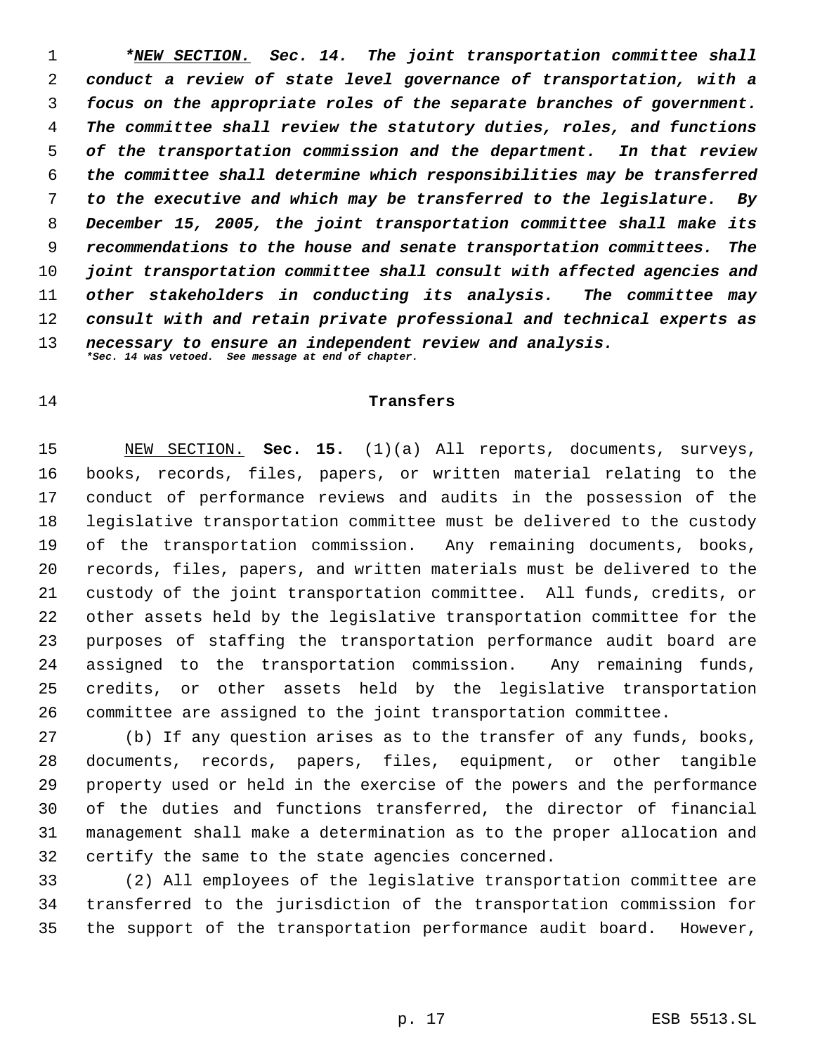*\*NEW SECTION. Sec. 14. The joint transportation committee shall conduct a review of state level governance of transportation, with a focus on the appropriate roles of the separate branches of government. The committee shall review the statutory duties, roles, and functions of the transportation commission and the department. In that review the committee shall determine which responsibilities may be transferred to the executive and which may be transferred to the legislature. By December 15, 2005, the joint transportation committee shall make its recommendations to the house and senate transportation committees. The joint transportation committee shall consult with affected agencies and other stakeholders in conducting its analysis. The committee may consult with and retain private professional and technical experts as necessary to ensure an independent review and analysis. \*Sec. 14 was vetoed. See message at end of chapter.*

#### **Transfers**

 NEW SECTION. **Sec. 15.** (1)(a) All reports, documents, surveys, books, records, files, papers, or written material relating to the conduct of performance reviews and audits in the possession of the legislative transportation committee must be delivered to the custody of the transportation commission. Any remaining documents, books, records, files, papers, and written materials must be delivered to the custody of the joint transportation committee. All funds, credits, or other assets held by the legislative transportation committee for the purposes of staffing the transportation performance audit board are assigned to the transportation commission. Any remaining funds, credits, or other assets held by the legislative transportation committee are assigned to the joint transportation committee.

 (b) If any question arises as to the transfer of any funds, books, documents, records, papers, files, equipment, or other tangible property used or held in the exercise of the powers and the performance of the duties and functions transferred, the director of financial management shall make a determination as to the proper allocation and certify the same to the state agencies concerned.

 (2) All employees of the legislative transportation committee are transferred to the jurisdiction of the transportation commission for the support of the transportation performance audit board. However,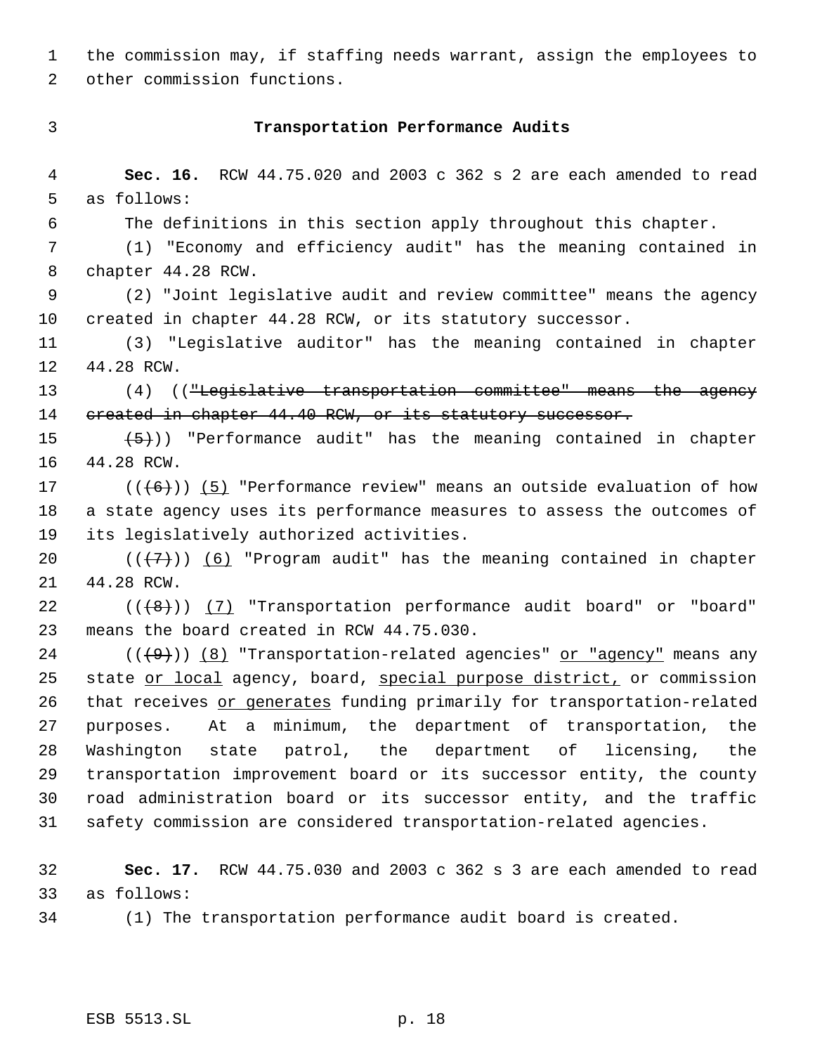the commission may, if staffing needs warrant, assign the employees to other commission functions.

# **Transportation Performance Audits**

 **Sec. 16.** RCW 44.75.020 and 2003 c 362 s 2 are each amended to read as follows: The definitions in this section apply throughout this chapter.

 (1) "Economy and efficiency audit" has the meaning contained in chapter 44.28 RCW.

 (2) "Joint legislative audit and review committee" means the agency created in chapter 44.28 RCW, or its statutory successor.

 (3) "Legislative auditor" has the meaning contained in chapter 44.28 RCW.

 (4) (("Legislative transportation committee" means the agency 14 created in chapter 44.40 RCW, or its statutory successor.

15  $(5)$ ) "Performance audit" has the meaning contained in chapter 44.28 RCW.

17 ( $(\overline{6})$ ) (5) "Performance review" means an outside evaluation of how a state agency uses its performance measures to assess the outcomes of its legislatively authorized activities.

20  $((\langle 7 \rangle)(6)$  "Program audit" has the meaning contained in chapter 44.28 RCW.

22  $((+8))$   $(7)$  "Transportation performance audit board" or "board" means the board created in RCW 44.75.030.

 $((+9))$   $(8)$  "Transportation-related agencies" or "agency" means any 25 state or local agency, board, special purpose district, or commission 26 that receives or generates funding primarily for transportation-related purposes. At a minimum, the department of transportation, the Washington state patrol, the department of licensing, the transportation improvement board or its successor entity, the county road administration board or its successor entity, and the traffic safety commission are considered transportation-related agencies.

 **Sec. 17.** RCW 44.75.030 and 2003 c 362 s 3 are each amended to read as follows:

(1) The transportation performance audit board is created.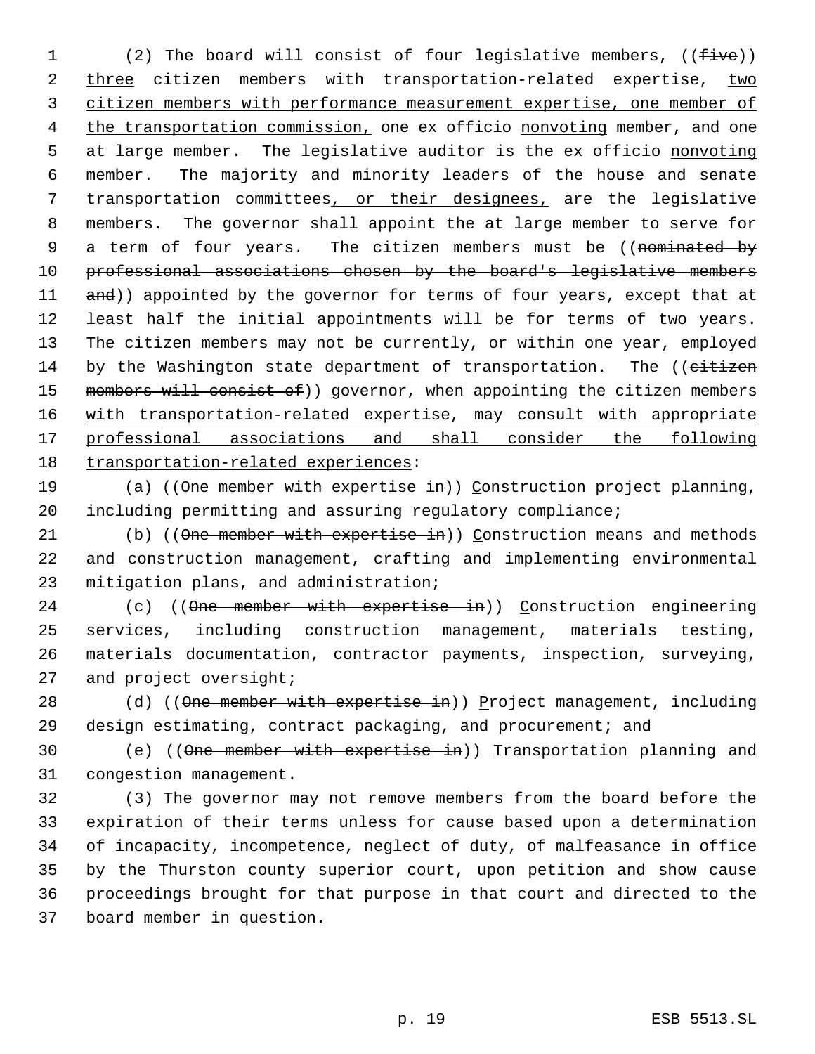1 (2) The board will consist of four legislative members, ((five)) 2 three citizen members with transportation-related expertise, two citizen members with performance measurement expertise, one member of 4 the transportation commission, one ex officio nonvoting member, and one 5 at large member. The legislative auditor is the ex officio nonvoting member. The majority and minority leaders of the house and senate transportation committees, or their designees, are the legislative members. The governor shall appoint the at large member to serve for 9 a term of four years. The citizen members must be ((nominated by professional associations chosen by the board's legislative members 11 and)) appointed by the governor for terms of four years, except that at least half the initial appointments will be for terms of two years. The citizen members may not be currently, or within one year, employed 14 by the Washington state department of transportation. The ((citizen 15 members will consist of)) governor, when appointing the citizen members with transportation-related expertise, may consult with appropriate professional associations and shall consider the following transportation-related experiences:

19 (a) ((One member with expertise in)) Construction project planning, including permitting and assuring regulatory compliance;

21 (b) ((One member with expertise in)) Construction means and methods and construction management, crafting and implementing environmental mitigation plans, and administration;

24 (c) ((One member with expertise in)) Construction engineering services, including construction management, materials testing, materials documentation, contractor payments, inspection, surveying, 27 and project oversight;

28 (d) ((One member with expertise in)) Project management, including design estimating, contract packaging, and procurement; and

30 (e) ((One member with expertise in)) Transportation planning and congestion management.

 (3) The governor may not remove members from the board before the expiration of their terms unless for cause based upon a determination of incapacity, incompetence, neglect of duty, of malfeasance in office by the Thurston county superior court, upon petition and show cause proceedings brought for that purpose in that court and directed to the board member in question.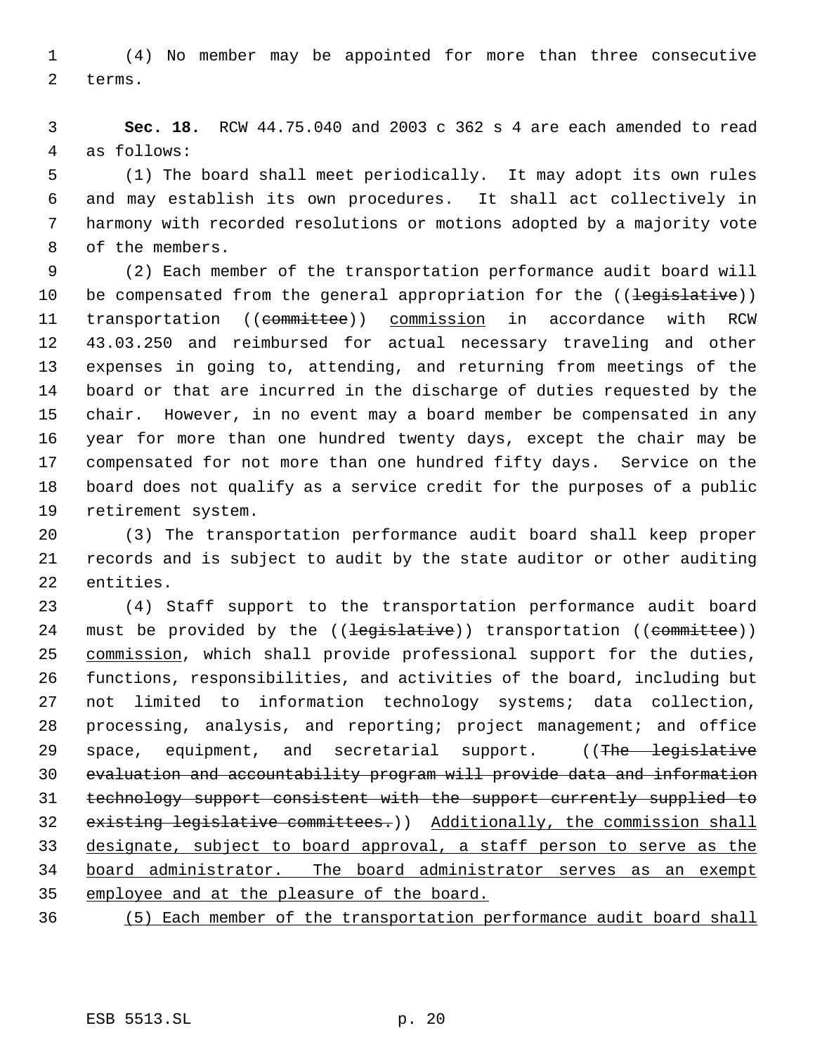(4) No member may be appointed for more than three consecutive terms.

 **Sec. 18.** RCW 44.75.040 and 2003 c 362 s 4 are each amended to read as follows:

 (1) The board shall meet periodically. It may adopt its own rules and may establish its own procedures. It shall act collectively in harmony with recorded resolutions or motions adopted by a majority vote of the members.

 (2) Each member of the transportation performance audit board will 10 be compensated from the general appropriation for the ((legislative)) 11 transportation ((committee)) commission in accordance with RCW 43.03.250 and reimbursed for actual necessary traveling and other expenses in going to, attending, and returning from meetings of the board or that are incurred in the discharge of duties requested by the chair. However, in no event may a board member be compensated in any year for more than one hundred twenty days, except the chair may be compensated for not more than one hundred fifty days. Service on the board does not qualify as a service credit for the purposes of a public retirement system.

 (3) The transportation performance audit board shall keep proper records and is subject to audit by the state auditor or other auditing entities.

 (4) Staff support to the transportation performance audit board 24 must be provided by the ((<del>legislative</del>)) transportation ((committee)) 25 commission, which shall provide professional support for the duties, functions, responsibilities, and activities of the board, including but not limited to information technology systems; data collection, processing, analysis, and reporting; project management; and office 29 space, equipment, and secretarial support. ((The legislative evaluation and accountability program will provide data and information technology support consistent with the support currently supplied to existing legislative committees.)) Additionally, the commission shall designate, subject to board approval, a staff person to serve as the board administrator. The board administrator serves as an exempt employee and at the pleasure of the board.

(5) Each member of the transportation performance audit board shall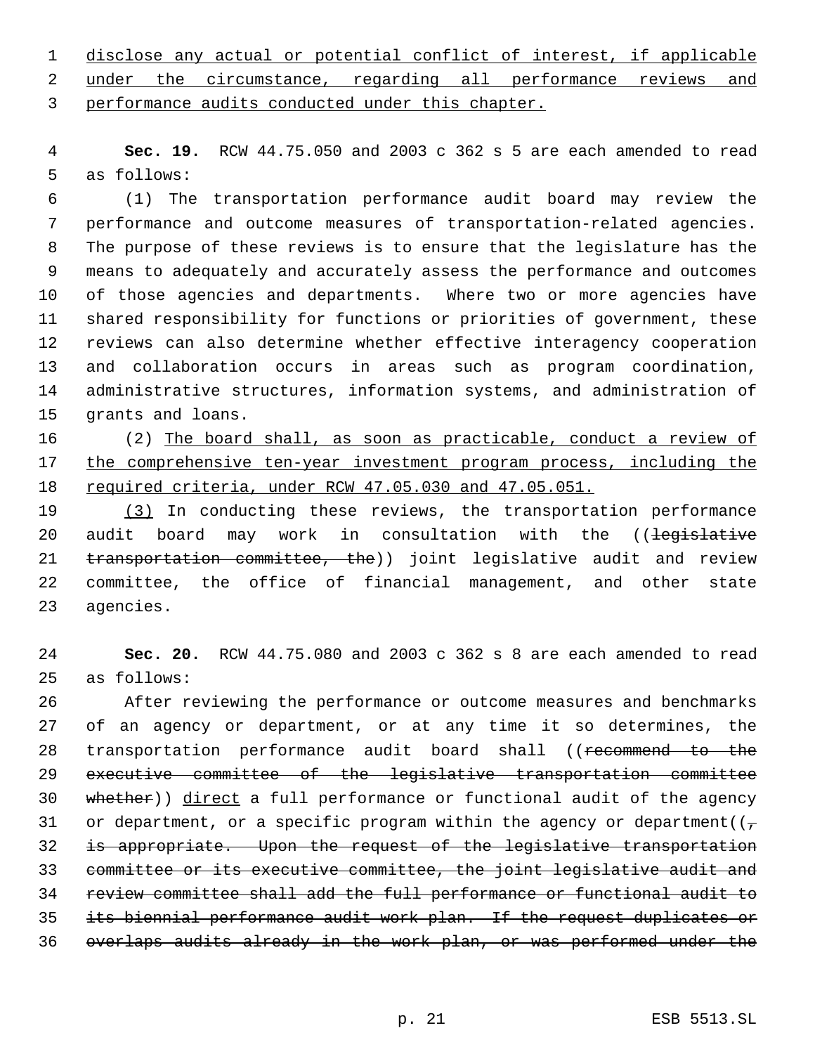disclose any actual or potential conflict of interest, if applicable under the circumstance, regarding all performance reviews and performance audits conducted under this chapter.

 **Sec. 19.** RCW 44.75.050 and 2003 c 362 s 5 are each amended to read as follows:

 (1) The transportation performance audit board may review the performance and outcome measures of transportation-related agencies. The purpose of these reviews is to ensure that the legislature has the means to adequately and accurately assess the performance and outcomes of those agencies and departments. Where two or more agencies have shared responsibility for functions or priorities of government, these reviews can also determine whether effective interagency cooperation and collaboration occurs in areas such as program coordination, administrative structures, information systems, and administration of grants and loans.

 (2) The board shall, as soon as practicable, conduct a review of 17 the comprehensive ten-year investment program process, including the required criteria, under RCW 47.05.030 and 47.05.051.

 (3) In conducting these reviews, the transportation performance 20 audit board may work in consultation with the ((<del>legislative</del> 21 transportation committee, the)) joint legislative audit and review committee, the office of financial management, and other state agencies.

 **Sec. 20.** RCW 44.75.080 and 2003 c 362 s 8 are each amended to read as follows:

 After reviewing the performance or outcome measures and benchmarks of an agency or department, or at any time it so determines, the 28 transportation performance audit board shall ((recommend to the executive committee of the legislative transportation committee whether)) direct a full performance or functional audit of the agency 31 or department, or a specific program within the agency or department( $(\tau$  is appropriate. Upon the request of the legislative transportation committee or its executive committee, the joint legislative audit and review committee shall add the full performance or functional audit to its biennial performance audit work plan. If the request duplicates or overlaps audits already in the work plan, or was performed under the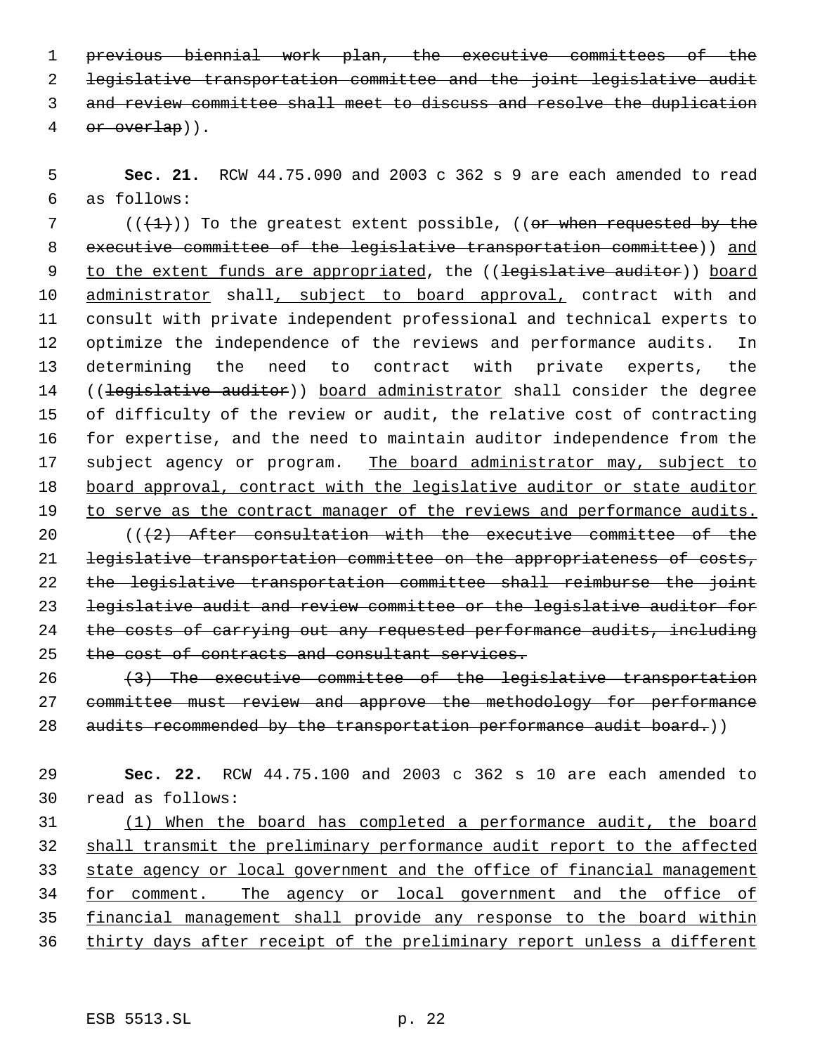previous biennial work plan, the executive committees of the legislative transportation committee and the joint legislative audit and review committee shall meet to discuss and resolve the duplication or overlap)).

 **Sec. 21.** RCW 44.75.090 and 2003 c 362 s 9 are each amended to read as follows:

7 ( $(\frac{1}{1})$ ) To the greatest extent possible, ((or when requested by the 8 executive committee of the legislative transportation committee)) and 9 to the extent funds are appropriated, the ((legislative auditor)) board 10 administrator shall, subject to board approval, contract with and consult with private independent professional and technical experts to optimize the independence of the reviews and performance audits. In determining the need to contract with private experts, the 14 ((legislative auditor)) board administrator shall consider the degree of difficulty of the review or audit, the relative cost of contracting for expertise, and the need to maintain auditor independence from the 17 subject agency or program. The board administrator may, subject to 18 board approval, contract with the legislative auditor or state auditor 19 to serve as the contract manager of the reviews and performance audits.  $((2)$  After consultation with the executive committee of the legislative transportation committee on the appropriateness of costs,

 the legislative transportation committee shall reimburse the joint legislative audit and review committee or the legislative auditor for the costs of carrying out any requested performance audits, including 25 the cost of contracts and consultant services.

 $(3)$  The executive committee of the legislative transportation committee must review and approve the methodology for performance 28 audits recommended by the transportation performance audit board.))

 **Sec. 22.** RCW 44.75.100 and 2003 c 362 s 10 are each amended to read as follows:

 (1) When the board has completed a performance audit, the board shall transmit the preliminary performance audit report to the affected 33 state agency or local government and the office of financial management for comment. The agency or local government and the office of financial management shall provide any response to the board within 36 thirty days after receipt of the preliminary report unless a different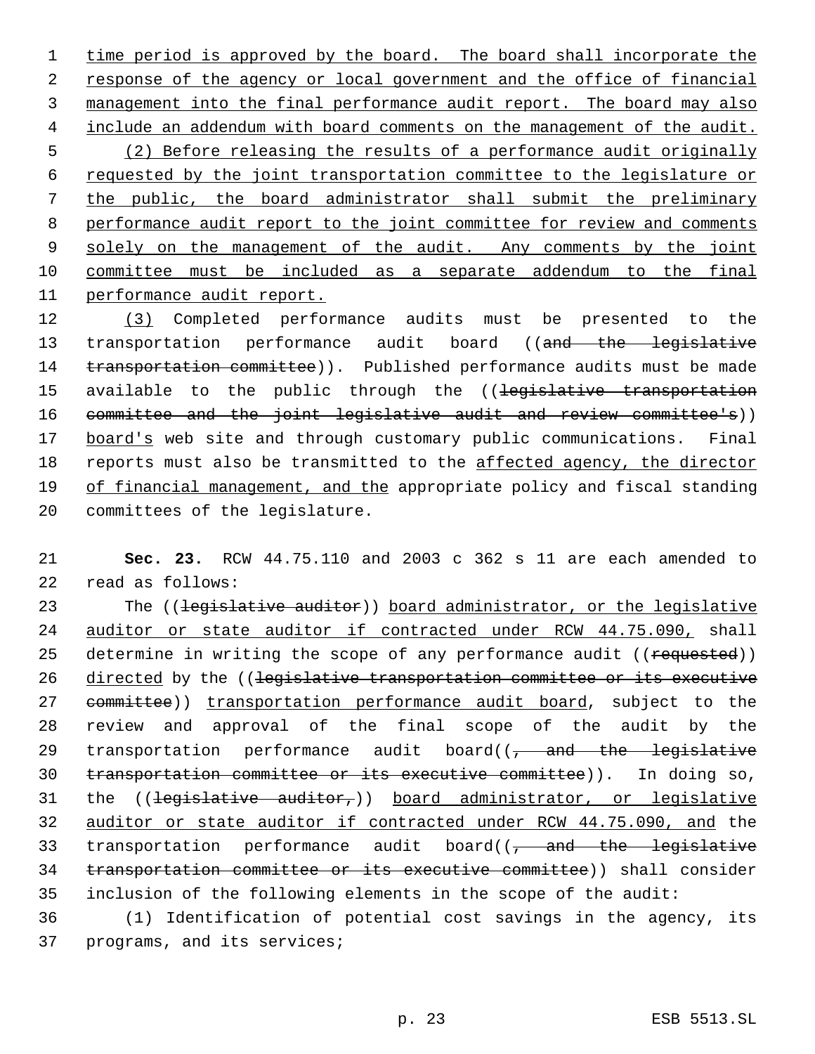1 time period is approved by the board. The board shall incorporate the 2 response of the agency or local government and the office of financial 3 management into the final performance audit report. The board may also include an addendum with board comments on the management of the audit. (2) Before releasing the results of a performance audit originally requested by the joint transportation committee to the legislature or the public, the board administrator shall submit the preliminary performance audit report to the joint committee for review and comments 9 solely on the management of the audit. Any comments by the joint committee must be included as a separate addendum to the final performance audit report.

12 (3) Completed performance audits must be presented to the 13 transportation performance audit board ((and the legislative 14 transportation committee)). Published performance audits must be made 15 available to the public through the ((legislative transportation 16 committee and the joint legislative audit and review committee's)) 17 board's web site and through customary public communications. Final 18 reports must also be transmitted to the affected agency, the director 19 of financial management, and the appropriate policy and fiscal standing 20 committees of the legislature.

21 **Sec. 23.** RCW 44.75.110 and 2003 c 362 s 11 are each amended to 22 read as follows:

23 The ((legislative auditor)) board administrator, or the legislative 24 auditor or state auditor if contracted under RCW 44.75.090, shall 25 determine in writing the scope of any performance audit ((requested)) 26 directed by the ((legislative transportation committee or its executive 27 committee)) transportation performance audit board, subject to the 28 review and approval of the final scope of the audit by the 29 transportation performance audit board( $(-$  and the legislative 30 transportation committee or its executive committee)). In doing so, 31 the  $((\text{legislative}-auditor,))$  board administrator, or legislative 32 auditor or state auditor if contracted under RCW 44.75.090, and the 33 transportation performance audit board( $(-$  and the legislative 34 transportation committee or its executive committee)) shall consider 35 inclusion of the following elements in the scope of the audit:

36 (1) Identification of potential cost savings in the agency, its 37 programs, and its services;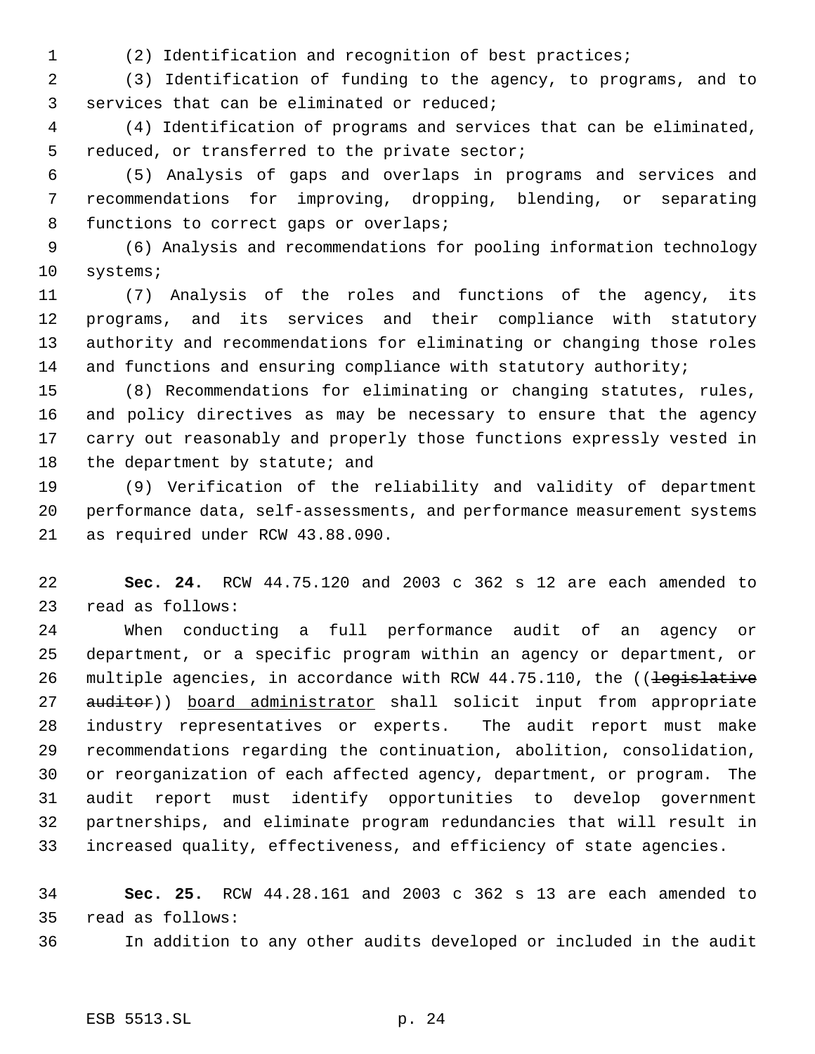(2) Identification and recognition of best practices;

 (3) Identification of funding to the agency, to programs, and to services that can be eliminated or reduced;

 (4) Identification of programs and services that can be eliminated, reduced, or transferred to the private sector;

 (5) Analysis of gaps and overlaps in programs and services and recommendations for improving, dropping, blending, or separating functions to correct gaps or overlaps;

 (6) Analysis and recommendations for pooling information technology systems;

 (7) Analysis of the roles and functions of the agency, its programs, and its services and their compliance with statutory authority and recommendations for eliminating or changing those roles 14 and functions and ensuring compliance with statutory authority;

 (8) Recommendations for eliminating or changing statutes, rules, and policy directives as may be necessary to ensure that the agency carry out reasonably and properly those functions expressly vested in 18 the department by statute; and

 (9) Verification of the reliability and validity of department performance data, self-assessments, and performance measurement systems as required under RCW 43.88.090.

 **Sec. 24.** RCW 44.75.120 and 2003 c 362 s 12 are each amended to read as follows:

 When conducting a full performance audit of an agency or department, or a specific program within an agency or department, or 26 multiple agencies, in accordance with RCW 44.75.110, the ((legislative 27 auditor)) board administrator shall solicit input from appropriate industry representatives or experts. The audit report must make recommendations regarding the continuation, abolition, consolidation, or reorganization of each affected agency, department, or program. The audit report must identify opportunities to develop government partnerships, and eliminate program redundancies that will result in increased quality, effectiveness, and efficiency of state agencies.

 **Sec. 25.** RCW 44.28.161 and 2003 c 362 s 13 are each amended to read as follows:

In addition to any other audits developed or included in the audit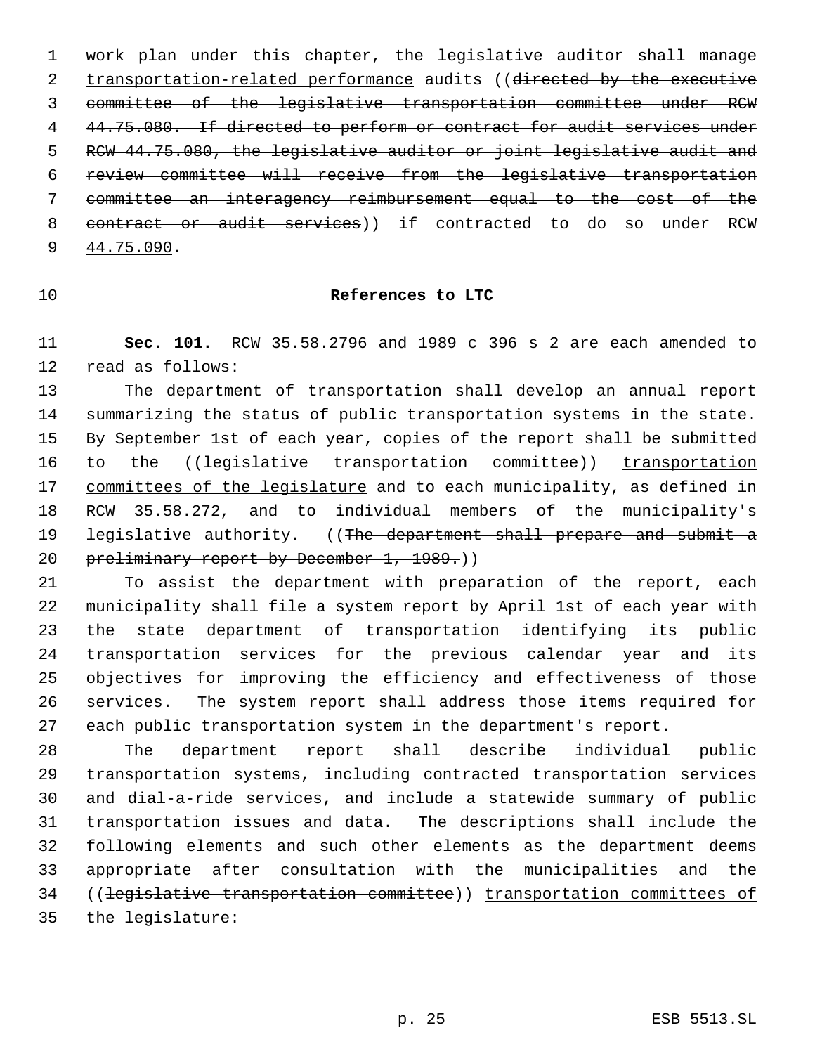work plan under this chapter, the legislative auditor shall manage 2 transportation-related performance audits ((directed by the executive committee of the legislative transportation committee under RCW 4 44.75.080. If directed to perform or contract for audit services under 5 RCW 44.75.080, the legislative auditor or joint legislative audit and review committee will receive from the legislative transportation committee an interagency reimbursement equal to the cost of the contract or audit services)) if contracted to do so under RCW 44.75.090.

## **References to LTC**

 **Sec. 101.** RCW 35.58.2796 and 1989 c 396 s 2 are each amended to read as follows:

 The department of transportation shall develop an annual report summarizing the status of public transportation systems in the state. By September 1st of each year, copies of the report shall be submitted 16 to the ((legislative transportation committee)) transportation 17 committees of the legislature and to each municipality, as defined in RCW 35.58.272, and to individual members of the municipality's 19 legislative authority. ((The department shall prepare and submit a 20 preliminary report by December 1, 1989.)

 To assist the department with preparation of the report, each municipality shall file a system report by April 1st of each year with the state department of transportation identifying its public transportation services for the previous calendar year and its objectives for improving the efficiency and effectiveness of those services. The system report shall address those items required for each public transportation system in the department's report.

 The department report shall describe individual public transportation systems, including contracted transportation services and dial-a-ride services, and include a statewide summary of public transportation issues and data. The descriptions shall include the following elements and such other elements as the department deems appropriate after consultation with the municipalities and the ((legislative transportation committee)) transportation committees of 35 the legislature: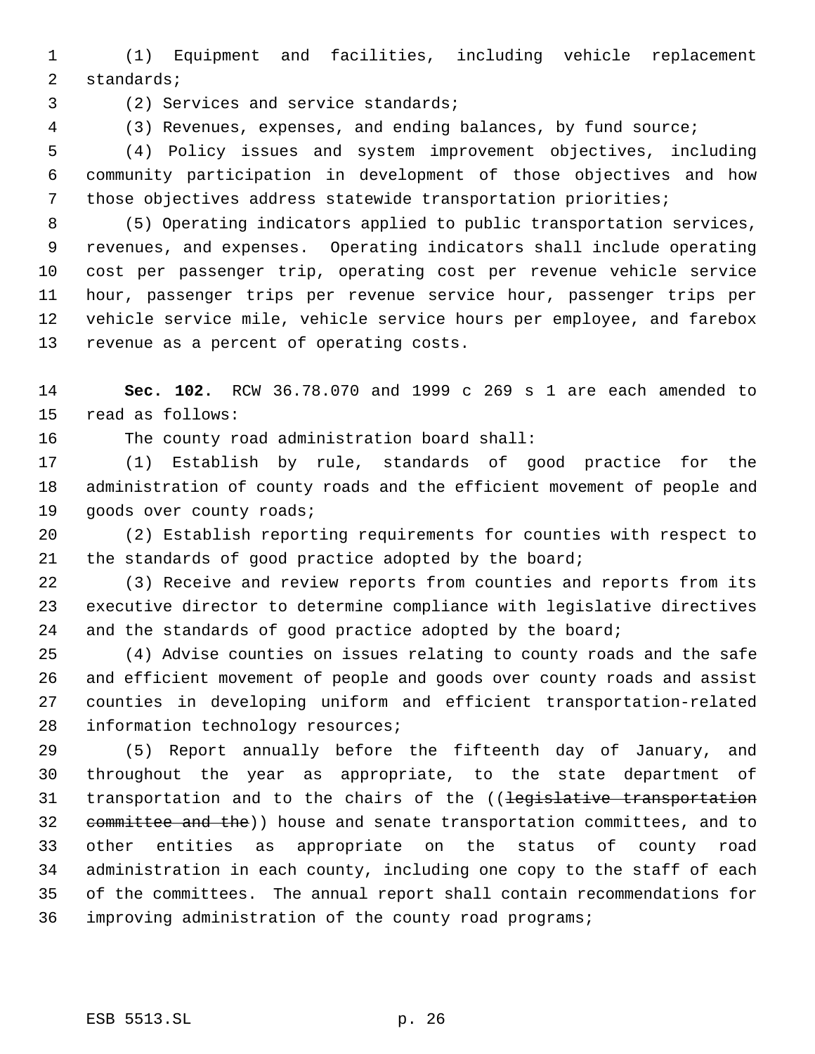(1) Equipment and facilities, including vehicle replacement standards;

(2) Services and service standards;

(3) Revenues, expenses, and ending balances, by fund source;

 (4) Policy issues and system improvement objectives, including community participation in development of those objectives and how those objectives address statewide transportation priorities;

 (5) Operating indicators applied to public transportation services, revenues, and expenses. Operating indicators shall include operating cost per passenger trip, operating cost per revenue vehicle service hour, passenger trips per revenue service hour, passenger trips per vehicle service mile, vehicle service hours per employee, and farebox revenue as a percent of operating costs.

 **Sec. 102.** RCW 36.78.070 and 1999 c 269 s 1 are each amended to read as follows:

The county road administration board shall:

 (1) Establish by rule, standards of good practice for the administration of county roads and the efficient movement of people and 19 goods over county roads;

 (2) Establish reporting requirements for counties with respect to 21 the standards of good practice adopted by the board;

 (3) Receive and review reports from counties and reports from its executive director to determine compliance with legislative directives 24 and the standards of good practice adopted by the board;

 (4) Advise counties on issues relating to county roads and the safe and efficient movement of people and goods over county roads and assist counties in developing uniform and efficient transportation-related 28 information technology resources;

 (5) Report annually before the fifteenth day of January, and throughout the year as appropriate, to the state department of 31 transportation and to the chairs of the ((legislative transportation 32 committee and the)) house and senate transportation committees, and to other entities as appropriate on the status of county road administration in each county, including one copy to the staff of each of the committees. The annual report shall contain recommendations for improving administration of the county road programs;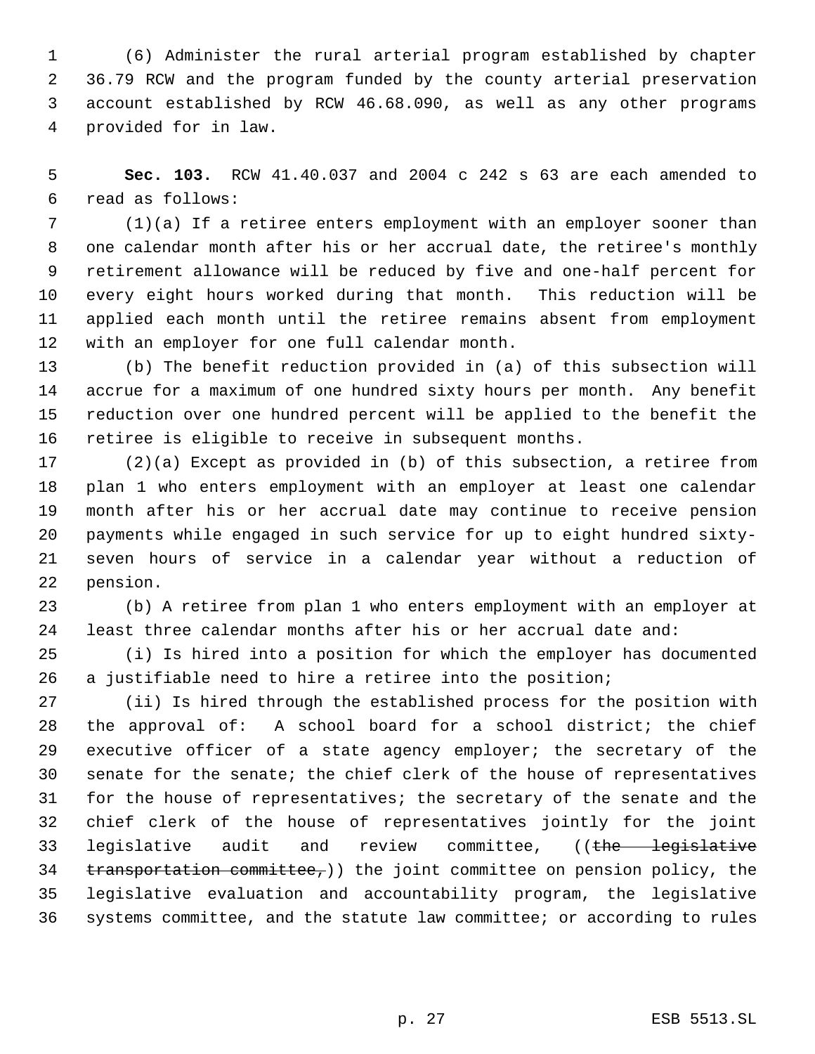(6) Administer the rural arterial program established by chapter 36.79 RCW and the program funded by the county arterial preservation account established by RCW 46.68.090, as well as any other programs provided for in law.

 **Sec. 103.** RCW 41.40.037 and 2004 c 242 s 63 are each amended to read as follows:

 (1)(a) If a retiree enters employment with an employer sooner than one calendar month after his or her accrual date, the retiree's monthly retirement allowance will be reduced by five and one-half percent for every eight hours worked during that month. This reduction will be applied each month until the retiree remains absent from employment with an employer for one full calendar month.

 (b) The benefit reduction provided in (a) of this subsection will accrue for a maximum of one hundred sixty hours per month. Any benefit reduction over one hundred percent will be applied to the benefit the retiree is eligible to receive in subsequent months.

 (2)(a) Except as provided in (b) of this subsection, a retiree from plan 1 who enters employment with an employer at least one calendar month after his or her accrual date may continue to receive pension payments while engaged in such service for up to eight hundred sixty- seven hours of service in a calendar year without a reduction of pension.

 (b) A retiree from plan 1 who enters employment with an employer at least three calendar months after his or her accrual date and:

 (i) Is hired into a position for which the employer has documented a justifiable need to hire a retiree into the position;

 (ii) Is hired through the established process for the position with the approval of: A school board for a school district; the chief executive officer of a state agency employer; the secretary of the senate for the senate; the chief clerk of the house of representatives for the house of representatives; the secretary of the senate and the chief clerk of the house of representatives jointly for the joint 33 legislative audit and review committee, ((the legislative transportation committee,)) the joint committee on pension policy, the legislative evaluation and accountability program, the legislative systems committee, and the statute law committee; or according to rules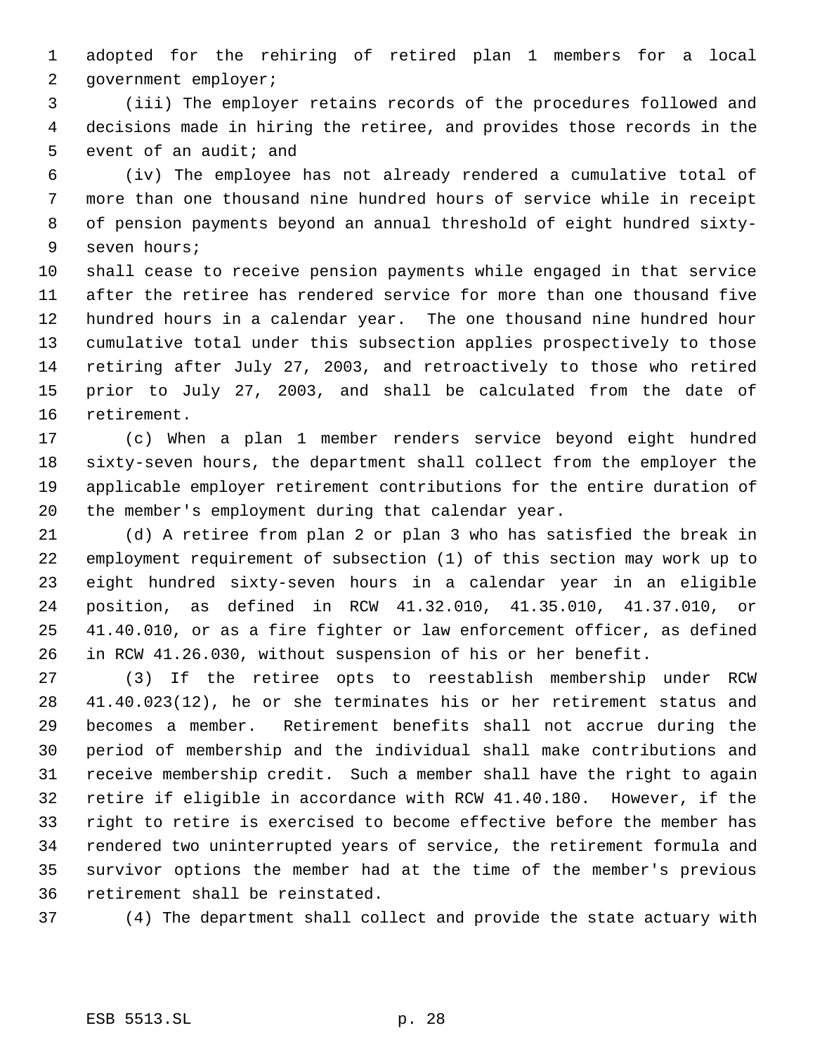adopted for the rehiring of retired plan 1 members for a local government employer;

 (iii) The employer retains records of the procedures followed and decisions made in hiring the retiree, and provides those records in the 5 event of an audit; and

 (iv) The employee has not already rendered a cumulative total of more than one thousand nine hundred hours of service while in receipt of pension payments beyond an annual threshold of eight hundred sixty- seven hours;

 shall cease to receive pension payments while engaged in that service after the retiree has rendered service for more than one thousand five hundred hours in a calendar year. The one thousand nine hundred hour cumulative total under this subsection applies prospectively to those retiring after July 27, 2003, and retroactively to those who retired prior to July 27, 2003, and shall be calculated from the date of retirement.

 (c) When a plan 1 member renders service beyond eight hundred sixty-seven hours, the department shall collect from the employer the applicable employer retirement contributions for the entire duration of the member's employment during that calendar year.

 (d) A retiree from plan 2 or plan 3 who has satisfied the break in employment requirement of subsection (1) of this section may work up to eight hundred sixty-seven hours in a calendar year in an eligible position, as defined in RCW 41.32.010, 41.35.010, 41.37.010, or 41.40.010, or as a fire fighter or law enforcement officer, as defined in RCW 41.26.030, without suspension of his or her benefit.

 (3) If the retiree opts to reestablish membership under RCW 41.40.023(12), he or she terminates his or her retirement status and becomes a member. Retirement benefits shall not accrue during the period of membership and the individual shall make contributions and receive membership credit. Such a member shall have the right to again retire if eligible in accordance with RCW 41.40.180. However, if the right to retire is exercised to become effective before the member has rendered two uninterrupted years of service, the retirement formula and survivor options the member had at the time of the member's previous retirement shall be reinstated.

(4) The department shall collect and provide the state actuary with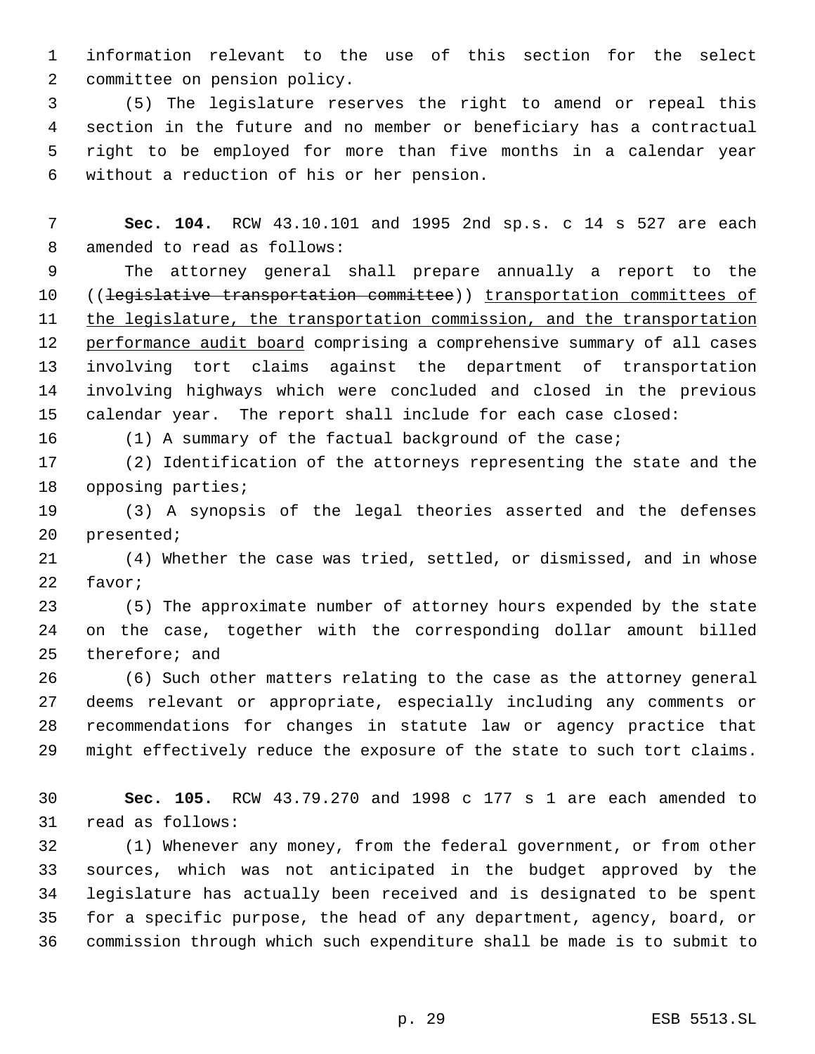information relevant to the use of this section for the select committee on pension policy.

 (5) The legislature reserves the right to amend or repeal this section in the future and no member or beneficiary has a contractual right to be employed for more than five months in a calendar year without a reduction of his or her pension.

 **Sec. 104.** RCW 43.10.101 and 1995 2nd sp.s. c 14 s 527 are each amended to read as follows:

 The attorney general shall prepare annually a report to the ((legislative transportation committee)) transportation committees of 11 the legislature, the transportation commission, and the transportation 12 performance audit board comprising a comprehensive summary of all cases involving tort claims against the department of transportation involving highways which were concluded and closed in the previous calendar year. The report shall include for each case closed:

(1) A summary of the factual background of the case;

 (2) Identification of the attorneys representing the state and the opposing parties;

 (3) A synopsis of the legal theories asserted and the defenses presented;

 (4) Whether the case was tried, settled, or dismissed, and in whose favor;

 (5) The approximate number of attorney hours expended by the state on the case, together with the corresponding dollar amount billed therefore; and

 (6) Such other matters relating to the case as the attorney general deems relevant or appropriate, especially including any comments or recommendations for changes in statute law or agency practice that might effectively reduce the exposure of the state to such tort claims.

 **Sec. 105.** RCW 43.79.270 and 1998 c 177 s 1 are each amended to read as follows:

 (1) Whenever any money, from the federal government, or from other sources, which was not anticipated in the budget approved by the legislature has actually been received and is designated to be spent for a specific purpose, the head of any department, agency, board, or commission through which such expenditure shall be made is to submit to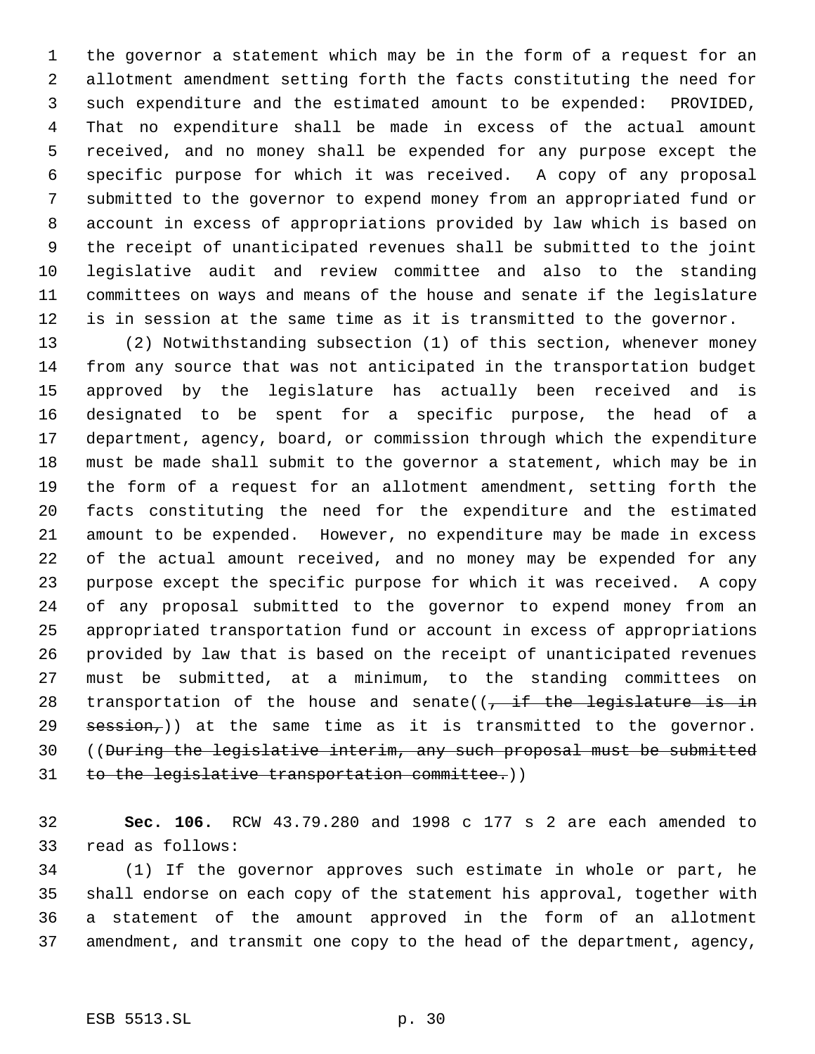the governor a statement which may be in the form of a request for an allotment amendment setting forth the facts constituting the need for such expenditure and the estimated amount to be expended: PROVIDED, That no expenditure shall be made in excess of the actual amount received, and no money shall be expended for any purpose except the specific purpose for which it was received. A copy of any proposal submitted to the governor to expend money from an appropriated fund or account in excess of appropriations provided by law which is based on the receipt of unanticipated revenues shall be submitted to the joint legislative audit and review committee and also to the standing committees on ways and means of the house and senate if the legislature is in session at the same time as it is transmitted to the governor.

 (2) Notwithstanding subsection (1) of this section, whenever money from any source that was not anticipated in the transportation budget approved by the legislature has actually been received and is designated to be spent for a specific purpose, the head of a department, agency, board, or commission through which the expenditure must be made shall submit to the governor a statement, which may be in the form of a request for an allotment amendment, setting forth the facts constituting the need for the expenditure and the estimated amount to be expended. However, no expenditure may be made in excess of the actual amount received, and no money may be expended for any purpose except the specific purpose for which it was received. A copy of any proposal submitted to the governor to expend money from an appropriated transportation fund or account in excess of appropriations provided by law that is based on the receipt of unanticipated revenues must be submitted, at a minimum, to the standing committees on 28 transportation of the house and senate( $\sqrt{t}$  if the legislature is in session,)) at the same time as it is transmitted to the governor. ((During the legislative interim, any such proposal must be submitted 31 to the legislative transportation committee.))

 **Sec. 106.** RCW 43.79.280 and 1998 c 177 s 2 are each amended to read as follows:

 (1) If the governor approves such estimate in whole or part, he shall endorse on each copy of the statement his approval, together with a statement of the amount approved in the form of an allotment amendment, and transmit one copy to the head of the department, agency,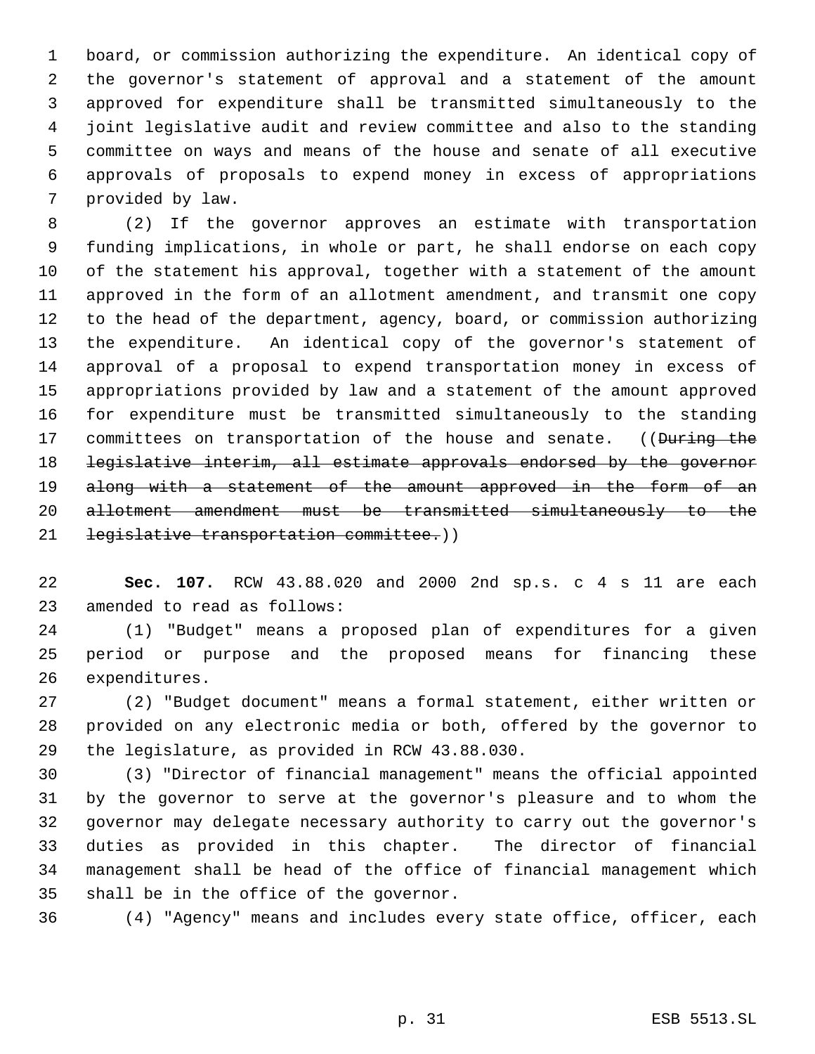board, or commission authorizing the expenditure. An identical copy of the governor's statement of approval and a statement of the amount approved for expenditure shall be transmitted simultaneously to the joint legislative audit and review committee and also to the standing committee on ways and means of the house and senate of all executive approvals of proposals to expend money in excess of appropriations provided by law.

 (2) If the governor approves an estimate with transportation funding implications, in whole or part, he shall endorse on each copy of the statement his approval, together with a statement of the amount approved in the form of an allotment amendment, and transmit one copy to the head of the department, agency, board, or commission authorizing the expenditure. An identical copy of the governor's statement of approval of a proposal to expend transportation money in excess of appropriations provided by law and a statement of the amount approved for expenditure must be transmitted simultaneously to the standing 17 committees on transportation of the house and senate. ((During the legislative interim, all estimate approvals endorsed by the governor 19 along with a statement of the amount approved in the form of an allotment amendment must be transmitted simultaneously to the 21 legislative transportation committee.))

 **Sec. 107.** RCW 43.88.020 and 2000 2nd sp.s. c 4 s 11 are each amended to read as follows:

 (1) "Budget" means a proposed plan of expenditures for a given period or purpose and the proposed means for financing these expenditures.

 (2) "Budget document" means a formal statement, either written or provided on any electronic media or both, offered by the governor to the legislature, as provided in RCW 43.88.030.

 (3) "Director of financial management" means the official appointed by the governor to serve at the governor's pleasure and to whom the governor may delegate necessary authority to carry out the governor's duties as provided in this chapter. The director of financial management shall be head of the office of financial management which shall be in the office of the governor.

(4) "Agency" means and includes every state office, officer, each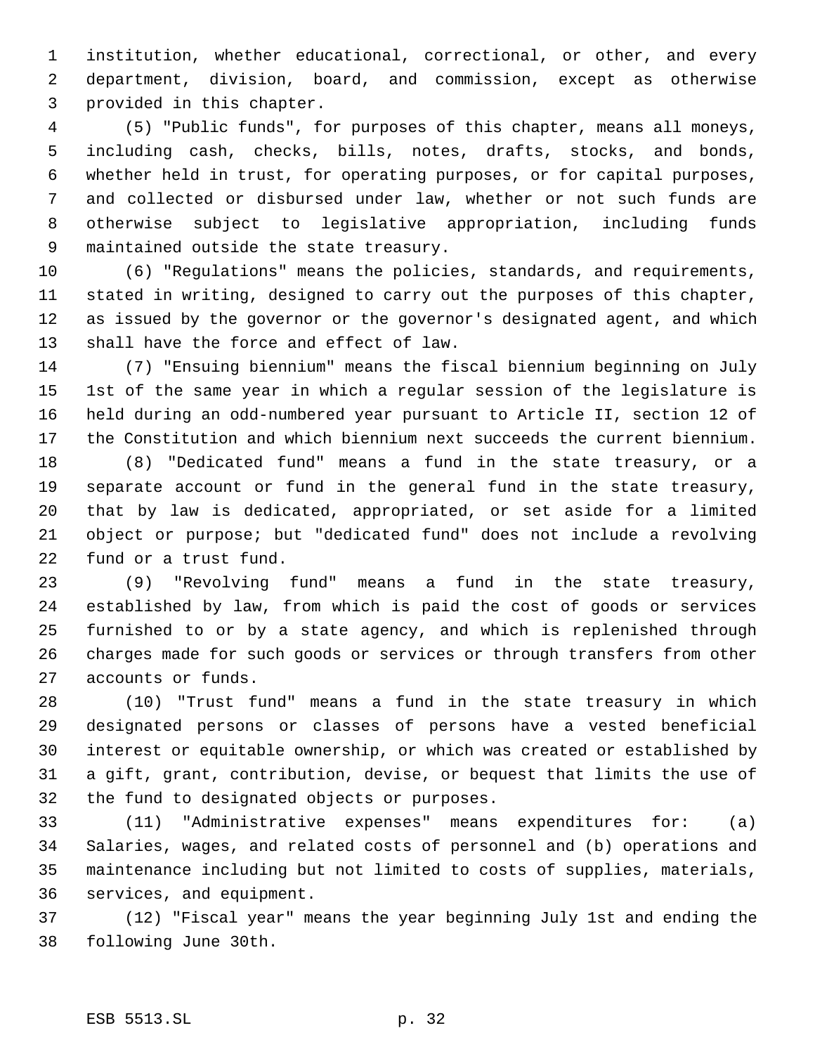institution, whether educational, correctional, or other, and every department, division, board, and commission, except as otherwise provided in this chapter.

 (5) "Public funds", for purposes of this chapter, means all moneys, including cash, checks, bills, notes, drafts, stocks, and bonds, whether held in trust, for operating purposes, or for capital purposes, and collected or disbursed under law, whether or not such funds are otherwise subject to legislative appropriation, including funds maintained outside the state treasury.

 (6) "Regulations" means the policies, standards, and requirements, stated in writing, designed to carry out the purposes of this chapter, as issued by the governor or the governor's designated agent, and which shall have the force and effect of law.

 (7) "Ensuing biennium" means the fiscal biennium beginning on July 1st of the same year in which a regular session of the legislature is held during an odd-numbered year pursuant to Article II, section 12 of the Constitution and which biennium next succeeds the current biennium.

 (8) "Dedicated fund" means a fund in the state treasury, or a separate account or fund in the general fund in the state treasury, that by law is dedicated, appropriated, or set aside for a limited object or purpose; but "dedicated fund" does not include a revolving fund or a trust fund.

 (9) "Revolving fund" means a fund in the state treasury, established by law, from which is paid the cost of goods or services furnished to or by a state agency, and which is replenished through charges made for such goods or services or through transfers from other accounts or funds.

 (10) "Trust fund" means a fund in the state treasury in which designated persons or classes of persons have a vested beneficial interest or equitable ownership, or which was created or established by a gift, grant, contribution, devise, or bequest that limits the use of the fund to designated objects or purposes.

 (11) "Administrative expenses" means expenditures for: (a) Salaries, wages, and related costs of personnel and (b) operations and maintenance including but not limited to costs of supplies, materials, services, and equipment.

 (12) "Fiscal year" means the year beginning July 1st and ending the following June 30th.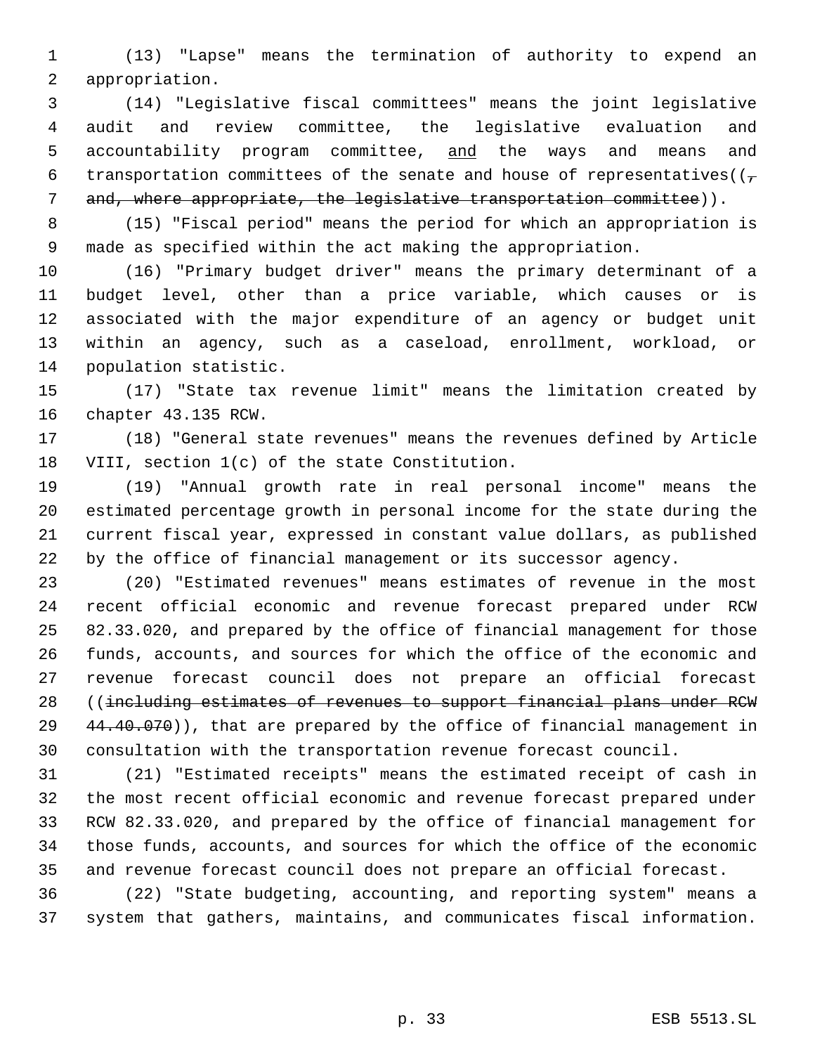(13) "Lapse" means the termination of authority to expend an appropriation.

 (14) "Legislative fiscal committees" means the joint legislative audit and review committee, the legislative evaluation and 5 accountability program committee, and the ways and means and 6 transportation committees of the senate and house of representatives( $(\tau$ 7 and, where appropriate, the legislative transportation committee)).

 (15) "Fiscal period" means the period for which an appropriation is made as specified within the act making the appropriation.

 (16) "Primary budget driver" means the primary determinant of a budget level, other than a price variable, which causes or is associated with the major expenditure of an agency or budget unit within an agency, such as a caseload, enrollment, workload, or population statistic.

 (17) "State tax revenue limit" means the limitation created by chapter 43.135 RCW.

 (18) "General state revenues" means the revenues defined by Article VIII, section 1(c) of the state Constitution.

 (19) "Annual growth rate in real personal income" means the estimated percentage growth in personal income for the state during the current fiscal year, expressed in constant value dollars, as published by the office of financial management or its successor agency.

 (20) "Estimated revenues" means estimates of revenue in the most recent official economic and revenue forecast prepared under RCW 82.33.020, and prepared by the office of financial management for those funds, accounts, and sources for which the office of the economic and revenue forecast council does not prepare an official forecast ((including estimates of revenues to support financial plans under RCW  $\{44.40.070\}$ , that are prepared by the office of financial management in consultation with the transportation revenue forecast council.

 (21) "Estimated receipts" means the estimated receipt of cash in the most recent official economic and revenue forecast prepared under RCW 82.33.020, and prepared by the office of financial management for those funds, accounts, and sources for which the office of the economic and revenue forecast council does not prepare an official forecast.

 (22) "State budgeting, accounting, and reporting system" means a system that gathers, maintains, and communicates fiscal information.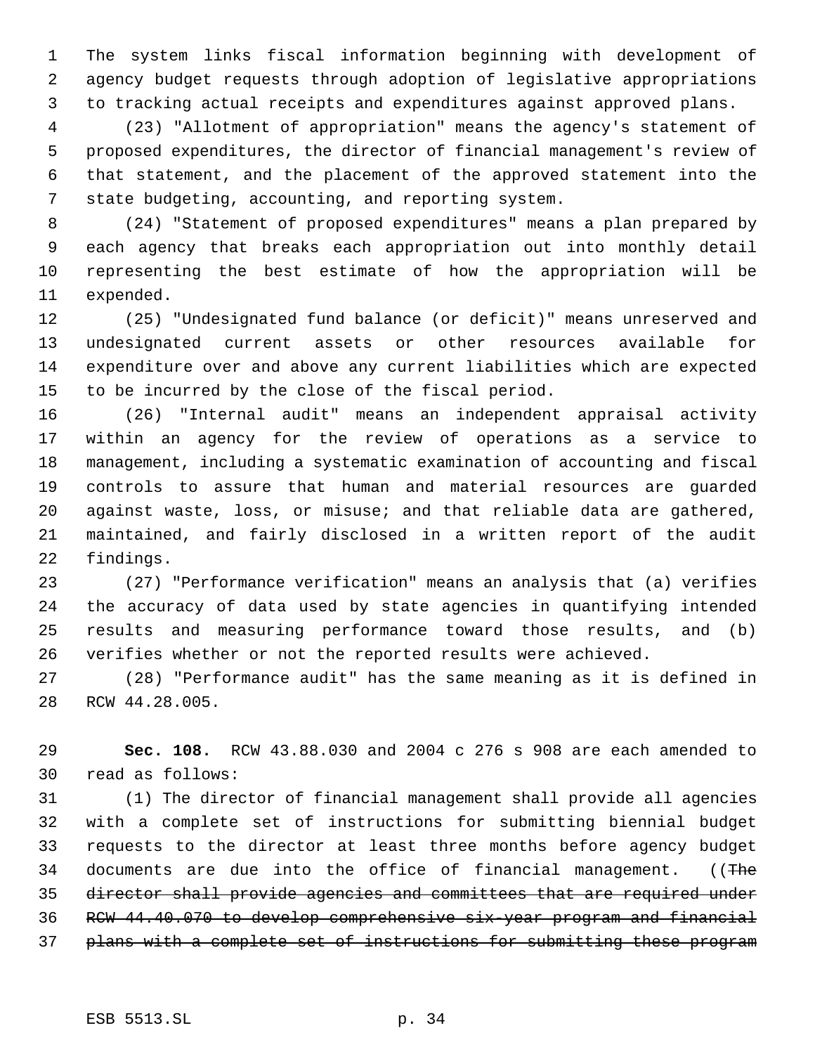The system links fiscal information beginning with development of agency budget requests through adoption of legislative appropriations to tracking actual receipts and expenditures against approved plans.

 (23) "Allotment of appropriation" means the agency's statement of proposed expenditures, the director of financial management's review of that statement, and the placement of the approved statement into the state budgeting, accounting, and reporting system.

 (24) "Statement of proposed expenditures" means a plan prepared by each agency that breaks each appropriation out into monthly detail representing the best estimate of how the appropriation will be expended.

 (25) "Undesignated fund balance (or deficit)" means unreserved and undesignated current assets or other resources available for expenditure over and above any current liabilities which are expected to be incurred by the close of the fiscal period.

 (26) "Internal audit" means an independent appraisal activity within an agency for the review of operations as a service to management, including a systematic examination of accounting and fiscal controls to assure that human and material resources are guarded against waste, loss, or misuse; and that reliable data are gathered, maintained, and fairly disclosed in a written report of the audit findings.

 (27) "Performance verification" means an analysis that (a) verifies the accuracy of data used by state agencies in quantifying intended results and measuring performance toward those results, and (b) verifies whether or not the reported results were achieved.

 (28) "Performance audit" has the same meaning as it is defined in RCW 44.28.005.

 **Sec. 108.** RCW 43.88.030 and 2004 c 276 s 908 are each amended to read as follows:

 (1) The director of financial management shall provide all agencies with a complete set of instructions for submitting biennial budget requests to the director at least three months before agency budget 34 documents are due into the office of financial management. ((The director shall provide agencies and committees that are required under RCW 44.40.070 to develop comprehensive six-year program and financial 37 plans with a complete set of instructions for submitting these program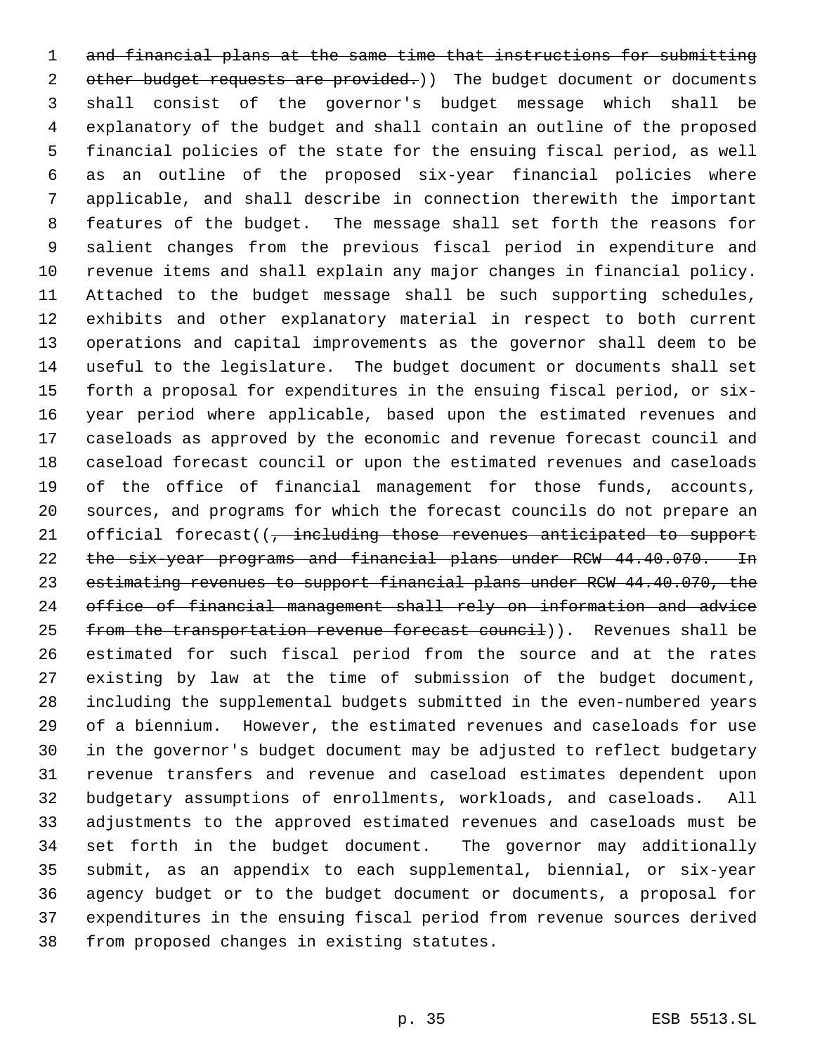and financial plans at the same time that instructions for submitting 2 other budget requests are provided.) The budget document or documents shall consist of the governor's budget message which shall be explanatory of the budget and shall contain an outline of the proposed financial policies of the state for the ensuing fiscal period, as well as an outline of the proposed six-year financial policies where applicable, and shall describe in connection therewith the important features of the budget. The message shall set forth the reasons for salient changes from the previous fiscal period in expenditure and revenue items and shall explain any major changes in financial policy. Attached to the budget message shall be such supporting schedules, exhibits and other explanatory material in respect to both current operations and capital improvements as the governor shall deem to be useful to the legislature. The budget document or documents shall set forth a proposal for expenditures in the ensuing fiscal period, or six- year period where applicable, based upon the estimated revenues and caseloads as approved by the economic and revenue forecast council and caseload forecast council or upon the estimated revenues and caseloads of the office of financial management for those funds, accounts, sources, and programs for which the forecast councils do not prepare an 21 official forecast((, including those revenues anticipated to support 22 the six-year programs and financial plans under RCW 44.40.070. In 23 estimating revenues to support financial plans under RCW 44.40.070, the office of financial management shall rely on information and advice 25 from the transportation revenue forecast council)). Revenues shall be estimated for such fiscal period from the source and at the rates existing by law at the time of submission of the budget document, including the supplemental budgets submitted in the even-numbered years of a biennium. However, the estimated revenues and caseloads for use in the governor's budget document may be adjusted to reflect budgetary revenue transfers and revenue and caseload estimates dependent upon budgetary assumptions of enrollments, workloads, and caseloads. All adjustments to the approved estimated revenues and caseloads must be set forth in the budget document. The governor may additionally submit, as an appendix to each supplemental, biennial, or six-year agency budget or to the budget document or documents, a proposal for expenditures in the ensuing fiscal period from revenue sources derived from proposed changes in existing statutes.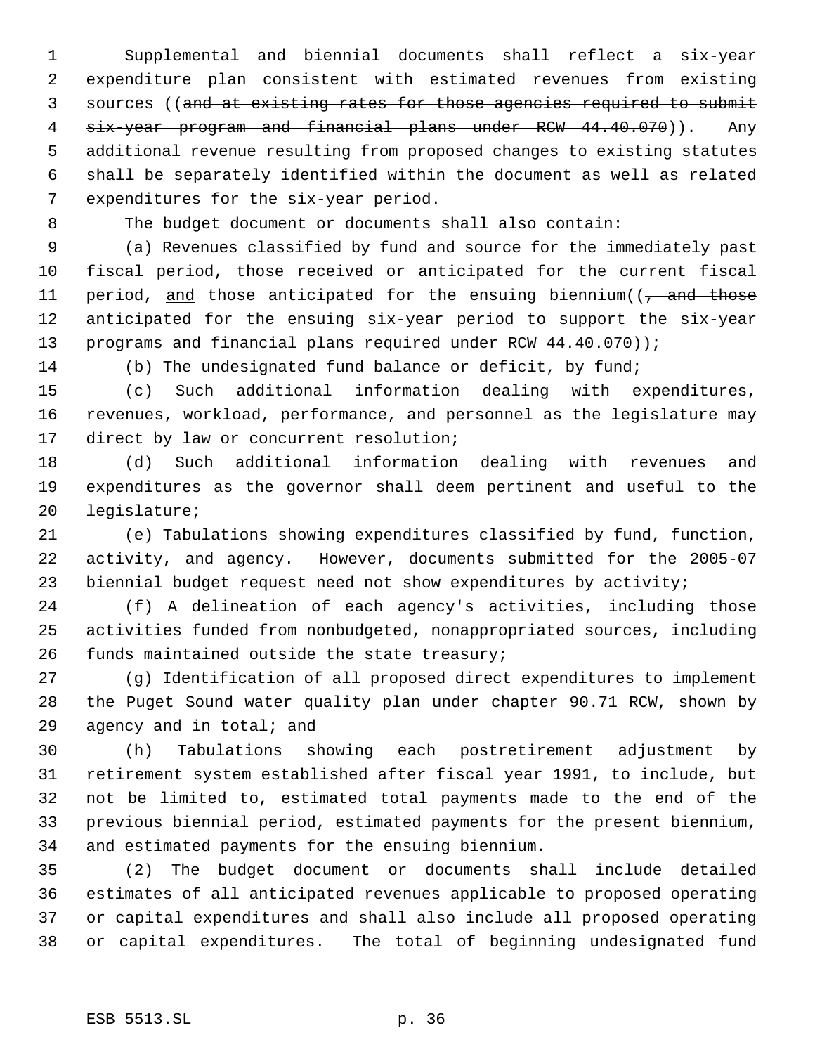Supplemental and biennial documents shall reflect a six-year expenditure plan consistent with estimated revenues from existing sources ((and at existing rates for those agencies required to submit six-year program and financial plans under RCW 44.40.070)). Any additional revenue resulting from proposed changes to existing statutes shall be separately identified within the document as well as related expenditures for the six-year period.

The budget document or documents shall also contain:

 (a) Revenues classified by fund and source for the immediately past fiscal period, those received or anticipated for the current fiscal 11 period, and those anticipated for the ensuing biennium( $\frac{1}{7}$  and those 12 anticipated for the ensuing six-year period to support the six-year 13 programs and financial plans required under RCW 44.40.070));

(b) The undesignated fund balance or deficit, by fund;

 (c) Such additional information dealing with expenditures, revenues, workload, performance, and personnel as the legislature may direct by law or concurrent resolution;

 (d) Such additional information dealing with revenues and expenditures as the governor shall deem pertinent and useful to the legislature;

 (e) Tabulations showing expenditures classified by fund, function, activity, and agency. However, documents submitted for the 2005-07 biennial budget request need not show expenditures by activity;

 (f) A delineation of each agency's activities, including those activities funded from nonbudgeted, nonappropriated sources, including funds maintained outside the state treasury;

 (g) Identification of all proposed direct expenditures to implement the Puget Sound water quality plan under chapter 90.71 RCW, shown by agency and in total; and

 (h) Tabulations showing each postretirement adjustment by retirement system established after fiscal year 1991, to include, but not be limited to, estimated total payments made to the end of the previous biennial period, estimated payments for the present biennium, and estimated payments for the ensuing biennium.

 (2) The budget document or documents shall include detailed estimates of all anticipated revenues applicable to proposed operating or capital expenditures and shall also include all proposed operating or capital expenditures. The total of beginning undesignated fund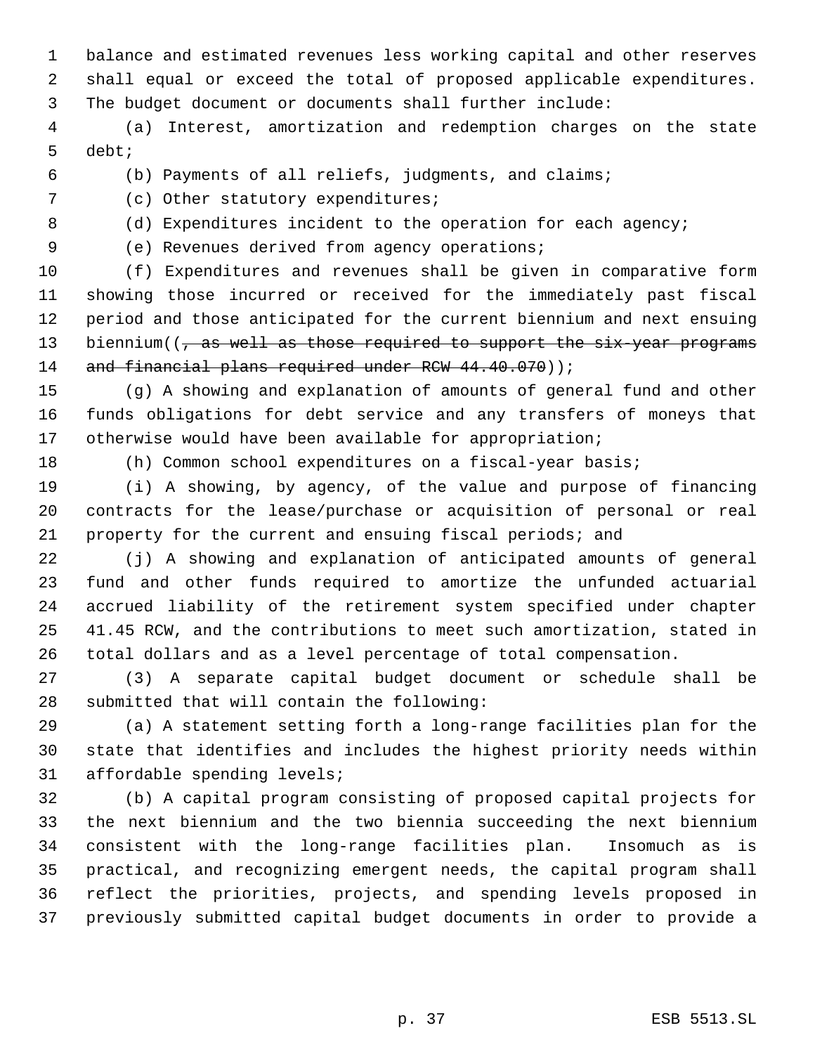balance and estimated revenues less working capital and other reserves shall equal or exceed the total of proposed applicable expenditures. The budget document or documents shall further include:

 (a) Interest, amortization and redemption charges on the state debt;

(b) Payments of all reliefs, judgments, and claims;

(c) Other statutory expenditures;

8 (d) Expenditures incident to the operation for each agency;

(e) Revenues derived from agency operations;

 (f) Expenditures and revenues shall be given in comparative form showing those incurred or received for the immediately past fiscal period and those anticipated for the current biennium and next ensuing 13 biennium((, as well as those required to support the six-year programs 14 and financial plans required under RCW 44.40.070));

 (g) A showing and explanation of amounts of general fund and other funds obligations for debt service and any transfers of moneys that otherwise would have been available for appropriation;

(h) Common school expenditures on a fiscal-year basis;

 (i) A showing, by agency, of the value and purpose of financing contracts for the lease/purchase or acquisition of personal or real property for the current and ensuing fiscal periods; and

 (j) A showing and explanation of anticipated amounts of general fund and other funds required to amortize the unfunded actuarial accrued liability of the retirement system specified under chapter 41.45 RCW, and the contributions to meet such amortization, stated in total dollars and as a level percentage of total compensation.

 (3) A separate capital budget document or schedule shall be submitted that will contain the following:

 (a) A statement setting forth a long-range facilities plan for the state that identifies and includes the highest priority needs within affordable spending levels;

 (b) A capital program consisting of proposed capital projects for the next biennium and the two biennia succeeding the next biennium consistent with the long-range facilities plan. Insomuch as is practical, and recognizing emergent needs, the capital program shall reflect the priorities, projects, and spending levels proposed in previously submitted capital budget documents in order to provide a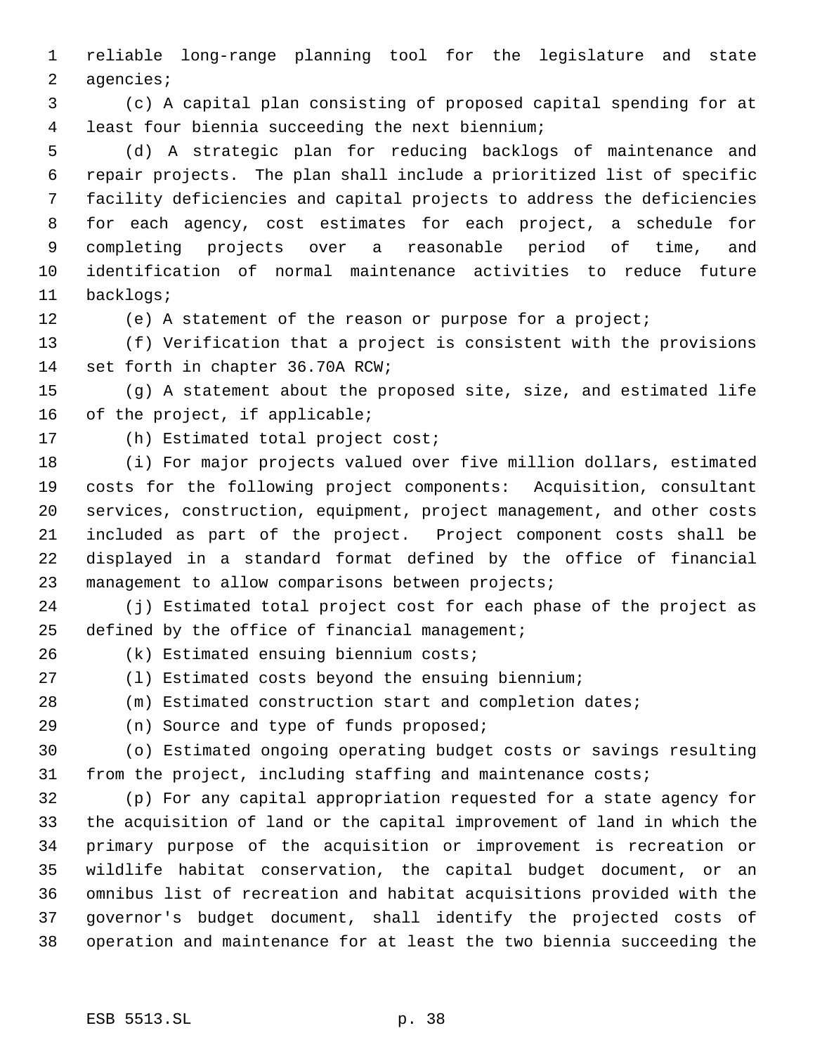reliable long-range planning tool for the legislature and state agencies;

 (c) A capital plan consisting of proposed capital spending for at least four biennia succeeding the next biennium;

 (d) A strategic plan for reducing backlogs of maintenance and repair projects. The plan shall include a prioritized list of specific facility deficiencies and capital projects to address the deficiencies for each agency, cost estimates for each project, a schedule for completing projects over a reasonable period of time, and identification of normal maintenance activities to reduce future backlogs;

(e) A statement of the reason or purpose for a project;

 (f) Verification that a project is consistent with the provisions set forth in chapter 36.70A RCW;

 (g) A statement about the proposed site, size, and estimated life of the project, if applicable;

(h) Estimated total project cost;

 (i) For major projects valued over five million dollars, estimated costs for the following project components: Acquisition, consultant services, construction, equipment, project management, and other costs included as part of the project. Project component costs shall be displayed in a standard format defined by the office of financial management to allow comparisons between projects;

 (j) Estimated total project cost for each phase of the project as defined by the office of financial management;

(k) Estimated ensuing biennium costs;

(l) Estimated costs beyond the ensuing biennium;

(m) Estimated construction start and completion dates;

(n) Source and type of funds proposed;

 (o) Estimated ongoing operating budget costs or savings resulting from the project, including staffing and maintenance costs;

 (p) For any capital appropriation requested for a state agency for the acquisition of land or the capital improvement of land in which the primary purpose of the acquisition or improvement is recreation or wildlife habitat conservation, the capital budget document, or an omnibus list of recreation and habitat acquisitions provided with the governor's budget document, shall identify the projected costs of operation and maintenance for at least the two biennia succeeding the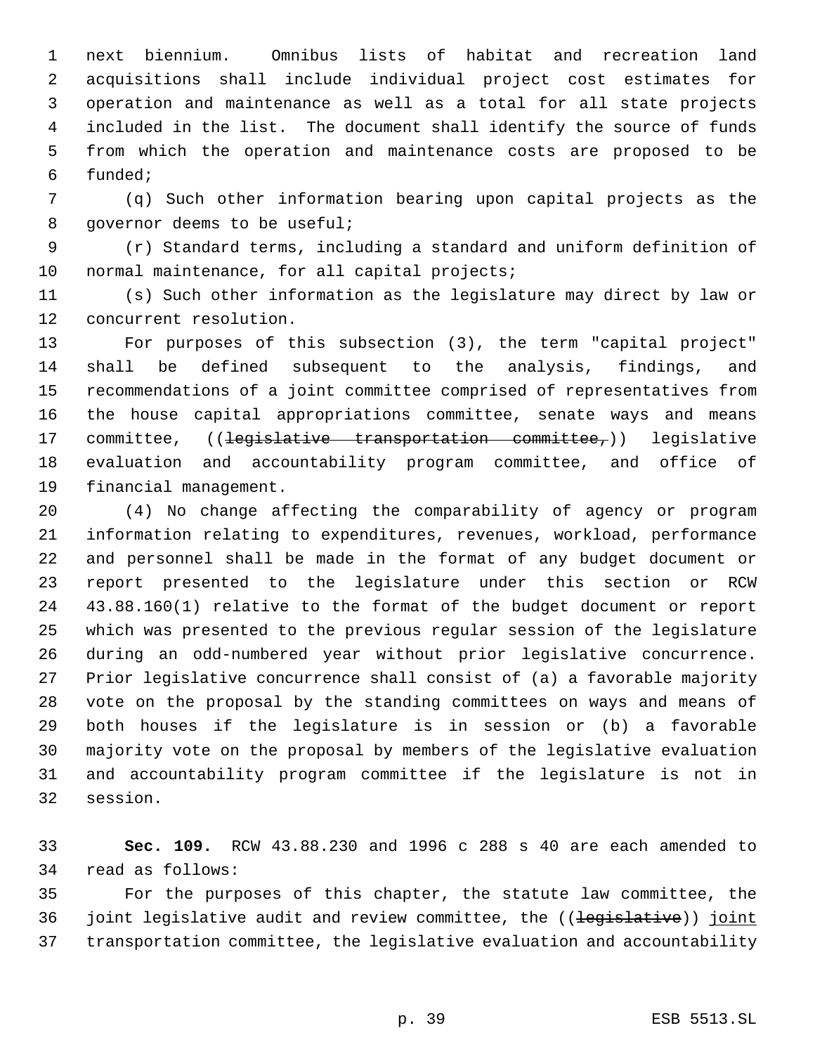next biennium. Omnibus lists of habitat and recreation land acquisitions shall include individual project cost estimates for operation and maintenance as well as a total for all state projects included in the list. The document shall identify the source of funds from which the operation and maintenance costs are proposed to be funded;

 (q) Such other information bearing upon capital projects as the 8 governor deems to be useful;

 (r) Standard terms, including a standard and uniform definition of 10 normal maintenance, for all capital projects;

 (s) Such other information as the legislature may direct by law or concurrent resolution.

 For purposes of this subsection (3), the term "capital project" shall be defined subsequent to the analysis, findings, and recommendations of a joint committee comprised of representatives from the house capital appropriations committee, senate ways and means 17 committee, ((legislative transportation committee,)) legislative evaluation and accountability program committee, and office of financial management.

 (4) No change affecting the comparability of agency or program information relating to expenditures, revenues, workload, performance and personnel shall be made in the format of any budget document or report presented to the legislature under this section or RCW 43.88.160(1) relative to the format of the budget document or report which was presented to the previous regular session of the legislature during an odd-numbered year without prior legislative concurrence. Prior legislative concurrence shall consist of (a) a favorable majority vote on the proposal by the standing committees on ways and means of both houses if the legislature is in session or (b) a favorable majority vote on the proposal by members of the legislative evaluation and accountability program committee if the legislature is not in session.

 **Sec. 109.** RCW 43.88.230 and 1996 c 288 s 40 are each amended to read as follows:

 For the purposes of this chapter, the statute law committee, the 36 joint legislative audit and review committee, the ((<del>legislative</del>)) joint transportation committee, the legislative evaluation and accountability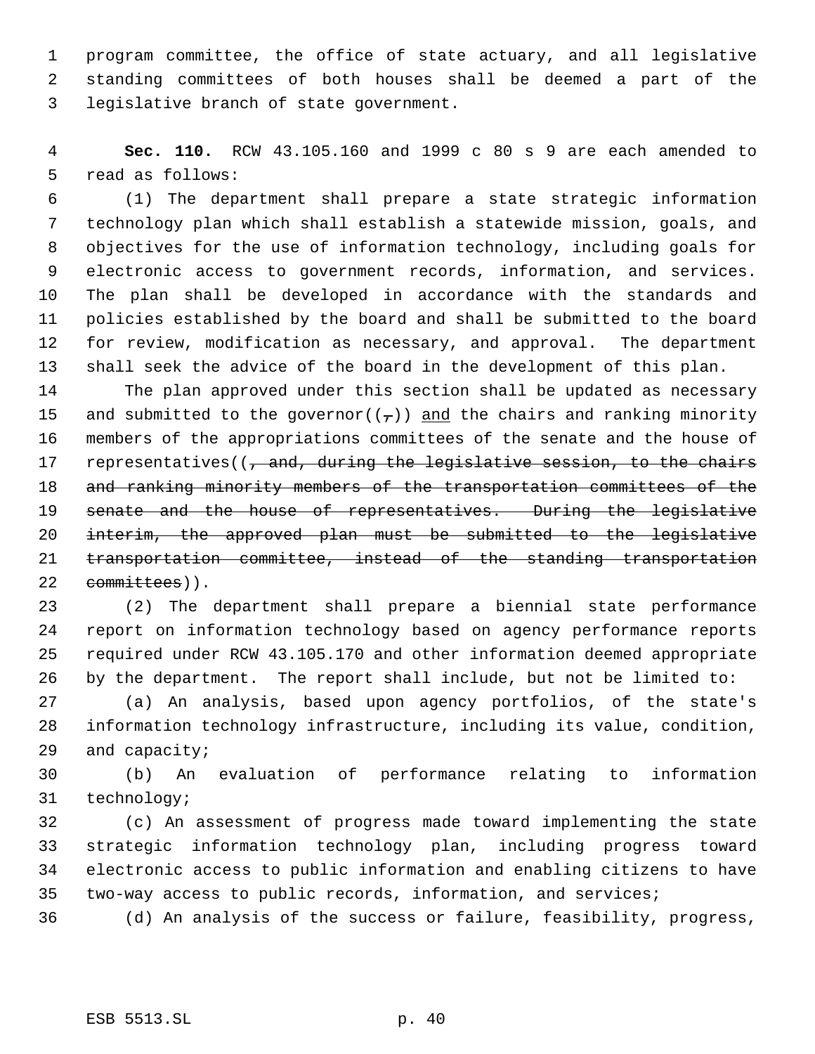program committee, the office of state actuary, and all legislative standing committees of both houses shall be deemed a part of the legislative branch of state government.

 **Sec. 110.** RCW 43.105.160 and 1999 c 80 s 9 are each amended to read as follows:

 (1) The department shall prepare a state strategic information technology plan which shall establish a statewide mission, goals, and objectives for the use of information technology, including goals for electronic access to government records, information, and services. The plan shall be developed in accordance with the standards and policies established by the board and shall be submitted to the board for review, modification as necessary, and approval. The department shall seek the advice of the board in the development of this plan.

 The plan approved under this section shall be updated as necessary 15 and submitted to the governor( $(\tau)$ ) and the chairs and ranking minority members of the appropriations committees of the senate and the house of 17 representatives((, and, during the legislative session, to the chairs and ranking minority members of the transportation committees of the 19 senate and the house of representatives. During the legislative interim, the approved plan must be submitted to the legislative transportation committee, instead of the standing transportation 22 committees)).

 (2) The department shall prepare a biennial state performance report on information technology based on agency performance reports required under RCW 43.105.170 and other information deemed appropriate by the department. The report shall include, but not be limited to:

 (a) An analysis, based upon agency portfolios, of the state's information technology infrastructure, including its value, condition, and capacity;

 (b) An evaluation of performance relating to information technology;

 (c) An assessment of progress made toward implementing the state strategic information technology plan, including progress toward electronic access to public information and enabling citizens to have two-way access to public records, information, and services;

(d) An analysis of the success or failure, feasibility, progress,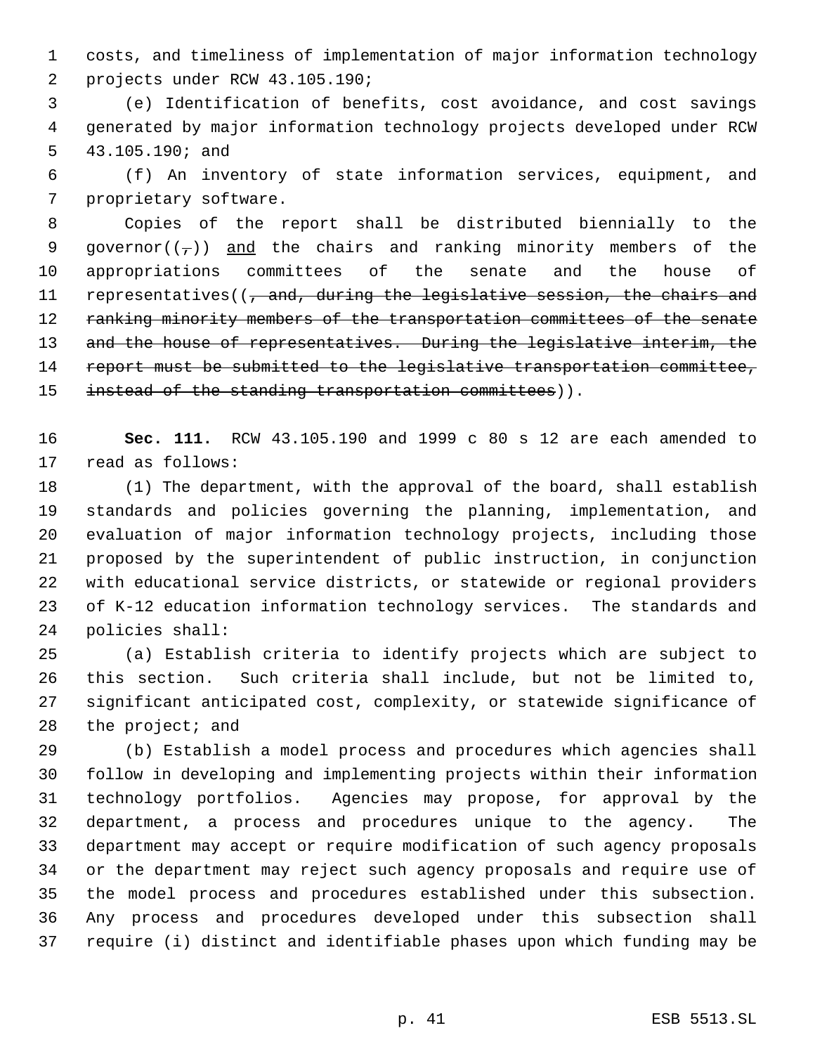costs, and timeliness of implementation of major information technology projects under RCW 43.105.190;

 (e) Identification of benefits, cost avoidance, and cost savings generated by major information technology projects developed under RCW 43.105.190; and

 (f) An inventory of state information services, equipment, and proprietary software.

 Copies of the report shall be distributed biennially to the 9 governor( $(\tau)$ ) and the chairs and ranking minority members of the appropriations committees of the senate and the house of 11 representatives((, and, during the legislative session, the chairs and 12 ranking minority members of the transportation committees of the senate 13 and the house of representatives. During the legislative interim, the 14 report must be submitted to the legislative transportation committee, 15 instead of the standing transportation committees)).

 **Sec. 111.** RCW 43.105.190 and 1999 c 80 s 12 are each amended to read as follows:

 (1) The department, with the approval of the board, shall establish standards and policies governing the planning, implementation, and evaluation of major information technology projects, including those proposed by the superintendent of public instruction, in conjunction with educational service districts, or statewide or regional providers of K-12 education information technology services. The standards and policies shall:

 (a) Establish criteria to identify projects which are subject to this section. Such criteria shall include, but not be limited to, significant anticipated cost, complexity, or statewide significance of 28 the project; and

 (b) Establish a model process and procedures which agencies shall follow in developing and implementing projects within their information technology portfolios. Agencies may propose, for approval by the department, a process and procedures unique to the agency. The department may accept or require modification of such agency proposals or the department may reject such agency proposals and require use of the model process and procedures established under this subsection. Any process and procedures developed under this subsection shall require (i) distinct and identifiable phases upon which funding may be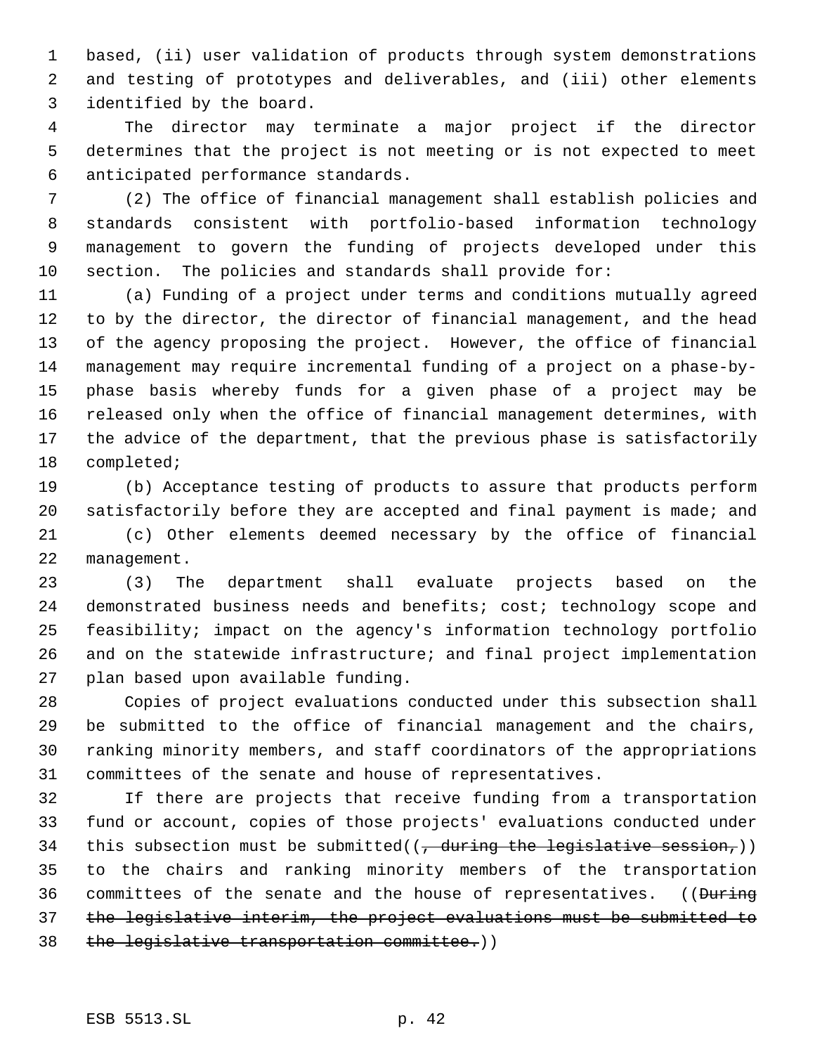based, (ii) user validation of products through system demonstrations and testing of prototypes and deliverables, and (iii) other elements identified by the board.

 The director may terminate a major project if the director determines that the project is not meeting or is not expected to meet anticipated performance standards.

 (2) The office of financial management shall establish policies and standards consistent with portfolio-based information technology management to govern the funding of projects developed under this section. The policies and standards shall provide for:

 (a) Funding of a project under terms and conditions mutually agreed to by the director, the director of financial management, and the head of the agency proposing the project. However, the office of financial management may require incremental funding of a project on a phase-by- phase basis whereby funds for a given phase of a project may be released only when the office of financial management determines, with the advice of the department, that the previous phase is satisfactorily completed;

 (b) Acceptance testing of products to assure that products perform satisfactorily before they are accepted and final payment is made; and

 (c) Other elements deemed necessary by the office of financial management.

 (3) The department shall evaluate projects based on the demonstrated business needs and benefits; cost; technology scope and feasibility; impact on the agency's information technology portfolio and on the statewide infrastructure; and final project implementation plan based upon available funding.

 Copies of project evaluations conducted under this subsection shall be submitted to the office of financial management and the chairs, ranking minority members, and staff coordinators of the appropriations committees of the senate and house of representatives.

 If there are projects that receive funding from a transportation fund or account, copies of those projects' evaluations conducted under 34 this subsection must be submitted( $\left( \frac{1}{f} \frac{1}{f} \frac{1}{f} \frac{1}{f} \frac{1}{f} \frac{1}{f} \frac{1}{f} \frac{1}{f} \frac{1}{f} \frac{1}{f} \frac{1}{f} \frac{1}{f} \frac{1}{f} \frac{1}{f} \frac{1}{f} \frac{1}{f} \frac{1}{f} \frac{1}{f} \frac{1}{f} \frac{1}{f} \frac{1}{f} \frac{1}{f} \frac{1}{f} \frac{1}{f} \frac{1}{f} \frac{1}{$  to the chairs and ranking minority members of the transportation 36 committees of the senate and the house of representatives. ((During the legislative interim, the project evaluations must be submitted to the legislative transportation committee.))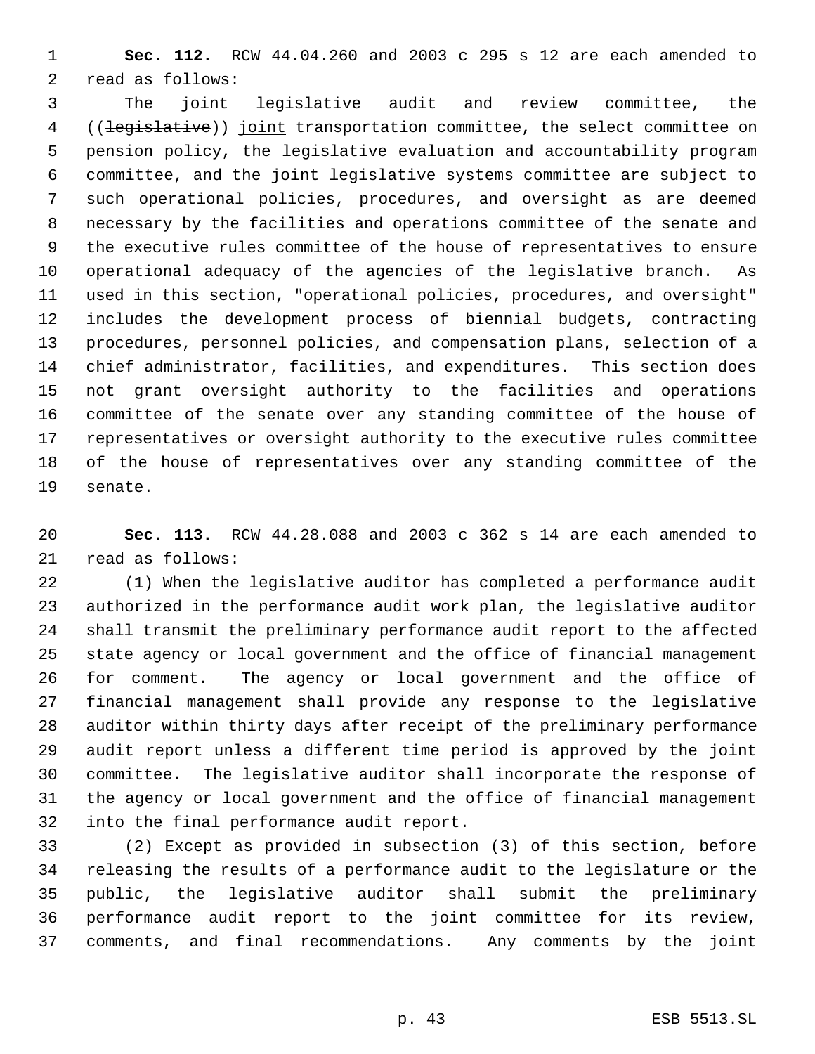**Sec. 112.** RCW 44.04.260 and 2003 c 295 s 12 are each amended to read as follows:

 The joint legislative audit and review committee, the 4 ((legislative)) joint transportation committee, the select committee on pension policy, the legislative evaluation and accountability program committee, and the joint legislative systems committee are subject to such operational policies, procedures, and oversight as are deemed necessary by the facilities and operations committee of the senate and the executive rules committee of the house of representatives to ensure operational adequacy of the agencies of the legislative branch. As used in this section, "operational policies, procedures, and oversight" includes the development process of biennial budgets, contracting procedures, personnel policies, and compensation plans, selection of a chief administrator, facilities, and expenditures. This section does not grant oversight authority to the facilities and operations committee of the senate over any standing committee of the house of representatives or oversight authority to the executive rules committee of the house of representatives over any standing committee of the senate.

 **Sec. 113.** RCW 44.28.088 and 2003 c 362 s 14 are each amended to read as follows:

 (1) When the legislative auditor has completed a performance audit authorized in the performance audit work plan, the legislative auditor shall transmit the preliminary performance audit report to the affected state agency or local government and the office of financial management for comment. The agency or local government and the office of financial management shall provide any response to the legislative auditor within thirty days after receipt of the preliminary performance audit report unless a different time period is approved by the joint committee. The legislative auditor shall incorporate the response of the agency or local government and the office of financial management into the final performance audit report.

 (2) Except as provided in subsection (3) of this section, before releasing the results of a performance audit to the legislature or the public, the legislative auditor shall submit the preliminary performance audit report to the joint committee for its review, comments, and final recommendations. Any comments by the joint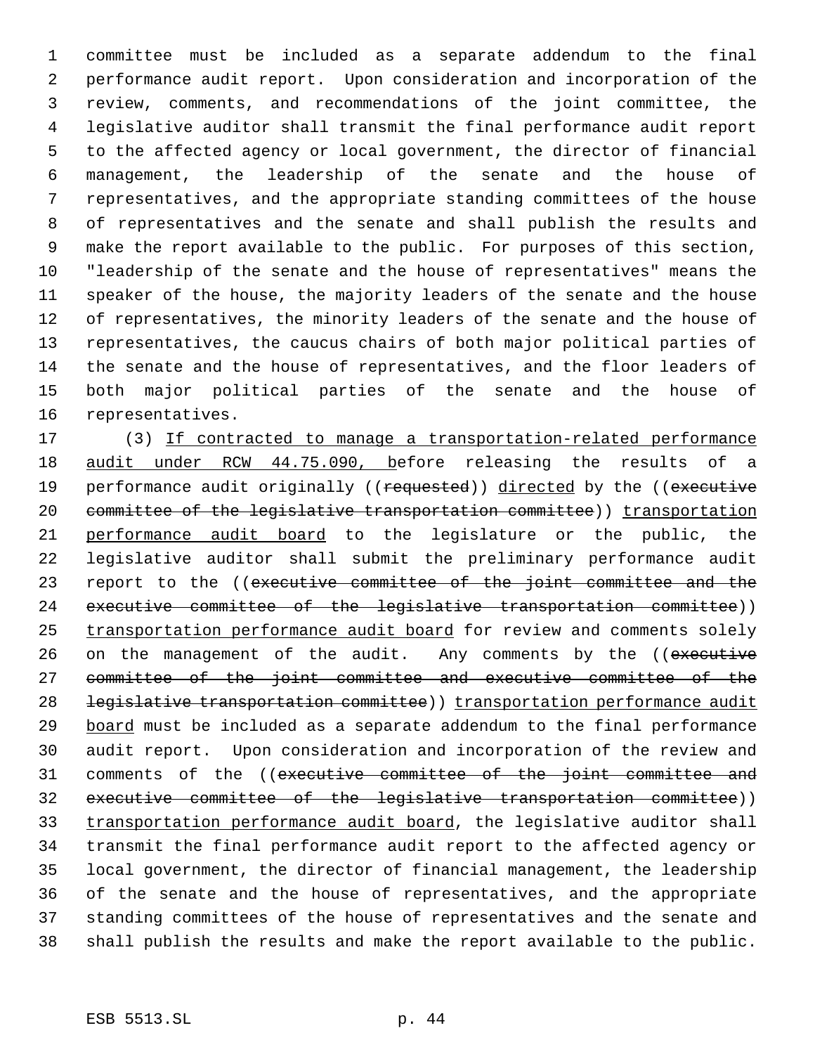committee must be included as a separate addendum to the final performance audit report. Upon consideration and incorporation of the review, comments, and recommendations of the joint committee, the legislative auditor shall transmit the final performance audit report to the affected agency or local government, the director of financial management, the leadership of the senate and the house of representatives, and the appropriate standing committees of the house of representatives and the senate and shall publish the results and make the report available to the public. For purposes of this section, "leadership of the senate and the house of representatives" means the speaker of the house, the majority leaders of the senate and the house of representatives, the minority leaders of the senate and the house of representatives, the caucus chairs of both major political parties of the senate and the house of representatives, and the floor leaders of both major political parties of the senate and the house of representatives.

 (3) If contracted to manage a transportation-related performance audit under RCW 44.75.090, before releasing the results of a 19 performance audit originally ((requested)) directed by the ((executive 20 committee of the legislative transportation committee)) transportation performance audit board to the legislature or the public, the legislative auditor shall submit the preliminary performance audit 23 report to the ((executive committee of the joint committee and the executive committee of the legislative transportation committee)) 25 transportation performance audit board for review and comments solely 26 on the management of the audit. Any comments by the ((executive committee of the joint committee and executive committee of the 28 legislative transportation committee) (transportation performance audit 29 board must be included as a separate addendum to the final performance audit report. Upon consideration and incorporation of the review and 31 comments of the ((executive committee of the joint committee and executive committee of the legislative transportation committee)) transportation performance audit board, the legislative auditor shall transmit the final performance audit report to the affected agency or local government, the director of financial management, the leadership of the senate and the house of representatives, and the appropriate standing committees of the house of representatives and the senate and shall publish the results and make the report available to the public.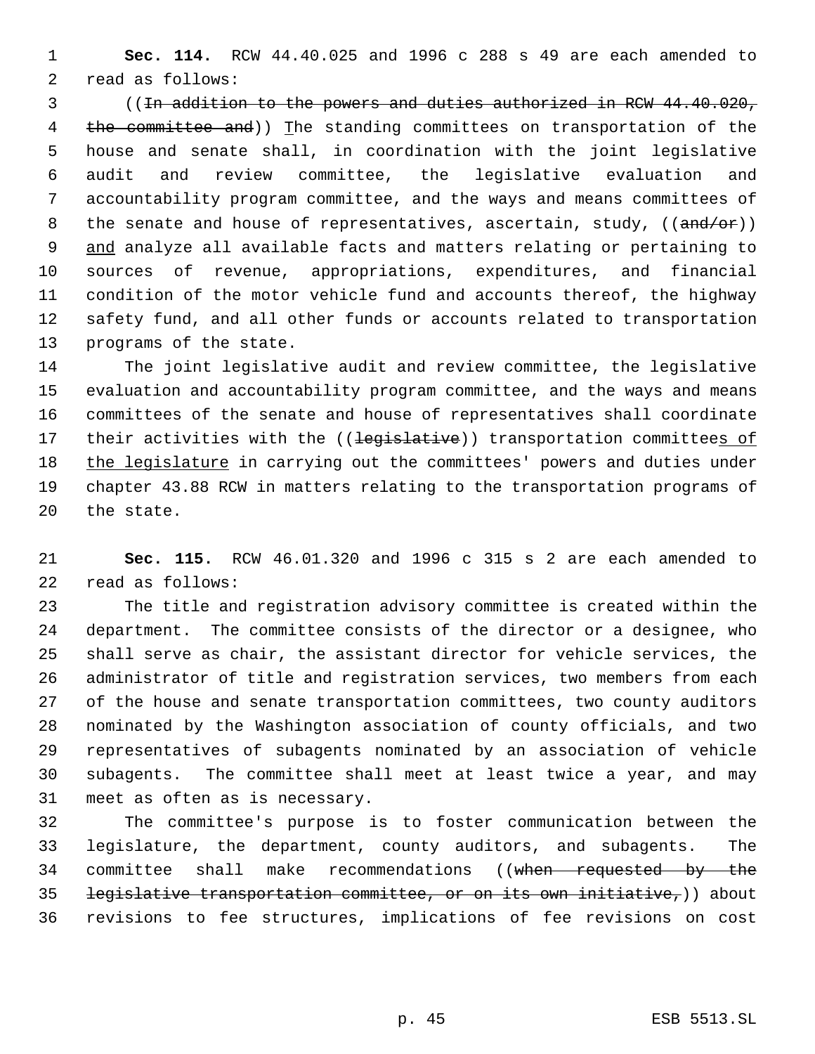**Sec. 114.** RCW 44.40.025 and 1996 c 288 s 49 are each amended to read as follows:

 ((In addition to the powers and duties authorized in RCW 44.40.020, 4 the committee and)) The standing committees on transportation of the house and senate shall, in coordination with the joint legislative audit and review committee, the legislative evaluation and accountability program committee, and the ways and means committees of 8 the senate and house of representatives, ascertain, study,  $((and/or))$ 9 and analyze all available facts and matters relating or pertaining to sources of revenue, appropriations, expenditures, and financial condition of the motor vehicle fund and accounts thereof, the highway safety fund, and all other funds or accounts related to transportation programs of the state.

 The joint legislative audit and review committee, the legislative evaluation and accountability program committee, and the ways and means committees of the senate and house of representatives shall coordinate 17 their activities with the ((legislative)) transportation committees of 18 the legislature in carrying out the committees' powers and duties under chapter 43.88 RCW in matters relating to the transportation programs of the state.

 **Sec. 115.** RCW 46.01.320 and 1996 c 315 s 2 are each amended to read as follows:

 The title and registration advisory committee is created within the department. The committee consists of the director or a designee, who shall serve as chair, the assistant director for vehicle services, the administrator of title and registration services, two members from each of the house and senate transportation committees, two county auditors nominated by the Washington association of county officials, and two representatives of subagents nominated by an association of vehicle subagents. The committee shall meet at least twice a year, and may meet as often as is necessary.

 The committee's purpose is to foster communication between the legislature, the department, county auditors, and subagents. The 34 committee shall make recommendations ((when requested by the 35 <del>legislative transportation committee, or on its own initiative,</del>)) about revisions to fee structures, implications of fee revisions on cost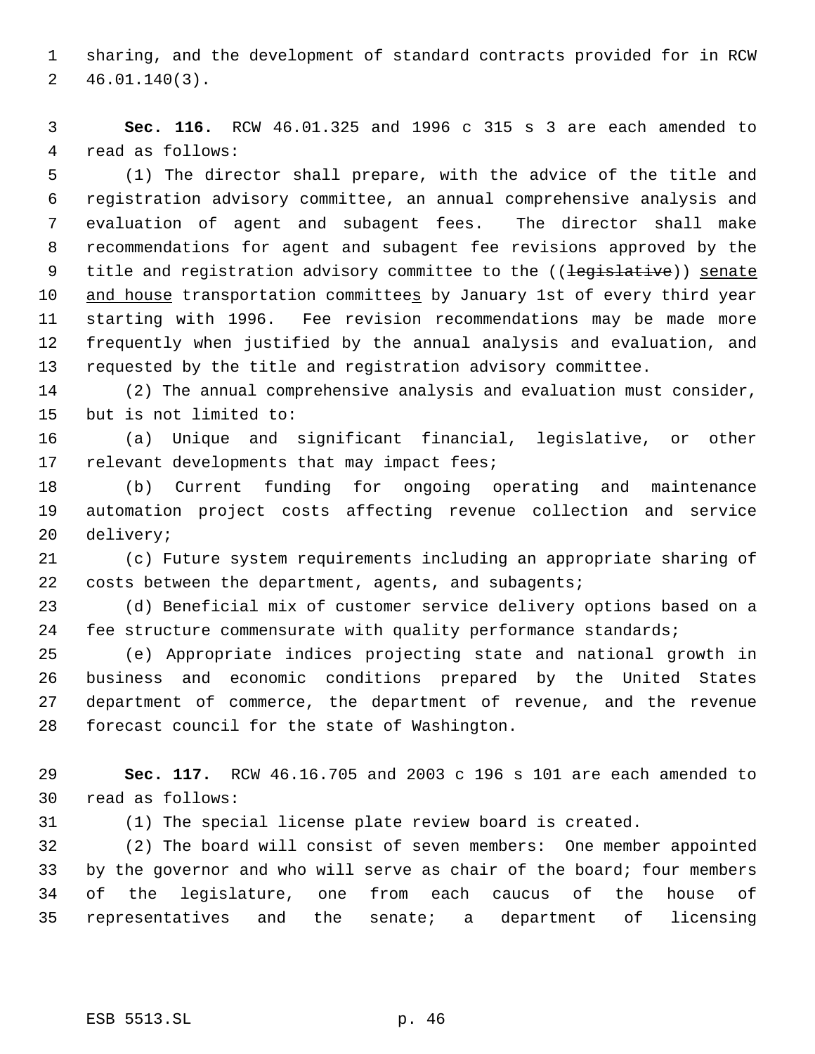sharing, and the development of standard contracts provided for in RCW 46.01.140(3).

 **Sec. 116.** RCW 46.01.325 and 1996 c 315 s 3 are each amended to read as follows:

 (1) The director shall prepare, with the advice of the title and registration advisory committee, an annual comprehensive analysis and evaluation of agent and subagent fees. The director shall make recommendations for agent and subagent fee revisions approved by the 9 title and registration advisory committee to the ((<del>legislative</del>)) senate 10 and house transportation committees by January 1st of every third year starting with 1996. Fee revision recommendations may be made more frequently when justified by the annual analysis and evaluation, and requested by the title and registration advisory committee.

 (2) The annual comprehensive analysis and evaluation must consider, but is not limited to:

 (a) Unique and significant financial, legislative, or other 17 relevant developments that may impact fees;

 (b) Current funding for ongoing operating and maintenance automation project costs affecting revenue collection and service delivery;

 (c) Future system requirements including an appropriate sharing of 22 costs between the department, agents, and subagents;

 (d) Beneficial mix of customer service delivery options based on a 24 fee structure commensurate with quality performance standards;

 (e) Appropriate indices projecting state and national growth in business and economic conditions prepared by the United States department of commerce, the department of revenue, and the revenue forecast council for the state of Washington.

 **Sec. 117.** RCW 46.16.705 and 2003 c 196 s 101 are each amended to read as follows:

(1) The special license plate review board is created.

 (2) The board will consist of seven members: One member appointed by the governor and who will serve as chair of the board; four members of the legislature, one from each caucus of the house of representatives and the senate; a department of licensing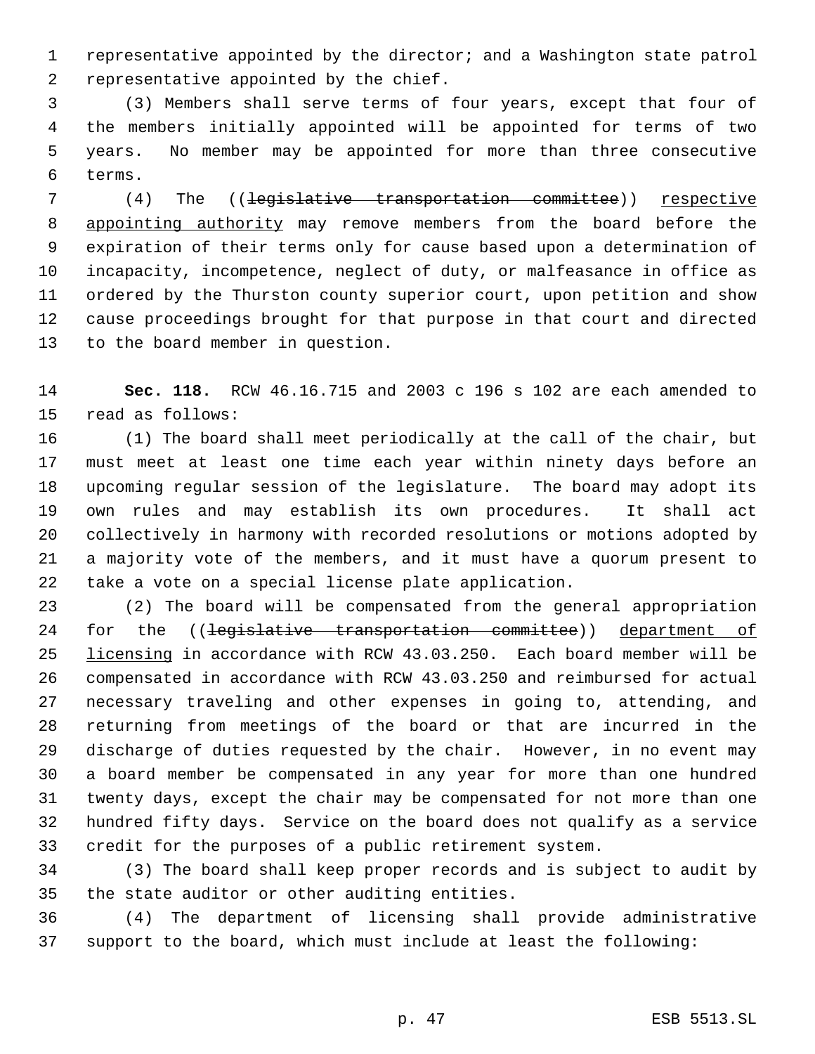representative appointed by the director; and a Washington state patrol representative appointed by the chief.

 (3) Members shall serve terms of four years, except that four of the members initially appointed will be appointed for terms of two years. No member may be appointed for more than three consecutive terms.

7 (4) The ((legislative transportation committee)) respective 8 appointing authority may remove members from the board before the expiration of their terms only for cause based upon a determination of incapacity, incompetence, neglect of duty, or malfeasance in office as ordered by the Thurston county superior court, upon petition and show cause proceedings brought for that purpose in that court and directed to the board member in question.

 **Sec. 118.** RCW 46.16.715 and 2003 c 196 s 102 are each amended to read as follows:

 (1) The board shall meet periodically at the call of the chair, but must meet at least one time each year within ninety days before an upcoming regular session of the legislature. The board may adopt its own rules and may establish its own procedures. It shall act collectively in harmony with recorded resolutions or motions adopted by a majority vote of the members, and it must have a quorum present to take a vote on a special license plate application.

 (2) The board will be compensated from the general appropriation 24 for the ((<del>legislative transportation committee</del>)) department of licensing in accordance with RCW 43.03.250. Each board member will be compensated in accordance with RCW 43.03.250 and reimbursed for actual necessary traveling and other expenses in going to, attending, and returning from meetings of the board or that are incurred in the discharge of duties requested by the chair. However, in no event may a board member be compensated in any year for more than one hundred twenty days, except the chair may be compensated for not more than one hundred fifty days. Service on the board does not qualify as a service credit for the purposes of a public retirement system.

 (3) The board shall keep proper records and is subject to audit by the state auditor or other auditing entities.

 (4) The department of licensing shall provide administrative support to the board, which must include at least the following: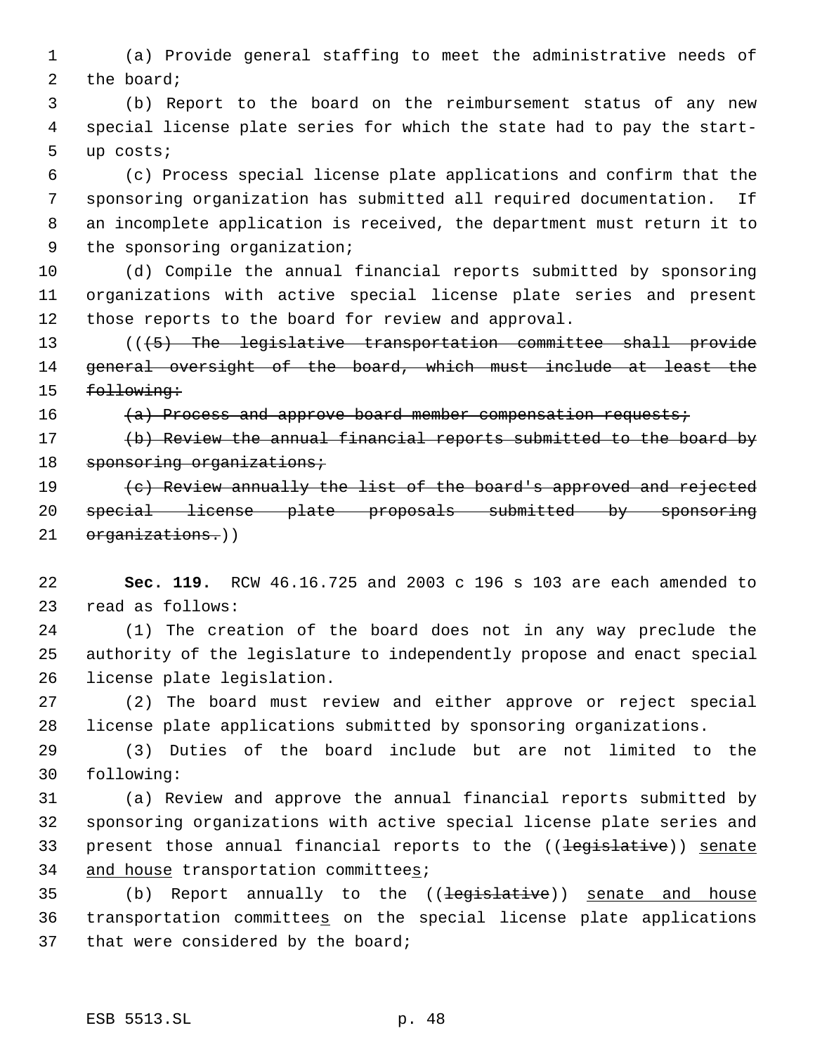(a) Provide general staffing to meet the administrative needs of 2 the board;

 (b) Report to the board on the reimbursement status of any new special license plate series for which the state had to pay the start- up costs;

 (c) Process special license plate applications and confirm that the sponsoring organization has submitted all required documentation. If an incomplete application is received, the department must return it to the sponsoring organization;

 (d) Compile the annual financial reports submitted by sponsoring organizations with active special license plate series and present those reports to the board for review and approval.

 (((5) The legislative transportation committee shall provide general oversight of the board, which must include at least the 15 following:

16 (a) Process and approve board member compensation requests;

 (b) Review the annual financial reports submitted to the board by 18 sponsoring organizations;

19 (c) Review annually the list of the board's approved and rejected special license plate proposals submitted by sponsoring 21 organizations.))

 **Sec. 119.** RCW 46.16.725 and 2003 c 196 s 103 are each amended to read as follows:

 (1) The creation of the board does not in any way preclude the authority of the legislature to independently propose and enact special license plate legislation.

 (2) The board must review and either approve or reject special license plate applications submitted by sponsoring organizations.

 (3) Duties of the board include but are not limited to the following:

 (a) Review and approve the annual financial reports submitted by sponsoring organizations with active special license plate series and 33 present those annual financial reports to the ((<del>legislative</del>)) senate 34 and house transportation committees;

35 (b) Report annually to the ((legislative)) senate and house transportation committees on the special license plate applications that were considered by the board;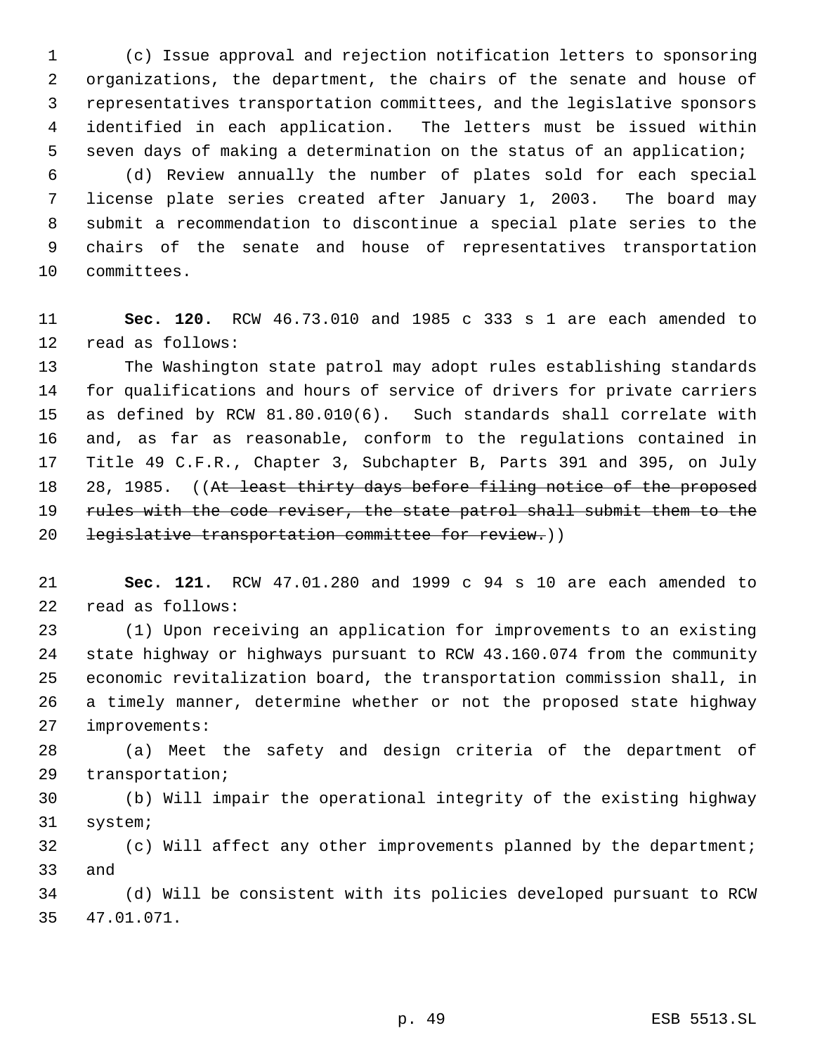(c) Issue approval and rejection notification letters to sponsoring organizations, the department, the chairs of the senate and house of representatives transportation committees, and the legislative sponsors identified in each application. The letters must be issued within seven days of making a determination on the status of an application;

 (d) Review annually the number of plates sold for each special license plate series created after January 1, 2003. The board may submit a recommendation to discontinue a special plate series to the chairs of the senate and house of representatives transportation committees.

 **Sec. 120.** RCW 46.73.010 and 1985 c 333 s 1 are each amended to read as follows:

 The Washington state patrol may adopt rules establishing standards for qualifications and hours of service of drivers for private carriers as defined by RCW 81.80.010(6). Such standards shall correlate with and, as far as reasonable, conform to the regulations contained in Title 49 C.F.R., Chapter 3, Subchapter B, Parts 391 and 395, on July 18 28, 1985. ((At least thirty days before filing notice of the proposed 19 rules with the code reviser, the state patrol shall submit them to the 20 legislative transportation committee for review.))

 **Sec. 121.** RCW 47.01.280 and 1999 c 94 s 10 are each amended to read as follows:

 (1) Upon receiving an application for improvements to an existing state highway or highways pursuant to RCW 43.160.074 from the community economic revitalization board, the transportation commission shall, in a timely manner, determine whether or not the proposed state highway improvements:

 (a) Meet the safety and design criteria of the department of transportation;

 (b) Will impair the operational integrity of the existing highway system;

 (c) Will affect any other improvements planned by the department; and

 (d) Will be consistent with its policies developed pursuant to RCW 47.01.071.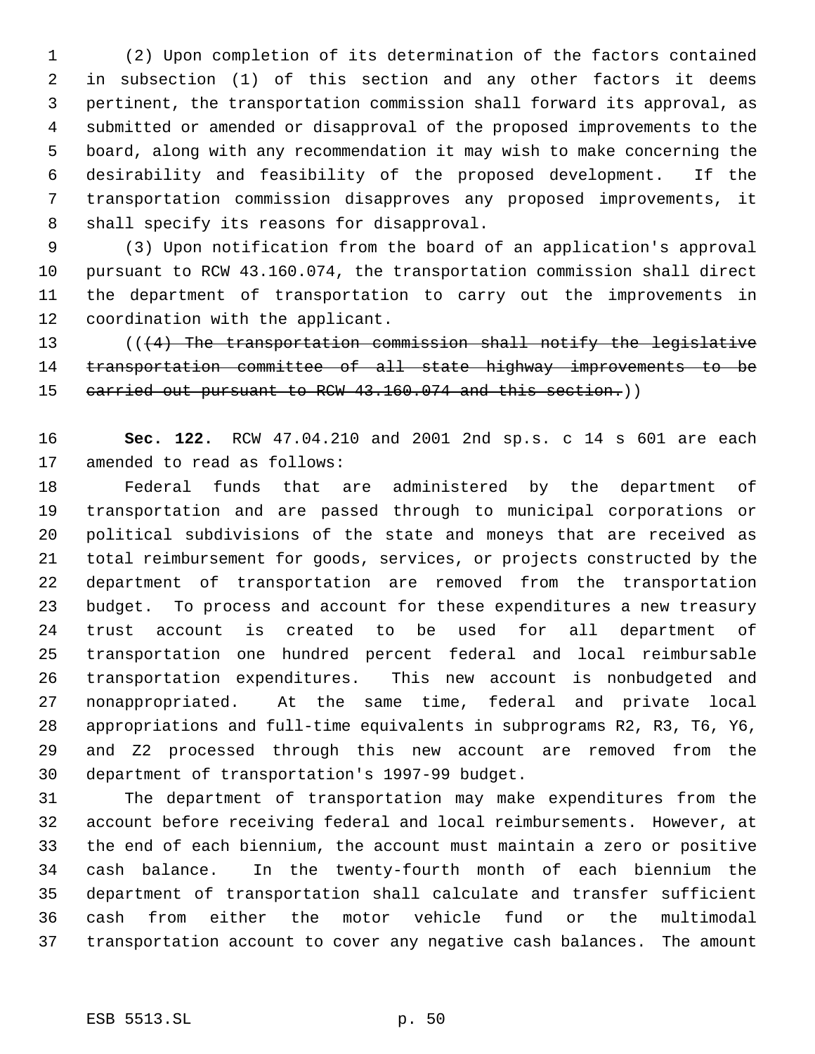(2) Upon completion of its determination of the factors contained in subsection (1) of this section and any other factors it deems pertinent, the transportation commission shall forward its approval, as submitted or amended or disapproval of the proposed improvements to the board, along with any recommendation it may wish to make concerning the desirability and feasibility of the proposed development. If the transportation commission disapproves any proposed improvements, it shall specify its reasons for disapproval.

 (3) Upon notification from the board of an application's approval pursuant to RCW 43.160.074, the transportation commission shall direct the department of transportation to carry out the improvements in coordination with the applicant.

 (((4) The transportation commission shall notify the legislative transportation committee of all state highway improvements to be 15 carried out pursuant to RCW 43.160.074 and this section.))

 **Sec. 122.** RCW 47.04.210 and 2001 2nd sp.s. c 14 s 601 are each amended to read as follows:

 Federal funds that are administered by the department of transportation and are passed through to municipal corporations or political subdivisions of the state and moneys that are received as total reimbursement for goods, services, or projects constructed by the department of transportation are removed from the transportation budget. To process and account for these expenditures a new treasury trust account is created to be used for all department of transportation one hundred percent federal and local reimbursable transportation expenditures. This new account is nonbudgeted and nonappropriated. At the same time, federal and private local appropriations and full-time equivalents in subprograms R2, R3, T6, Y6, and Z2 processed through this new account are removed from the department of transportation's 1997-99 budget.

 The department of transportation may make expenditures from the account before receiving federal and local reimbursements. However, at the end of each biennium, the account must maintain a zero or positive cash balance. In the twenty-fourth month of each biennium the department of transportation shall calculate and transfer sufficient cash from either the motor vehicle fund or the multimodal transportation account to cover any negative cash balances. The amount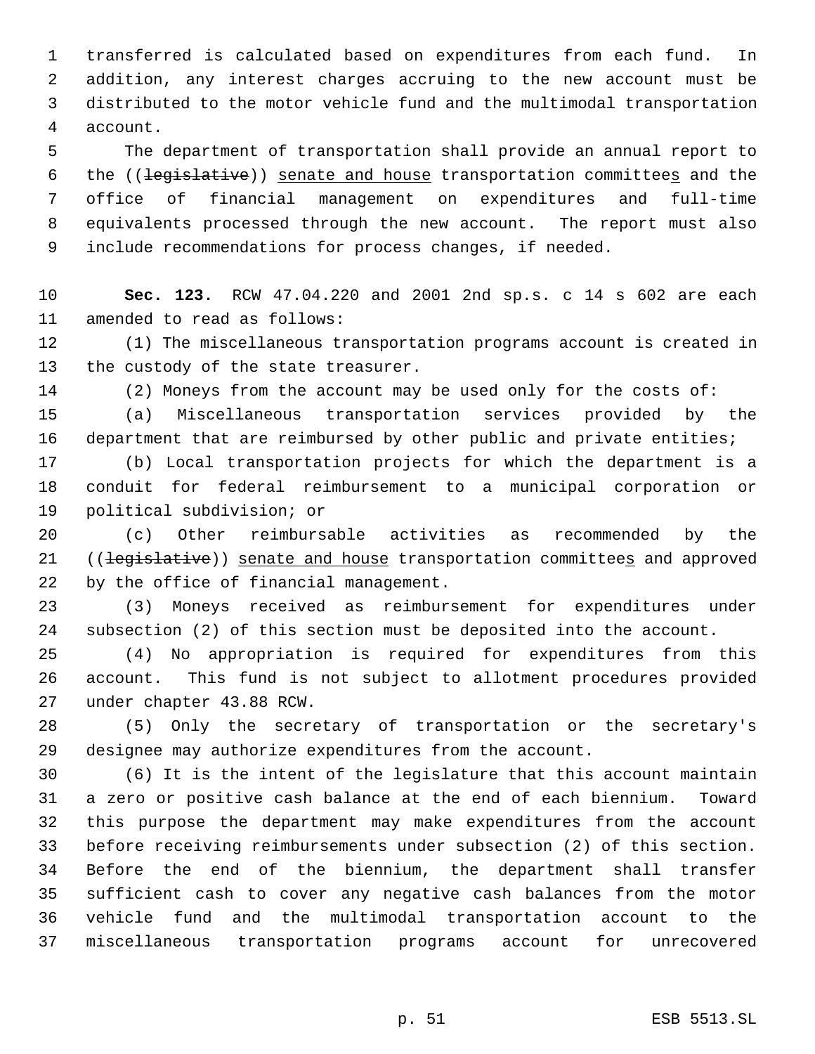transferred is calculated based on expenditures from each fund. In addition, any interest charges accruing to the new account must be distributed to the motor vehicle fund and the multimodal transportation account.

 The department of transportation shall provide an annual report to 6 the ((legislative)) senate and house transportation committees and the office of financial management on expenditures and full-time equivalents processed through the new account. The report must also include recommendations for process changes, if needed.

 **Sec. 123.** RCW 47.04.220 and 2001 2nd sp.s. c 14 s 602 are each amended to read as follows:

 (1) The miscellaneous transportation programs account is created in the custody of the state treasurer.

(2) Moneys from the account may be used only for the costs of:

 (a) Miscellaneous transportation services provided by the 16 department that are reimbursed by other public and private entities;

 (b) Local transportation projects for which the department is a conduit for federal reimbursement to a municipal corporation or political subdivision; or

 (c) Other reimbursable activities as recommended by the 21 ((legislative)) senate and house transportation committees and approved by the office of financial management.

 (3) Moneys received as reimbursement for expenditures under subsection (2) of this section must be deposited into the account.

 (4) No appropriation is required for expenditures from this account. This fund is not subject to allotment procedures provided under chapter 43.88 RCW.

 (5) Only the secretary of transportation or the secretary's designee may authorize expenditures from the account.

 (6) It is the intent of the legislature that this account maintain a zero or positive cash balance at the end of each biennium. Toward this purpose the department may make expenditures from the account before receiving reimbursements under subsection (2) of this section. Before the end of the biennium, the department shall transfer sufficient cash to cover any negative cash balances from the motor vehicle fund and the multimodal transportation account to the miscellaneous transportation programs account for unrecovered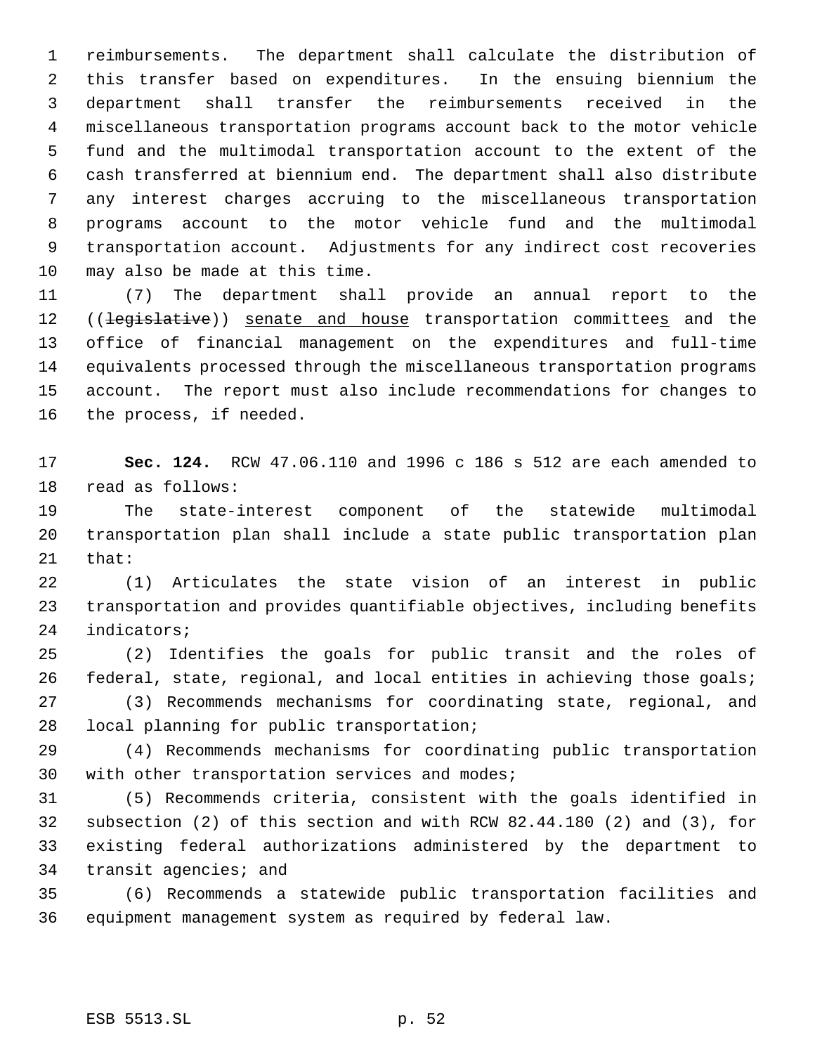reimbursements. The department shall calculate the distribution of this transfer based on expenditures. In the ensuing biennium the department shall transfer the reimbursements received in the miscellaneous transportation programs account back to the motor vehicle fund and the multimodal transportation account to the extent of the cash transferred at biennium end. The department shall also distribute any interest charges accruing to the miscellaneous transportation programs account to the motor vehicle fund and the multimodal transportation account. Adjustments for any indirect cost recoveries may also be made at this time.

 (7) The department shall provide an annual report to the 12 ((<del>legislative</del>)) senate and house transportation committees and the office of financial management on the expenditures and full-time equivalents processed through the miscellaneous transportation programs account. The report must also include recommendations for changes to the process, if needed.

 **Sec. 124.** RCW 47.06.110 and 1996 c 186 s 512 are each amended to read as follows:

 The state-interest component of the statewide multimodal transportation plan shall include a state public transportation plan that:

 (1) Articulates the state vision of an interest in public transportation and provides quantifiable objectives, including benefits indicators;

 (2) Identifies the goals for public transit and the roles of 26 federal, state, regional, and local entities in achieving those goals; (3) Recommends mechanisms for coordinating state, regional, and local planning for public transportation;

 (4) Recommends mechanisms for coordinating public transportation with other transportation services and modes;

 (5) Recommends criteria, consistent with the goals identified in subsection (2) of this section and with RCW 82.44.180 (2) and (3), for existing federal authorizations administered by the department to transit agencies; and

 (6) Recommends a statewide public transportation facilities and equipment management system as required by federal law.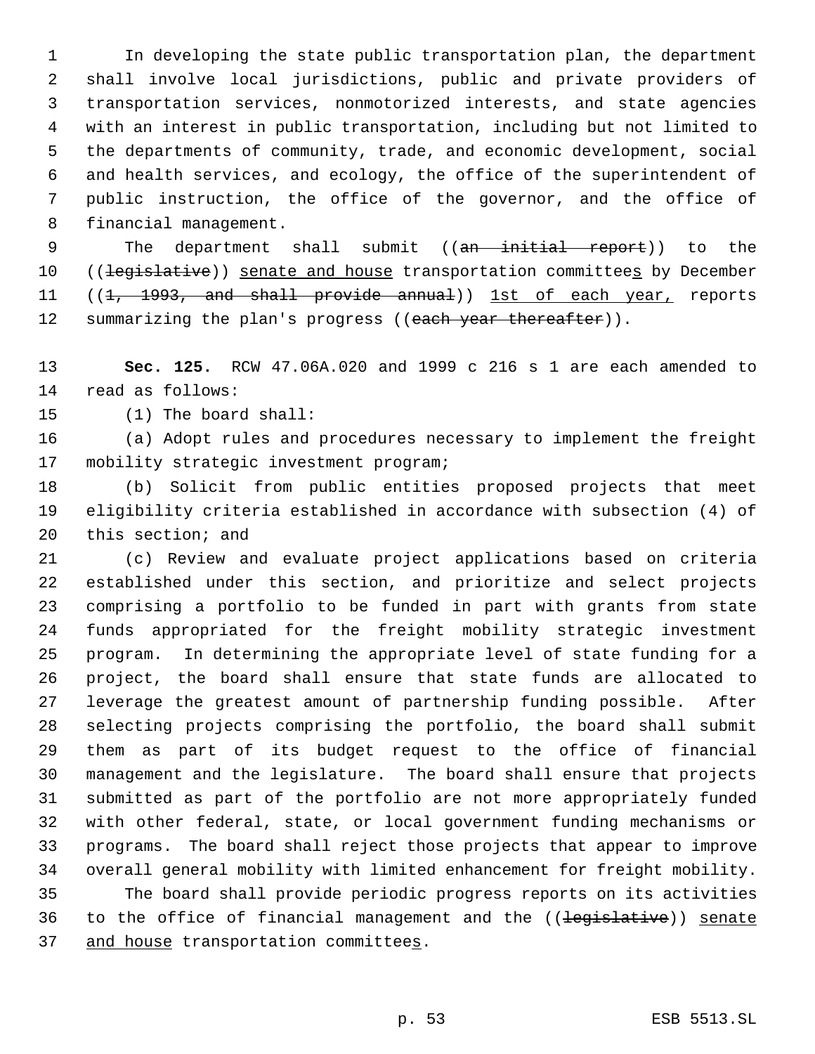In developing the state public transportation plan, the department shall involve local jurisdictions, public and private providers of transportation services, nonmotorized interests, and state agencies with an interest in public transportation, including but not limited to the departments of community, trade, and economic development, social and health services, and ecology, the office of the superintendent of public instruction, the office of the governor, and the office of financial management.

9 The department shall submit ((<del>an initial report</del>)) to the 10 ((legislative)) senate and house transportation committees by December 11 ((1, 1993, and shall provide annual)) 1st of each year, reports 12 summarizing the plan's progress ((each year thereafter)).

 **Sec. 125.** RCW 47.06A.020 and 1999 c 216 s 1 are each amended to read as follows:

(1) The board shall:

 (a) Adopt rules and procedures necessary to implement the freight mobility strategic investment program;

 (b) Solicit from public entities proposed projects that meet eligibility criteria established in accordance with subsection (4) of this section; and

 (c) Review and evaluate project applications based on criteria established under this section, and prioritize and select projects comprising a portfolio to be funded in part with grants from state funds appropriated for the freight mobility strategic investment program. In determining the appropriate level of state funding for a project, the board shall ensure that state funds are allocated to leverage the greatest amount of partnership funding possible. After selecting projects comprising the portfolio, the board shall submit them as part of its budget request to the office of financial management and the legislature. The board shall ensure that projects submitted as part of the portfolio are not more appropriately funded with other federal, state, or local government funding mechanisms or programs. The board shall reject those projects that appear to improve overall general mobility with limited enhancement for freight mobility. The board shall provide periodic progress reports on its activities 36 to the office of financial management and the ((legislative)) senate 37 and house transportation committees.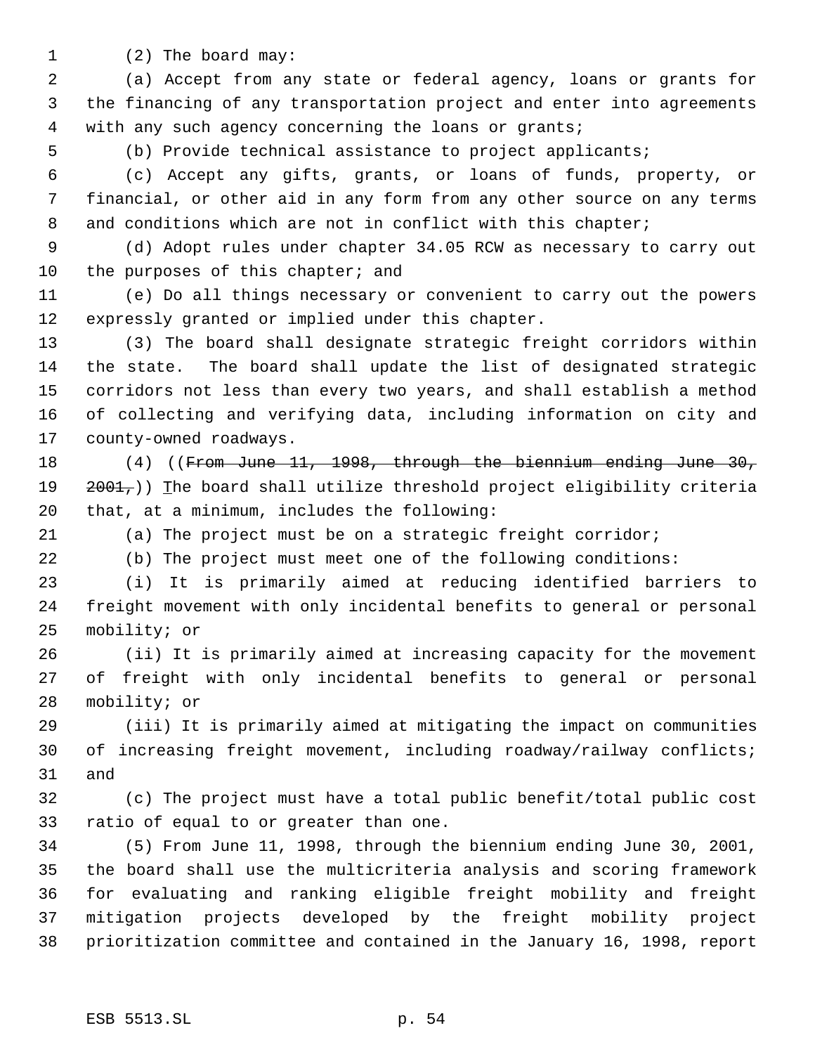- 
- 1 (2) The board may:

 (a) Accept from any state or federal agency, loans or grants for the financing of any transportation project and enter into agreements with any such agency concerning the loans or grants;

(b) Provide technical assistance to project applicants;

 (c) Accept any gifts, grants, or loans of funds, property, or financial, or other aid in any form from any other source on any terms 8 and conditions which are not in conflict with this chapter;

 (d) Adopt rules under chapter 34.05 RCW as necessary to carry out 10 the purposes of this chapter; and

 (e) Do all things necessary or convenient to carry out the powers expressly granted or implied under this chapter.

 (3) The board shall designate strategic freight corridors within the state. The board shall update the list of designated strategic corridors not less than every two years, and shall establish a method of collecting and verifying data, including information on city and county-owned roadways.

 (4) ((From June 11, 1998, through the biennium ending June 30, 19  $2001<sub>7</sub>$ )) The board shall utilize threshold project eligibility criteria that, at a minimum, includes the following:

(a) The project must be on a strategic freight corridor;

(b) The project must meet one of the following conditions:

 (i) It is primarily aimed at reducing identified barriers to freight movement with only incidental benefits to general or personal mobility; or

 (ii) It is primarily aimed at increasing capacity for the movement of freight with only incidental benefits to general or personal mobility; or

 (iii) It is primarily aimed at mitigating the impact on communities 30 of increasing freight movement, including roadway/railway conflicts; and

 (c) The project must have a total public benefit/total public cost ratio of equal to or greater than one.

 (5) From June 11, 1998, through the biennium ending June 30, 2001, the board shall use the multicriteria analysis and scoring framework for evaluating and ranking eligible freight mobility and freight mitigation projects developed by the freight mobility project prioritization committee and contained in the January 16, 1998, report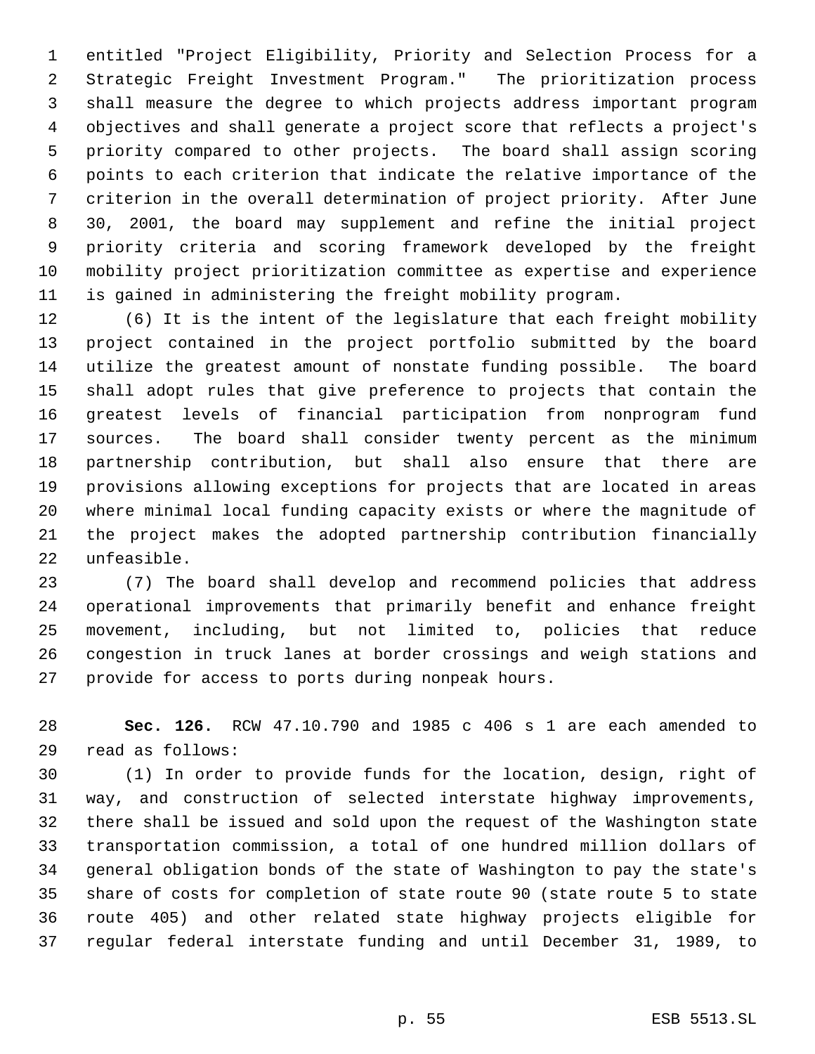entitled "Project Eligibility, Priority and Selection Process for a Strategic Freight Investment Program." The prioritization process shall measure the degree to which projects address important program objectives and shall generate a project score that reflects a project's priority compared to other projects. The board shall assign scoring points to each criterion that indicate the relative importance of the criterion in the overall determination of project priority. After June 30, 2001, the board may supplement and refine the initial project priority criteria and scoring framework developed by the freight mobility project prioritization committee as expertise and experience is gained in administering the freight mobility program.

 (6) It is the intent of the legislature that each freight mobility project contained in the project portfolio submitted by the board utilize the greatest amount of nonstate funding possible. The board shall adopt rules that give preference to projects that contain the greatest levels of financial participation from nonprogram fund sources. The board shall consider twenty percent as the minimum partnership contribution, but shall also ensure that there are provisions allowing exceptions for projects that are located in areas where minimal local funding capacity exists or where the magnitude of the project makes the adopted partnership contribution financially unfeasible.

 (7) The board shall develop and recommend policies that address operational improvements that primarily benefit and enhance freight movement, including, but not limited to, policies that reduce congestion in truck lanes at border crossings and weigh stations and provide for access to ports during nonpeak hours.

 **Sec. 126.** RCW 47.10.790 and 1985 c 406 s 1 are each amended to read as follows:

 (1) In order to provide funds for the location, design, right of way, and construction of selected interstate highway improvements, there shall be issued and sold upon the request of the Washington state transportation commission, a total of one hundred million dollars of general obligation bonds of the state of Washington to pay the state's share of costs for completion of state route 90 (state route 5 to state route 405) and other related state highway projects eligible for regular federal interstate funding and until December 31, 1989, to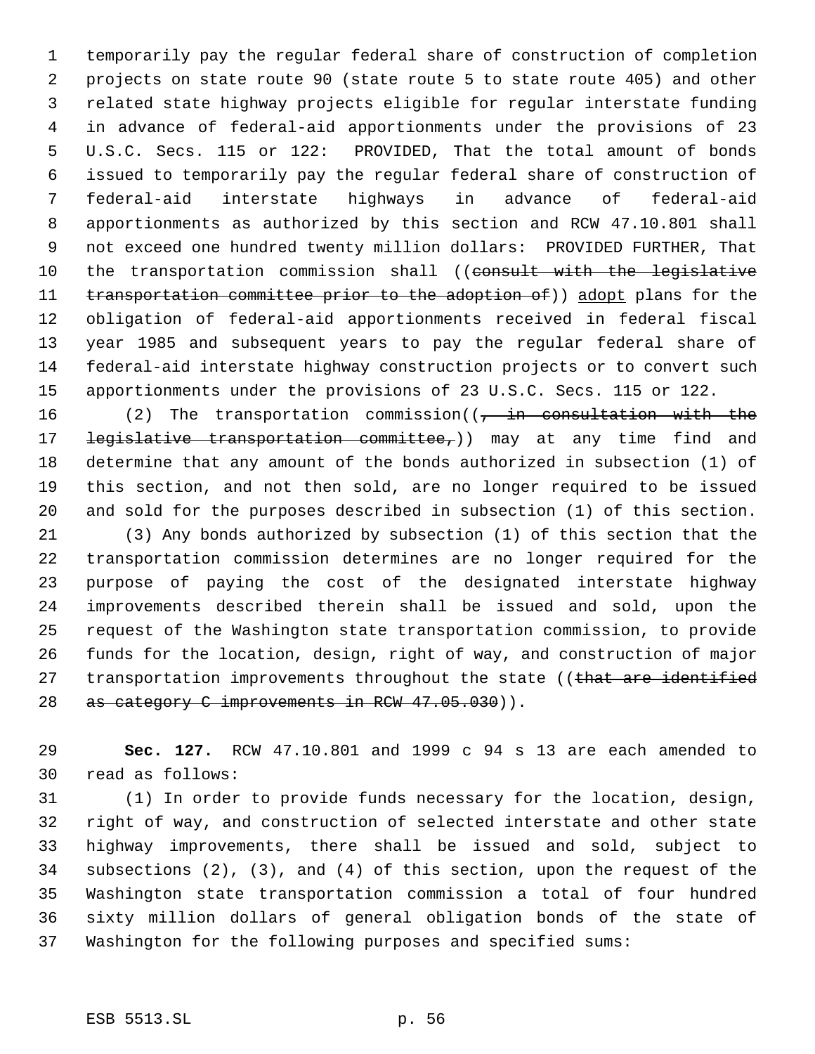temporarily pay the regular federal share of construction of completion projects on state route 90 (state route 5 to state route 405) and other related state highway projects eligible for regular interstate funding in advance of federal-aid apportionments under the provisions of 23 U.S.C. Secs. 115 or 122: PROVIDED, That the total amount of bonds issued to temporarily pay the regular federal share of construction of federal-aid interstate highways in advance of federal-aid apportionments as authorized by this section and RCW 47.10.801 shall not exceed one hundred twenty million dollars: PROVIDED FURTHER, That 10 the transportation commission shall ((consult with the legislative 11 transportation committee prior to the adoption of)) adopt plans for the obligation of federal-aid apportionments received in federal fiscal year 1985 and subsequent years to pay the regular federal share of federal-aid interstate highway construction projects or to convert such apportionments under the provisions of 23 U.S.C. Secs. 115 or 122.

16 (2) The transportation commission((, in consultation with the 17 <del>legislative transportation committee,</del>)) may at any time find and determine that any amount of the bonds authorized in subsection (1) of this section, and not then sold, are no longer required to be issued and sold for the purposes described in subsection (1) of this section. (3) Any bonds authorized by subsection (1) of this section that the

 transportation commission determines are no longer required for the purpose of paying the cost of the designated interstate highway improvements described therein shall be issued and sold, upon the request of the Washington state transportation commission, to provide funds for the location, design, right of way, and construction of major 27 transportation improvements throughout the state ((that are identified 28 as category C improvements in RCW 47.05.030)).

 **Sec. 127.** RCW 47.10.801 and 1999 c 94 s 13 are each amended to read as follows:

 (1) In order to provide funds necessary for the location, design, right of way, and construction of selected interstate and other state highway improvements, there shall be issued and sold, subject to subsections (2), (3), and (4) of this section, upon the request of the Washington state transportation commission a total of four hundred sixty million dollars of general obligation bonds of the state of Washington for the following purposes and specified sums: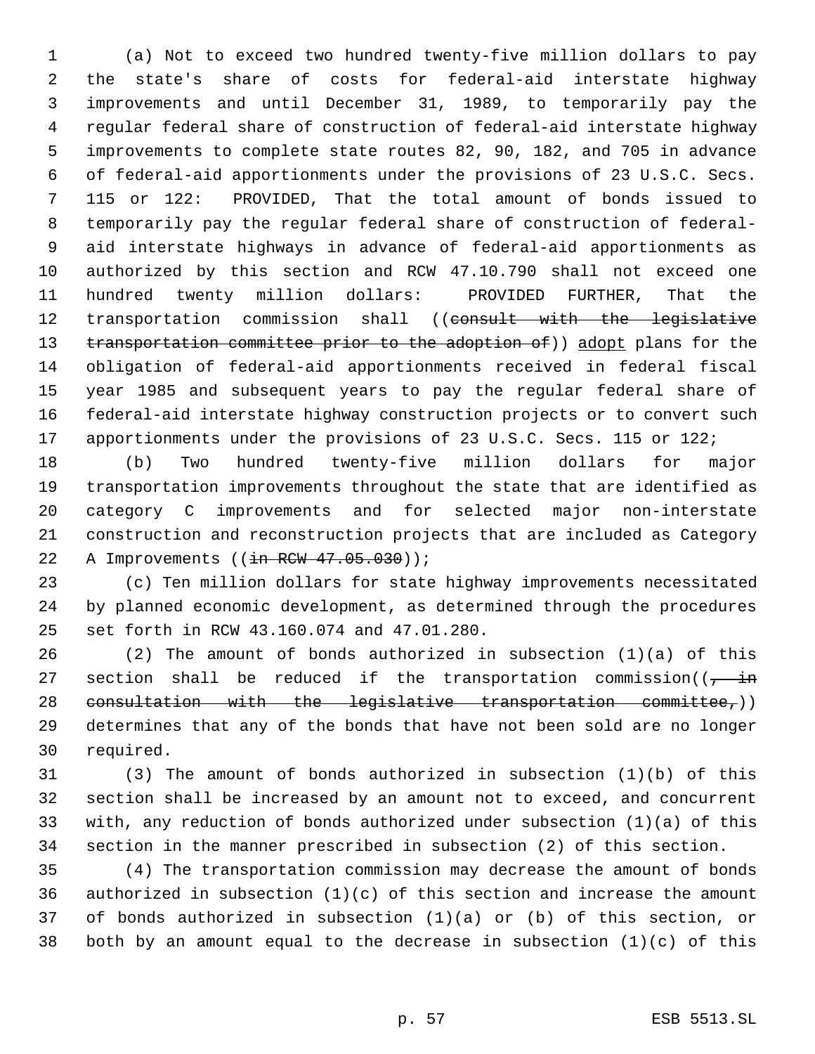(a) Not to exceed two hundred twenty-five million dollars to pay the state's share of costs for federal-aid interstate highway improvements and until December 31, 1989, to temporarily pay the regular federal share of construction of federal-aid interstate highway improvements to complete state routes 82, 90, 182, and 705 in advance of federal-aid apportionments under the provisions of 23 U.S.C. Secs. 115 or 122: PROVIDED, That the total amount of bonds issued to temporarily pay the regular federal share of construction of federal- aid interstate highways in advance of federal-aid apportionments as authorized by this section and RCW 47.10.790 shall not exceed one hundred twenty million dollars: PROVIDED FURTHER, That the 12 transportation commission shall ((consult with the legislative 13 transportation committee prior to the adoption of)) adopt plans for the obligation of federal-aid apportionments received in federal fiscal year 1985 and subsequent years to pay the regular federal share of federal-aid interstate highway construction projects or to convert such apportionments under the provisions of 23 U.S.C. Secs. 115 or 122;

 (b) Two hundred twenty-five million dollars for major transportation improvements throughout the state that are identified as category C improvements and for selected major non-interstate construction and reconstruction projects that are included as Category 22 A Improvements ((in RCW 47.05.030));

 (c) Ten million dollars for state highway improvements necessitated by planned economic development, as determined through the procedures set forth in RCW 43.160.074 and 47.01.280.

 (2) The amount of bonds authorized in subsection (1)(a) of this 27 section shall be reduced if the transportation commission( $(-\text{in}$ 28 consultation with the legislative transportation committee, $)$ ) determines that any of the bonds that have not been sold are no longer required.

 (3) The amount of bonds authorized in subsection (1)(b) of this section shall be increased by an amount not to exceed, and concurrent with, any reduction of bonds authorized under subsection (1)(a) of this section in the manner prescribed in subsection (2) of this section.

 (4) The transportation commission may decrease the amount of bonds 36 authorized in subsection  $(1)(c)$  of this section and increase the amount of bonds authorized in subsection (1)(a) or (b) of this section, or both by an amount equal to the decrease in subsection (1)(c) of this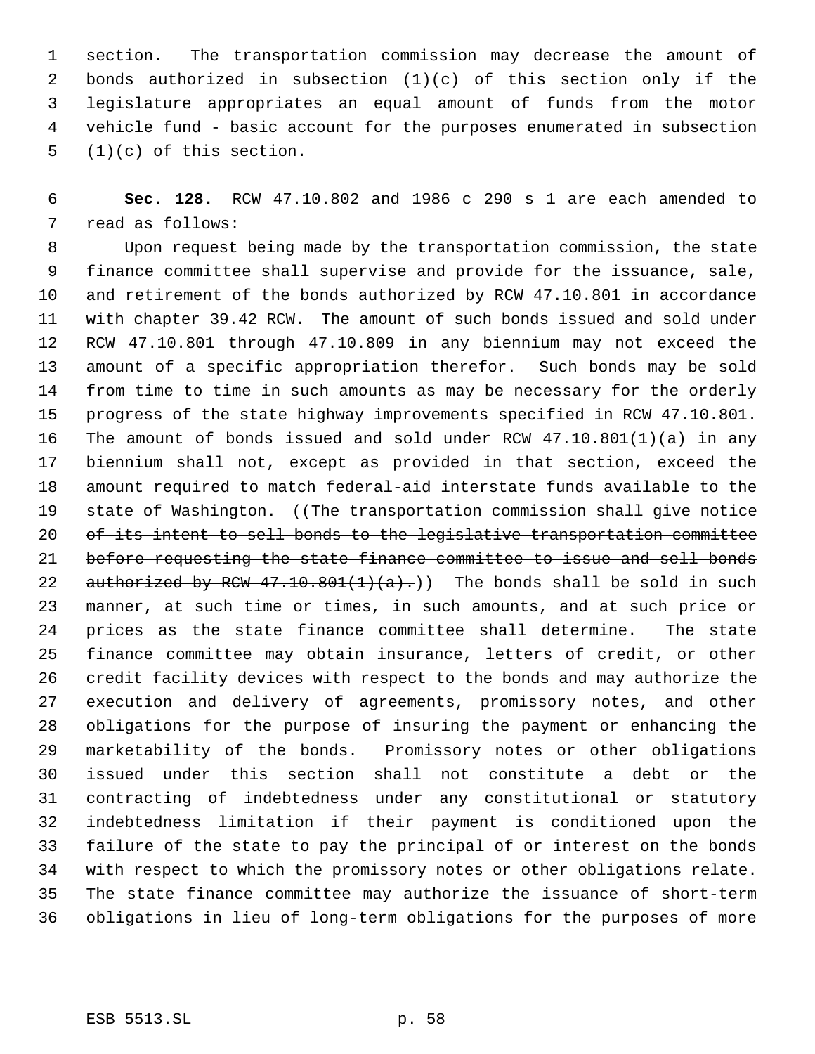section. The transportation commission may decrease the amount of bonds authorized in subsection (1)(c) of this section only if the legislature appropriates an equal amount of funds from the motor vehicle fund - basic account for the purposes enumerated in subsection (1)(c) of this section.

 **Sec. 128.** RCW 47.10.802 and 1986 c 290 s 1 are each amended to read as follows:

 Upon request being made by the transportation commission, the state finance committee shall supervise and provide for the issuance, sale, and retirement of the bonds authorized by RCW 47.10.801 in accordance with chapter 39.42 RCW. The amount of such bonds issued and sold under RCW 47.10.801 through 47.10.809 in any biennium may not exceed the amount of a specific appropriation therefor. Such bonds may be sold from time to time in such amounts as may be necessary for the orderly progress of the state highway improvements specified in RCW 47.10.801. The amount of bonds issued and sold under RCW 47.10.801(1)(a) in any biennium shall not, except as provided in that section, exceed the amount required to match federal-aid interstate funds available to the 19 state of Washington. ((The transportation commission shall give notice 20 of its intent to sell bonds to the legislative transportation committee before requesting the state finance committee to issue and sell bonds 22 authorized by RCW  $47.10.801(1)(a)$ .)) The bonds shall be sold in such manner, at such time or times, in such amounts, and at such price or prices as the state finance committee shall determine. The state finance committee may obtain insurance, letters of credit, or other credit facility devices with respect to the bonds and may authorize the execution and delivery of agreements, promissory notes, and other obligations for the purpose of insuring the payment or enhancing the marketability of the bonds. Promissory notes or other obligations issued under this section shall not constitute a debt or the contracting of indebtedness under any constitutional or statutory indebtedness limitation if their payment is conditioned upon the failure of the state to pay the principal of or interest on the bonds with respect to which the promissory notes or other obligations relate. The state finance committee may authorize the issuance of short-term obligations in lieu of long-term obligations for the purposes of more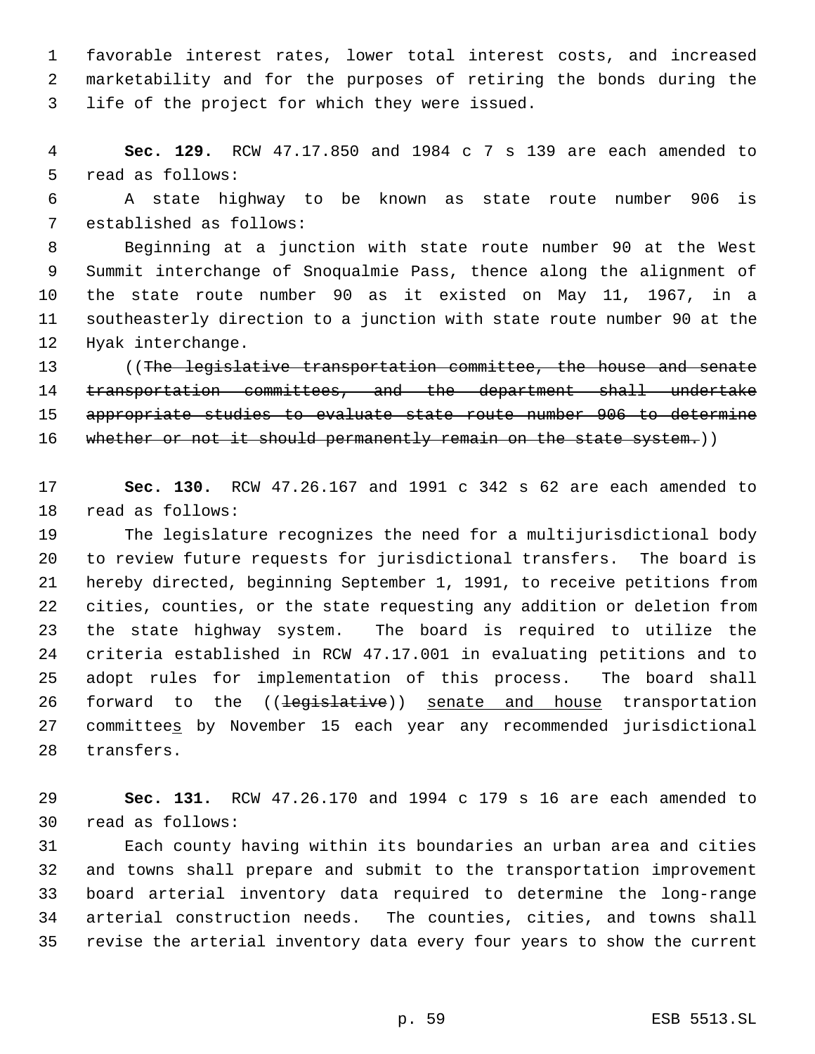favorable interest rates, lower total interest costs, and increased marketability and for the purposes of retiring the bonds during the life of the project for which they were issued.

 **Sec. 129.** RCW 47.17.850 and 1984 c 7 s 139 are each amended to read as follows:

 A state highway to be known as state route number 906 is established as follows:

 Beginning at a junction with state route number 90 at the West Summit interchange of Snoqualmie Pass, thence along the alignment of the state route number 90 as it existed on May 11, 1967, in a southeasterly direction to a junction with state route number 90 at the Hyak interchange.

13 ((The legislative transportation committee, the house and senate transportation committees, and the department shall undertake 15 appropriate studies to evaluate state route number 906 to determine 16 whether or not it should permanently remain on the state system.))

 **Sec. 130.** RCW 47.26.167 and 1991 c 342 s 62 are each amended to read as follows:

 The legislature recognizes the need for a multijurisdictional body to review future requests for jurisdictional transfers. The board is hereby directed, beginning September 1, 1991, to receive petitions from cities, counties, or the state requesting any addition or deletion from the state highway system. The board is required to utilize the criteria established in RCW 47.17.001 in evaluating petitions and to adopt rules for implementation of this process. The board shall 26 forward to the ((legislative)) senate and house transportation committees by November 15 each year any recommended jurisdictional transfers.

 **Sec. 131.** RCW 47.26.170 and 1994 c 179 s 16 are each amended to read as follows:

 Each county having within its boundaries an urban area and cities and towns shall prepare and submit to the transportation improvement board arterial inventory data required to determine the long-range arterial construction needs. The counties, cities, and towns shall revise the arterial inventory data every four years to show the current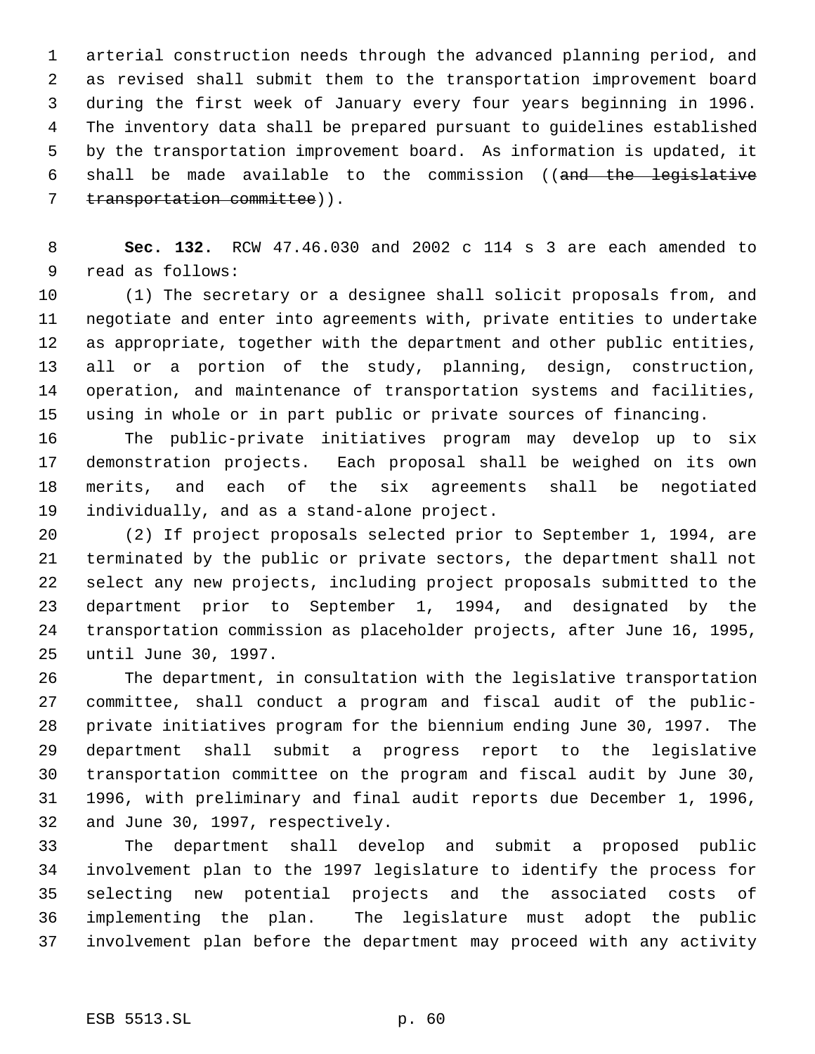arterial construction needs through the advanced planning period, and as revised shall submit them to the transportation improvement board during the first week of January every four years beginning in 1996. The inventory data shall be prepared pursuant to guidelines established by the transportation improvement board. As information is updated, it shall be made available to the commission ((and the legislative 7 transportation committee)).

 **Sec. 132.** RCW 47.46.030 and 2002 c 114 s 3 are each amended to read as follows:

 (1) The secretary or a designee shall solicit proposals from, and negotiate and enter into agreements with, private entities to undertake as appropriate, together with the department and other public entities, all or a portion of the study, planning, design, construction, operation, and maintenance of transportation systems and facilities, using in whole or in part public or private sources of financing.

 The public-private initiatives program may develop up to six demonstration projects. Each proposal shall be weighed on its own merits, and each of the six agreements shall be negotiated individually, and as a stand-alone project.

 (2) If project proposals selected prior to September 1, 1994, are terminated by the public or private sectors, the department shall not select any new projects, including project proposals submitted to the department prior to September 1, 1994, and designated by the transportation commission as placeholder projects, after June 16, 1995, until June 30, 1997.

 The department, in consultation with the legislative transportation committee, shall conduct a program and fiscal audit of the public- private initiatives program for the biennium ending June 30, 1997. The department shall submit a progress report to the legislative transportation committee on the program and fiscal audit by June 30, 1996, with preliminary and final audit reports due December 1, 1996, and June 30, 1997, respectively.

 The department shall develop and submit a proposed public involvement plan to the 1997 legislature to identify the process for selecting new potential projects and the associated costs of implementing the plan. The legislature must adopt the public involvement plan before the department may proceed with any activity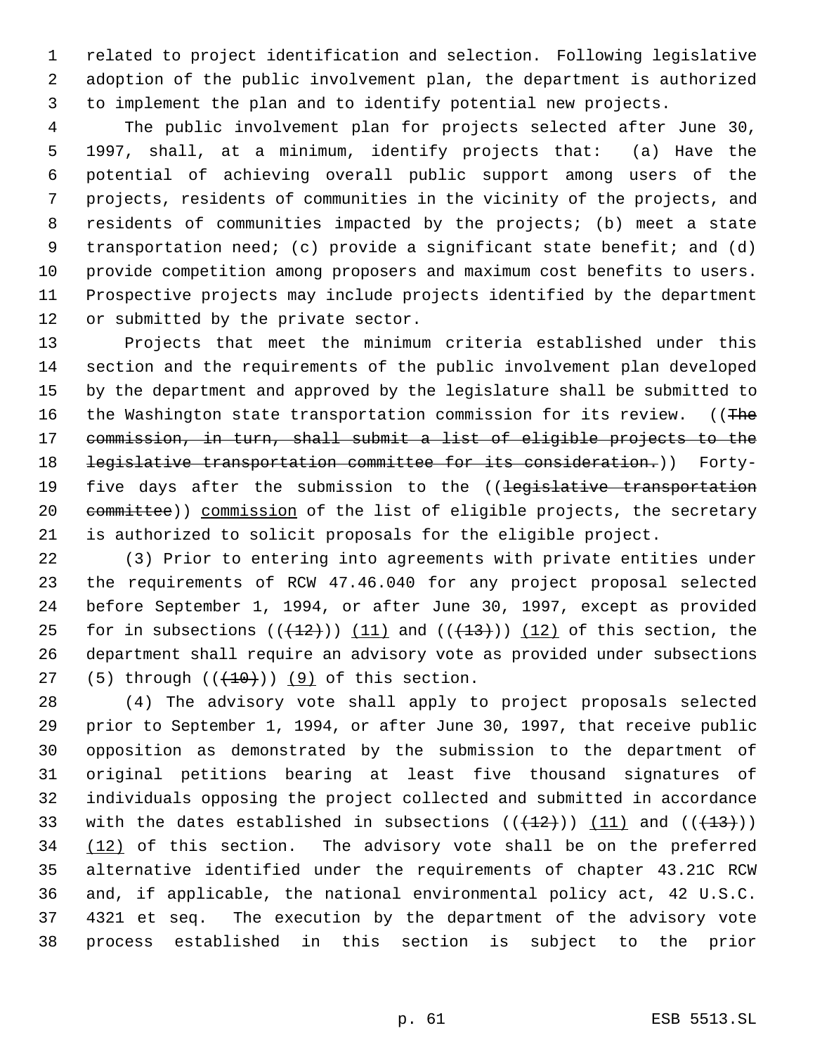related to project identification and selection. Following legislative adoption of the public involvement plan, the department is authorized to implement the plan and to identify potential new projects.

 The public involvement plan for projects selected after June 30, 1997, shall, at a minimum, identify projects that: (a) Have the potential of achieving overall public support among users of the projects, residents of communities in the vicinity of the projects, and residents of communities impacted by the projects; (b) meet a state transportation need; (c) provide a significant state benefit; and (d) provide competition among proposers and maximum cost benefits to users. Prospective projects may include projects identified by the department or submitted by the private sector.

 Projects that meet the minimum criteria established under this section and the requirements of the public involvement plan developed by the department and approved by the legislature shall be submitted to 16 the Washington state transportation commission for its review. ((The commission, in turn, shall submit a list of eligible projects to the 18 <del>legislative transportation committee for its consideration.</del>)) Forty-19 five days after the submission to the ((legislative transportation 20 committee)) commission of the list of eligible projects, the secretary is authorized to solicit proposals for the eligible project.

 (3) Prior to entering into agreements with private entities under the requirements of RCW 47.46.040 for any project proposal selected before September 1, 1994, or after June 30, 1997, except as provided 25 for in subsections  $((+12))$   $(11)$  and  $((+13))$   $(12)$  of this section, the department shall require an advisory vote as provided under subsections 27 (5) through  $((+10))$  (9) of this section.

 (4) The advisory vote shall apply to project proposals selected prior to September 1, 1994, or after June 30, 1997, that receive public opposition as demonstrated by the submission to the department of original petitions bearing at least five thousand signatures of individuals opposing the project collected and submitted in accordance 33 with the dates established in subsections  $((+12))$   $(11)$  and  $((+13))$ 34 (12) of this section. The advisory vote shall be on the preferred alternative identified under the requirements of chapter 43.21C RCW and, if applicable, the national environmental policy act, 42 U.S.C. 4321 et seq. The execution by the department of the advisory vote process established in this section is subject to the prior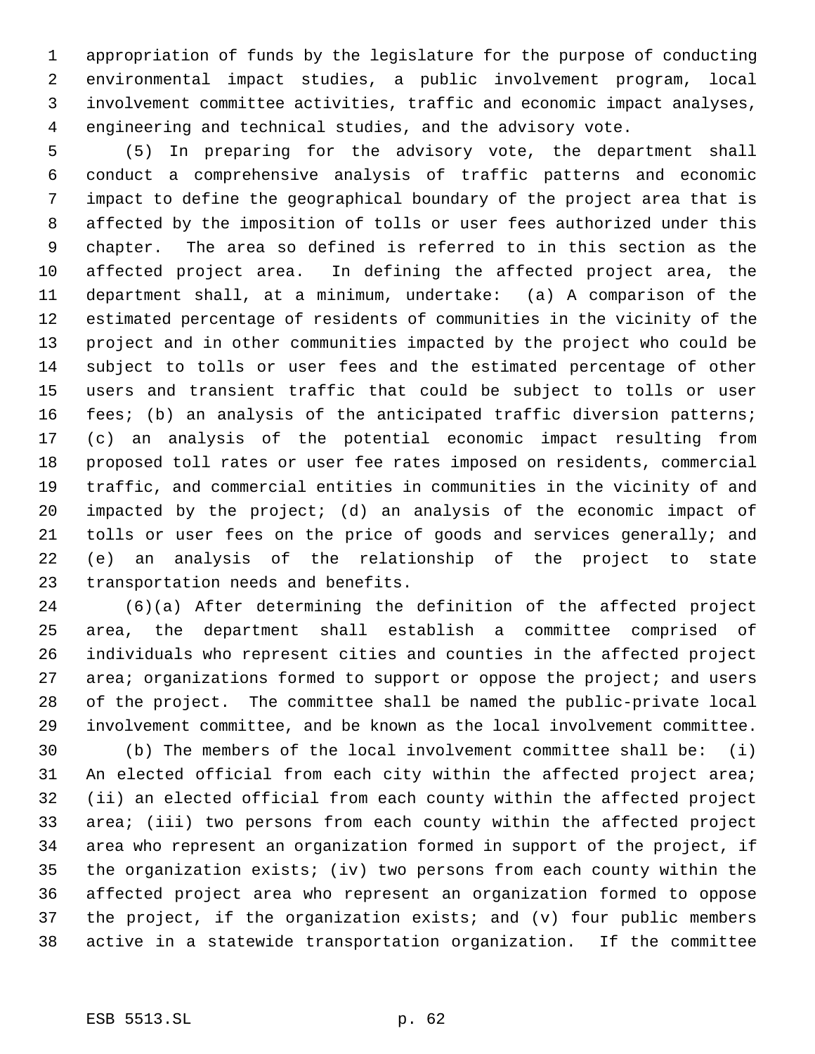appropriation of funds by the legislature for the purpose of conducting environmental impact studies, a public involvement program, local involvement committee activities, traffic and economic impact analyses, engineering and technical studies, and the advisory vote.

 (5) In preparing for the advisory vote, the department shall conduct a comprehensive analysis of traffic patterns and economic impact to define the geographical boundary of the project area that is affected by the imposition of tolls or user fees authorized under this chapter. The area so defined is referred to in this section as the affected project area. In defining the affected project area, the department shall, at a minimum, undertake: (a) A comparison of the estimated percentage of residents of communities in the vicinity of the project and in other communities impacted by the project who could be subject to tolls or user fees and the estimated percentage of other users and transient traffic that could be subject to tolls or user fees; (b) an analysis of the anticipated traffic diversion patterns; (c) an analysis of the potential economic impact resulting from proposed toll rates or user fee rates imposed on residents, commercial traffic, and commercial entities in communities in the vicinity of and impacted by the project; (d) an analysis of the economic impact of tolls or user fees on the price of goods and services generally; and (e) an analysis of the relationship of the project to state transportation needs and benefits.

 (6)(a) After determining the definition of the affected project area, the department shall establish a committee comprised of individuals who represent cities and counties in the affected project 27 area; organizations formed to support or oppose the project; and users of the project. The committee shall be named the public-private local involvement committee, and be known as the local involvement committee.

 (b) The members of the local involvement committee shall be: (i) An elected official from each city within the affected project area; (ii) an elected official from each county within the affected project area; (iii) two persons from each county within the affected project area who represent an organization formed in support of the project, if the organization exists; (iv) two persons from each county within the affected project area who represent an organization formed to oppose the project, if the organization exists; and (v) four public members active in a statewide transportation organization. If the committee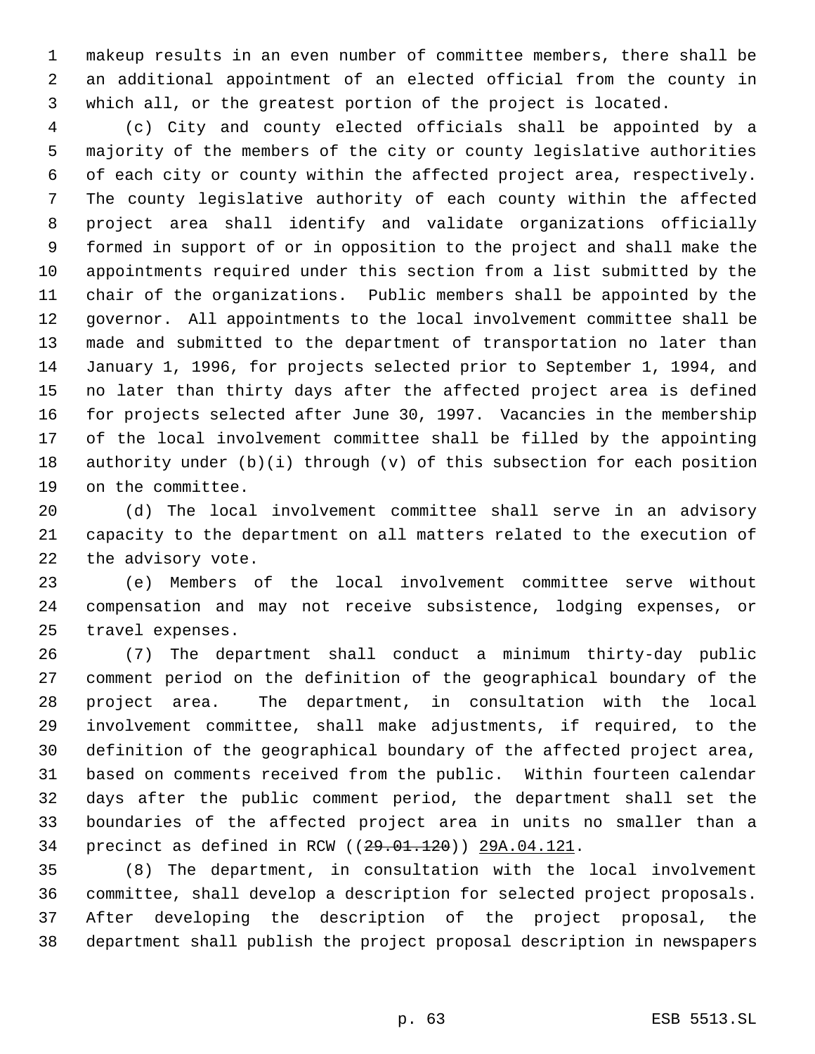makeup results in an even number of committee members, there shall be an additional appointment of an elected official from the county in which all, or the greatest portion of the project is located.

 (c) City and county elected officials shall be appointed by a majority of the members of the city or county legislative authorities of each city or county within the affected project area, respectively. The county legislative authority of each county within the affected project area shall identify and validate organizations officially formed in support of or in opposition to the project and shall make the appointments required under this section from a list submitted by the chair of the organizations. Public members shall be appointed by the governor. All appointments to the local involvement committee shall be made and submitted to the department of transportation no later than January 1, 1996, for projects selected prior to September 1, 1994, and no later than thirty days after the affected project area is defined for projects selected after June 30, 1997. Vacancies in the membership of the local involvement committee shall be filled by the appointing authority under (b)(i) through (v) of this subsection for each position on the committee.

 (d) The local involvement committee shall serve in an advisory capacity to the department on all matters related to the execution of the advisory vote.

 (e) Members of the local involvement committee serve without compensation and may not receive subsistence, lodging expenses, or travel expenses.

 (7) The department shall conduct a minimum thirty-day public comment period on the definition of the geographical boundary of the project area. The department, in consultation with the local involvement committee, shall make adjustments, if required, to the definition of the geographical boundary of the affected project area, based on comments received from the public. Within fourteen calendar days after the public comment period, the department shall set the boundaries of the affected project area in units no smaller than a 34 precinct as defined in RCW ((29.01.120)) 29A.04.121.

 (8) The department, in consultation with the local involvement committee, shall develop a description for selected project proposals. After developing the description of the project proposal, the department shall publish the project proposal description in newspapers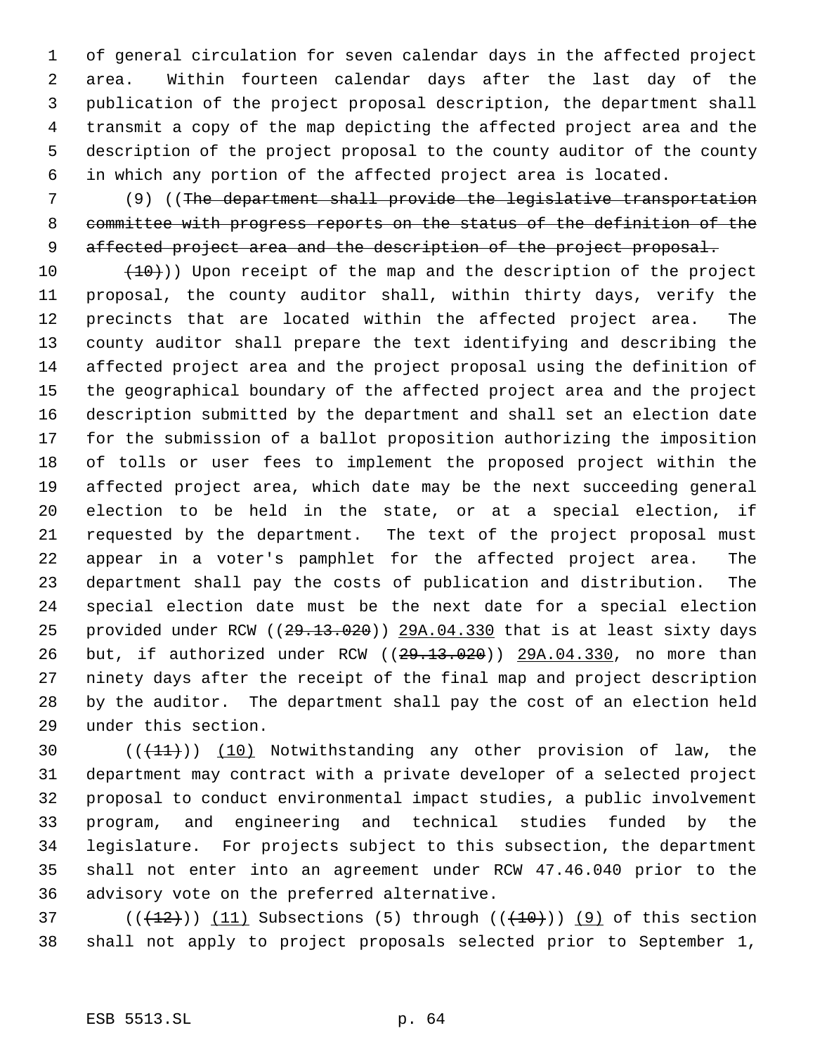of general circulation for seven calendar days in the affected project area. Within fourteen calendar days after the last day of the publication of the project proposal description, the department shall transmit a copy of the map depicting the affected project area and the description of the project proposal to the county auditor of the county in which any portion of the affected project area is located.

 (9) ((The department shall provide the legislative transportation committee with progress reports on the status of the definition of the 9 affected project area and the description of the project proposal.

 $(10)$  (10))) Upon receipt of the map and the description of the project proposal, the county auditor shall, within thirty days, verify the precincts that are located within the affected project area. The county auditor shall prepare the text identifying and describing the affected project area and the project proposal using the definition of the geographical boundary of the affected project area and the project description submitted by the department and shall set an election date for the submission of a ballot proposition authorizing the imposition of tolls or user fees to implement the proposed project within the affected project area, which date may be the next succeeding general election to be held in the state, or at a special election, if requested by the department. The text of the project proposal must appear in a voter's pamphlet for the affected project area. The department shall pay the costs of publication and distribution. The special election date must be the next date for a special election 25 provided under RCW ((29.13.020)) 29A.04.330 that is at least sixty days 26 but, if authorized under RCW ((29.13.020)) 29A.04.330, no more than ninety days after the receipt of the final map and project description by the auditor. The department shall pay the cost of an election held under this section.

30 (( $(11)$ )) (10) Notwithstanding any other provision of law, the department may contract with a private developer of a selected project proposal to conduct environmental impact studies, a public involvement program, and engineering and technical studies funded by the legislature. For projects subject to this subsection, the department shall not enter into an agreement under RCW 47.46.040 prior to the advisory vote on the preferred alternative.

37 ( $(\frac{12}{12})$ ) (11) Subsections (5) through ( $(\frac{10}{10})$ ) (9) of this section shall not apply to project proposals selected prior to September 1,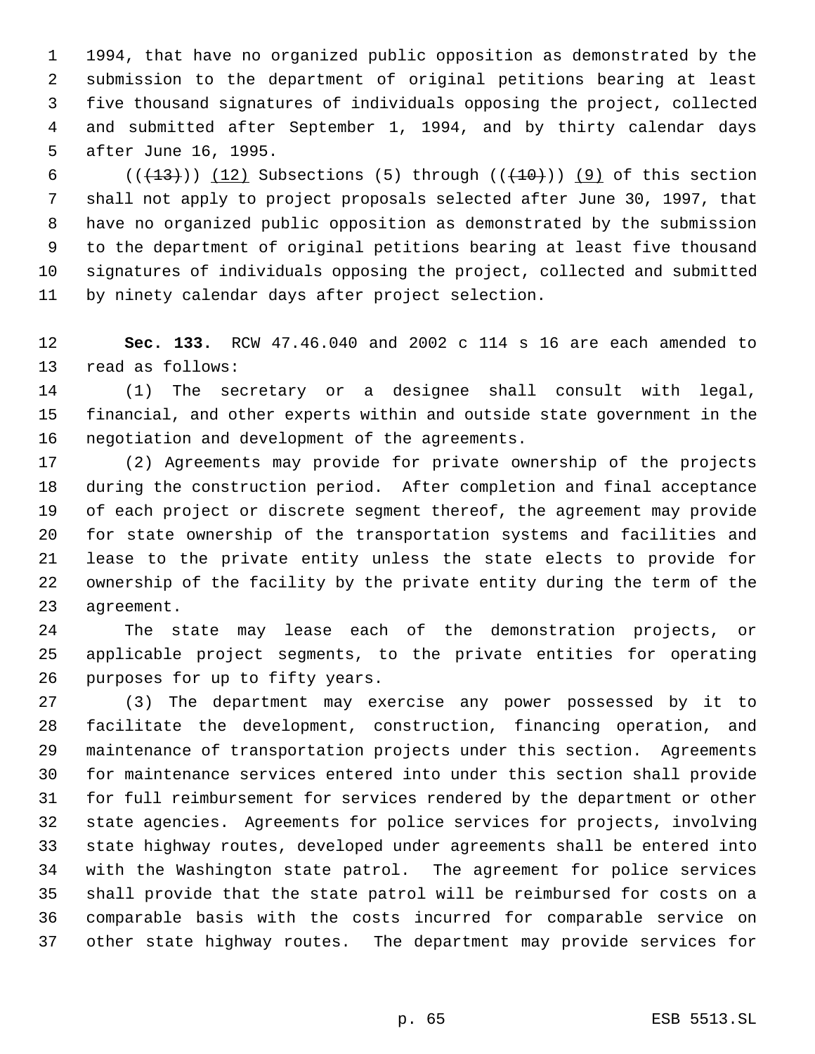1994, that have no organized public opposition as demonstrated by the submission to the department of original petitions bearing at least five thousand signatures of individuals opposing the project, collected and submitted after September 1, 1994, and by thirty calendar days after June 16, 1995.

 $((+13))$   $(12)$  Subsections (5) through  $((+10))$   $(9)$  of this section shall not apply to project proposals selected after June 30, 1997, that have no organized public opposition as demonstrated by the submission to the department of original petitions bearing at least five thousand signatures of individuals opposing the project, collected and submitted by ninety calendar days after project selection.

 **Sec. 133.** RCW 47.46.040 and 2002 c 114 s 16 are each amended to read as follows:

 (1) The secretary or a designee shall consult with legal, financial, and other experts within and outside state government in the negotiation and development of the agreements.

 (2) Agreements may provide for private ownership of the projects during the construction period. After completion and final acceptance of each project or discrete segment thereof, the agreement may provide for state ownership of the transportation systems and facilities and lease to the private entity unless the state elects to provide for ownership of the facility by the private entity during the term of the agreement.

 The state may lease each of the demonstration projects, or applicable project segments, to the private entities for operating purposes for up to fifty years.

 (3) The department may exercise any power possessed by it to facilitate the development, construction, financing operation, and maintenance of transportation projects under this section. Agreements for maintenance services entered into under this section shall provide for full reimbursement for services rendered by the department or other state agencies. Agreements for police services for projects, involving state highway routes, developed under agreements shall be entered into with the Washington state patrol. The agreement for police services shall provide that the state patrol will be reimbursed for costs on a comparable basis with the costs incurred for comparable service on other state highway routes. The department may provide services for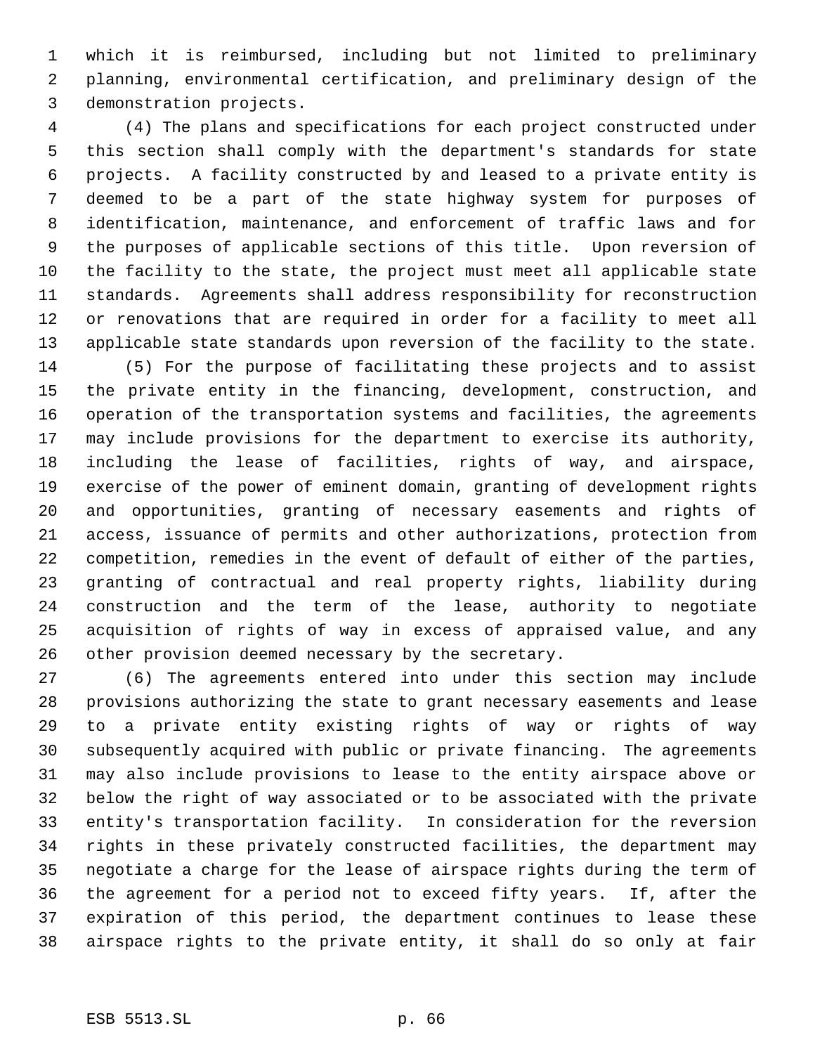which it is reimbursed, including but not limited to preliminary planning, environmental certification, and preliminary design of the demonstration projects.

 (4) The plans and specifications for each project constructed under this section shall comply with the department's standards for state projects. A facility constructed by and leased to a private entity is deemed to be a part of the state highway system for purposes of identification, maintenance, and enforcement of traffic laws and for the purposes of applicable sections of this title. Upon reversion of the facility to the state, the project must meet all applicable state standards. Agreements shall address responsibility for reconstruction or renovations that are required in order for a facility to meet all applicable state standards upon reversion of the facility to the state.

 (5) For the purpose of facilitating these projects and to assist the private entity in the financing, development, construction, and operation of the transportation systems and facilities, the agreements may include provisions for the department to exercise its authority, including the lease of facilities, rights of way, and airspace, exercise of the power of eminent domain, granting of development rights and opportunities, granting of necessary easements and rights of access, issuance of permits and other authorizations, protection from competition, remedies in the event of default of either of the parties, granting of contractual and real property rights, liability during construction and the term of the lease, authority to negotiate acquisition of rights of way in excess of appraised value, and any other provision deemed necessary by the secretary.

 (6) The agreements entered into under this section may include provisions authorizing the state to grant necessary easements and lease to a private entity existing rights of way or rights of way subsequently acquired with public or private financing. The agreements may also include provisions to lease to the entity airspace above or below the right of way associated or to be associated with the private entity's transportation facility. In consideration for the reversion rights in these privately constructed facilities, the department may negotiate a charge for the lease of airspace rights during the term of the agreement for a period not to exceed fifty years. If, after the expiration of this period, the department continues to lease these airspace rights to the private entity, it shall do so only at fair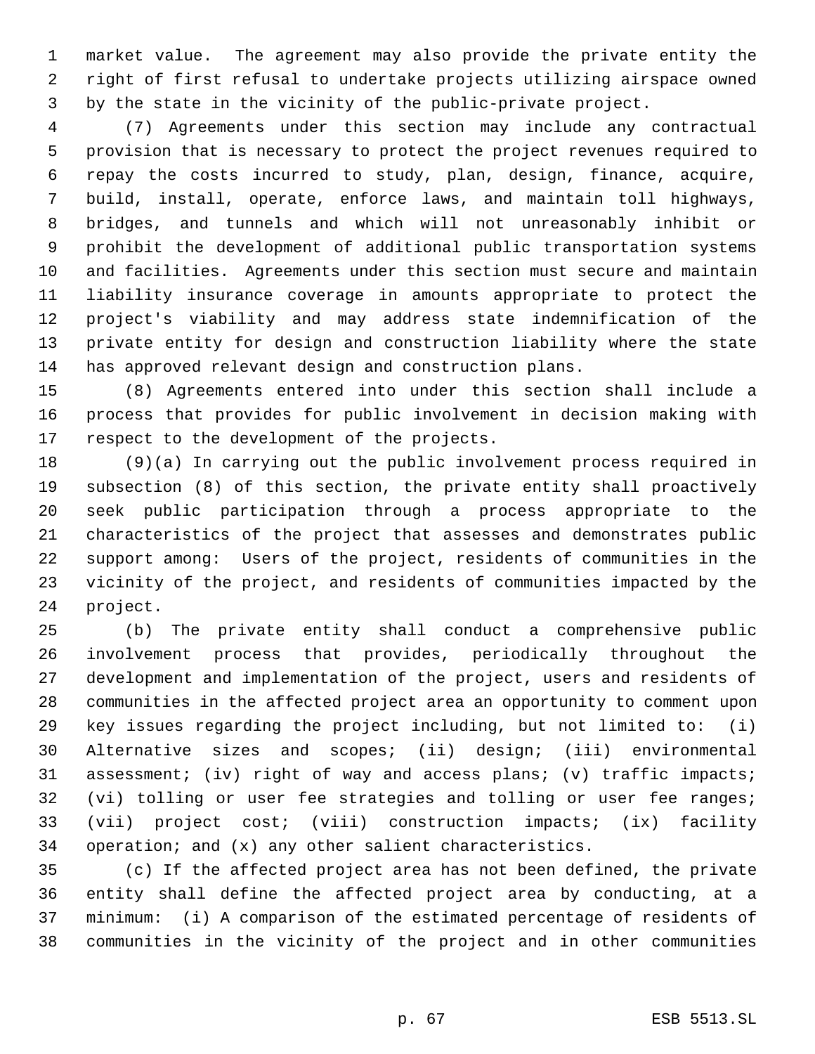market value. The agreement may also provide the private entity the right of first refusal to undertake projects utilizing airspace owned by the state in the vicinity of the public-private project.

 (7) Agreements under this section may include any contractual provision that is necessary to protect the project revenues required to repay the costs incurred to study, plan, design, finance, acquire, build, install, operate, enforce laws, and maintain toll highways, bridges, and tunnels and which will not unreasonably inhibit or prohibit the development of additional public transportation systems and facilities. Agreements under this section must secure and maintain liability insurance coverage in amounts appropriate to protect the project's viability and may address state indemnification of the private entity for design and construction liability where the state has approved relevant design and construction plans.

 (8) Agreements entered into under this section shall include a process that provides for public involvement in decision making with respect to the development of the projects.

 (9)(a) In carrying out the public involvement process required in subsection (8) of this section, the private entity shall proactively seek public participation through a process appropriate to the characteristics of the project that assesses and demonstrates public support among: Users of the project, residents of communities in the vicinity of the project, and residents of communities impacted by the project.

 (b) The private entity shall conduct a comprehensive public involvement process that provides, periodically throughout the development and implementation of the project, users and residents of communities in the affected project area an opportunity to comment upon key issues regarding the project including, but not limited to: (i) Alternative sizes and scopes; (ii) design; (iii) environmental assessment; (iv) right of way and access plans; (v) traffic impacts; (vi) tolling or user fee strategies and tolling or user fee ranges; (vii) project cost; (viii) construction impacts; (ix) facility operation; and (x) any other salient characteristics.

 (c) If the affected project area has not been defined, the private entity shall define the affected project area by conducting, at a minimum: (i) A comparison of the estimated percentage of residents of communities in the vicinity of the project and in other communities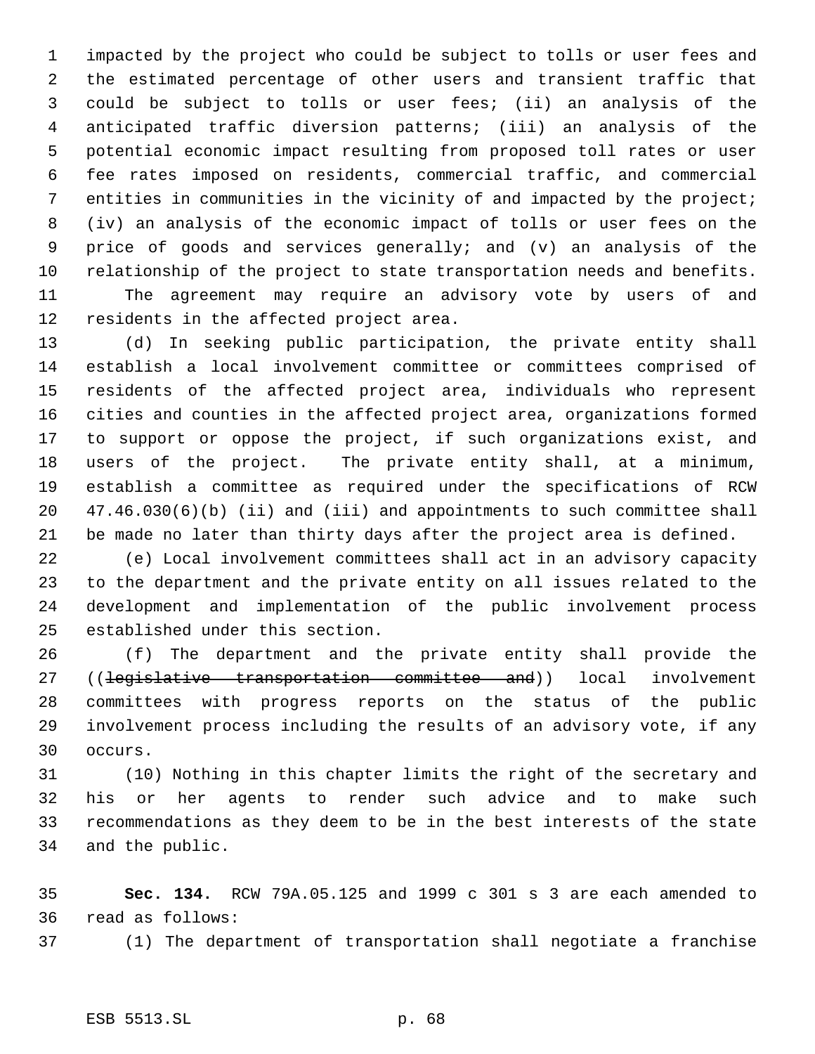impacted by the project who could be subject to tolls or user fees and the estimated percentage of other users and transient traffic that could be subject to tolls or user fees; (ii) an analysis of the anticipated traffic diversion patterns; (iii) an analysis of the potential economic impact resulting from proposed toll rates or user fee rates imposed on residents, commercial traffic, and commercial 7 entities in communities in the vicinity of and impacted by the project; (iv) an analysis of the economic impact of tolls or user fees on the price of goods and services generally; and (v) an analysis of the relationship of the project to state transportation needs and benefits. The agreement may require an advisory vote by users of and

residents in the affected project area.

 (d) In seeking public participation, the private entity shall establish a local involvement committee or committees comprised of residents of the affected project area, individuals who represent cities and counties in the affected project area, organizations formed to support or oppose the project, if such organizations exist, and users of the project. The private entity shall, at a minimum, establish a committee as required under the specifications of RCW 47.46.030(6)(b) (ii) and (iii) and appointments to such committee shall be made no later than thirty days after the project area is defined.

 (e) Local involvement committees shall act in an advisory capacity to the department and the private entity on all issues related to the development and implementation of the public involvement process established under this section.

 (f) The department and the private entity shall provide the 27 ((legislative transportation committee and)) local involvement committees with progress reports on the status of the public involvement process including the results of an advisory vote, if any occurs.

 (10) Nothing in this chapter limits the right of the secretary and his or her agents to render such advice and to make such recommendations as they deem to be in the best interests of the state and the public.

 **Sec. 134.** RCW 79A.05.125 and 1999 c 301 s 3 are each amended to read as follows:

(1) The department of transportation shall negotiate a franchise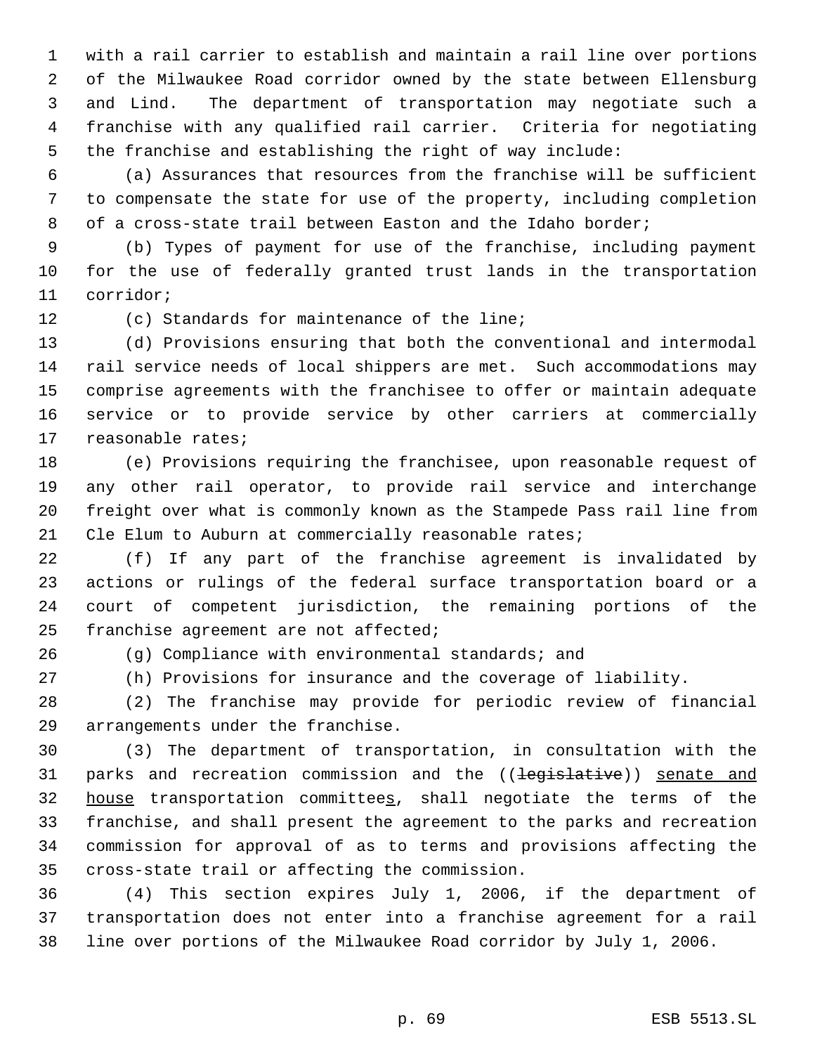with a rail carrier to establish and maintain a rail line over portions of the Milwaukee Road corridor owned by the state between Ellensburg and Lind. The department of transportation may negotiate such a franchise with any qualified rail carrier. Criteria for negotiating the franchise and establishing the right of way include:

 (a) Assurances that resources from the franchise will be sufficient to compensate the state for use of the property, including completion of a cross-state trail between Easton and the Idaho border;

 (b) Types of payment for use of the franchise, including payment for the use of federally granted trust lands in the transportation corridor;

(c) Standards for maintenance of the line;

 (d) Provisions ensuring that both the conventional and intermodal rail service needs of local shippers are met. Such accommodations may comprise agreements with the franchisee to offer or maintain adequate service or to provide service by other carriers at commercially reasonable rates;

 (e) Provisions requiring the franchisee, upon reasonable request of any other rail operator, to provide rail service and interchange freight over what is commonly known as the Stampede Pass rail line from 21 Cle Elum to Auburn at commercially reasonable rates;

 (f) If any part of the franchise agreement is invalidated by actions or rulings of the federal surface transportation board or a court of competent jurisdiction, the remaining portions of the franchise agreement are not affected;

(g) Compliance with environmental standards; and

(h) Provisions for insurance and the coverage of liability.

 (2) The franchise may provide for periodic review of financial arrangements under the franchise.

 (3) The department of transportation, in consultation with the 31 parks and recreation commission and the ((legislative)) senate and 32 house transportation committees, shall negotiate the terms of the franchise, and shall present the agreement to the parks and recreation commission for approval of as to terms and provisions affecting the cross-state trail or affecting the commission.

 (4) This section expires July 1, 2006, if the department of transportation does not enter into a franchise agreement for a rail line over portions of the Milwaukee Road corridor by July 1, 2006.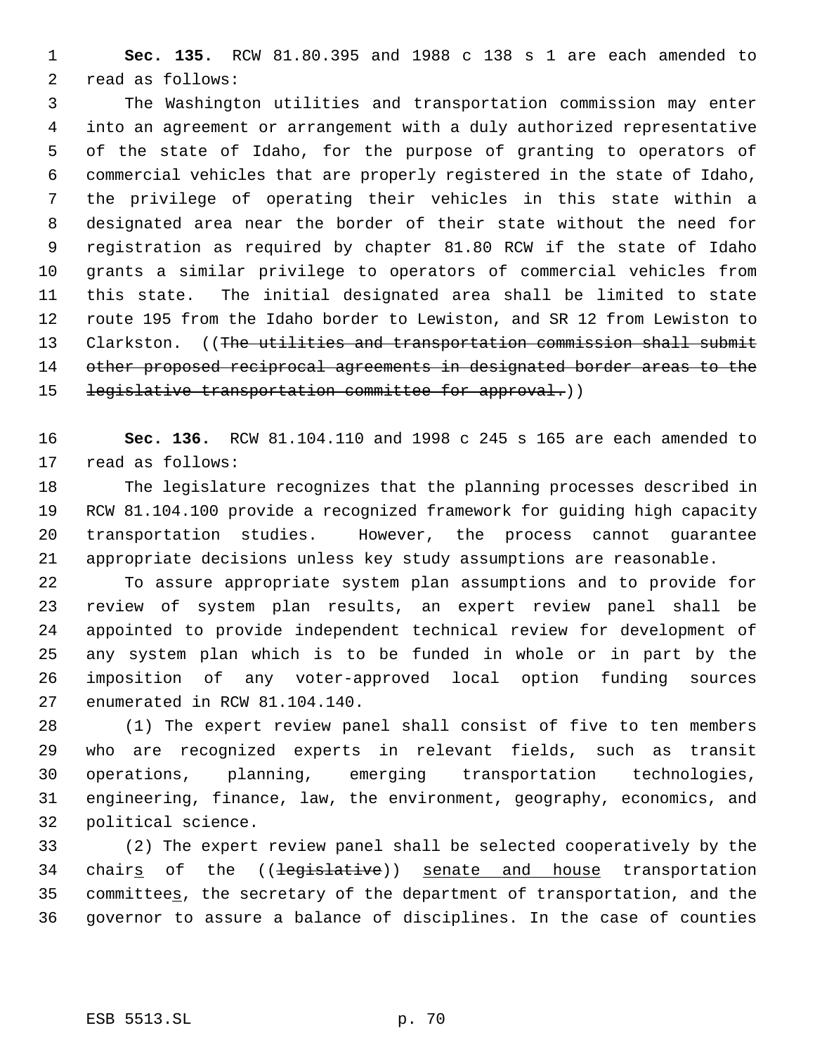**Sec. 135.** RCW 81.80.395 and 1988 c 138 s 1 are each amended to read as follows:

 The Washington utilities and transportation commission may enter into an agreement or arrangement with a duly authorized representative of the state of Idaho, for the purpose of granting to operators of commercial vehicles that are properly registered in the state of Idaho, the privilege of operating their vehicles in this state within a designated area near the border of their state without the need for registration as required by chapter 81.80 RCW if the state of Idaho grants a similar privilege to operators of commercial vehicles from this state. The initial designated area shall be limited to state route 195 from the Idaho border to Lewiston, and SR 12 from Lewiston to 13 Clarkston. ((The utilities and transportation commission shall submit 14 other proposed reciprocal agreements in designated border areas to the 15 legislative transportation committee for approval.))

 **Sec. 136.** RCW 81.104.110 and 1998 c 245 s 165 are each amended to read as follows:

 The legislature recognizes that the planning processes described in RCW 81.104.100 provide a recognized framework for guiding high capacity transportation studies. However, the process cannot guarantee appropriate decisions unless key study assumptions are reasonable.

 To assure appropriate system plan assumptions and to provide for review of system plan results, an expert review panel shall be appointed to provide independent technical review for development of any system plan which is to be funded in whole or in part by the imposition of any voter-approved local option funding sources enumerated in RCW 81.104.140.

 (1) The expert review panel shall consist of five to ten members who are recognized experts in relevant fields, such as transit operations, planning, emerging transportation technologies, engineering, finance, law, the environment, geography, economics, and political science.

 (2) The expert review panel shall be selected cooperatively by the 34 chairs of the ((legislative)) senate and house transportation committees, the secretary of the department of transportation, and the governor to assure a balance of disciplines. In the case of counties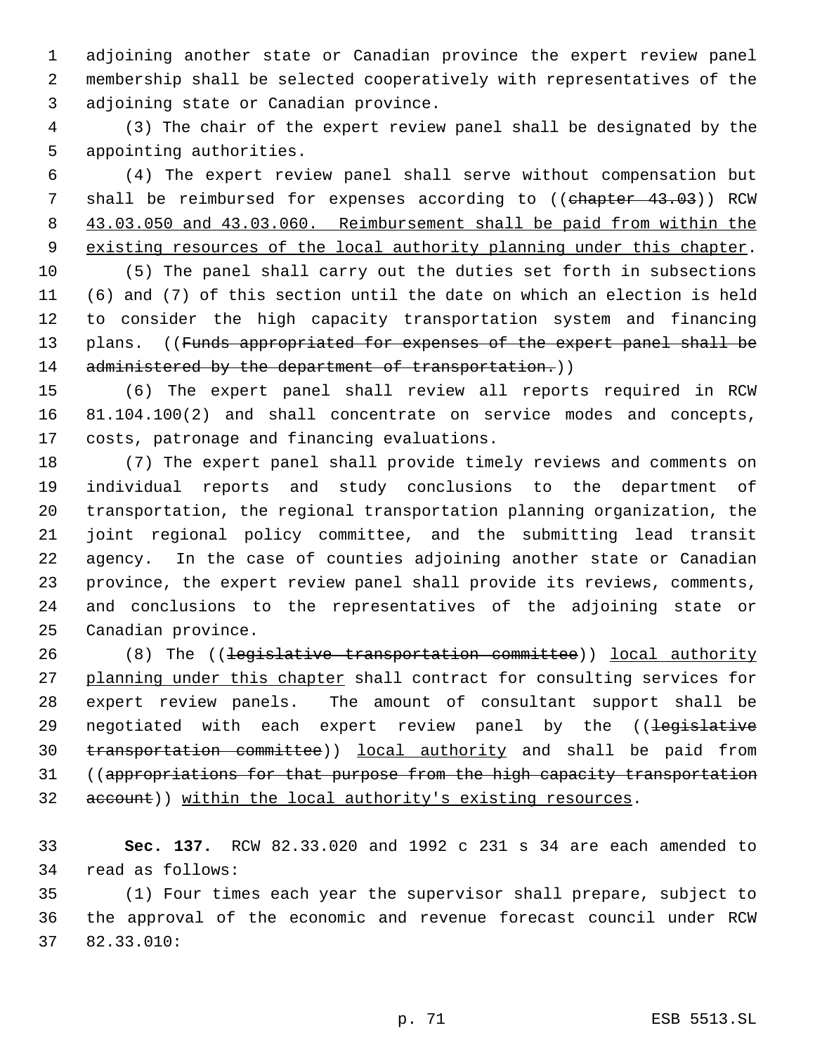adjoining another state or Canadian province the expert review panel membership shall be selected cooperatively with representatives of the adjoining state or Canadian province.

 (3) The chair of the expert review panel shall be designated by the appointing authorities.

 (4) The expert review panel shall serve without compensation but 7 shall be reimbursed for expenses according to ((chapter 43.03)) RCW 43.03.050 and 43.03.060. Reimbursement shall be paid from within the 9 existing resources of the local authority planning under this chapter.

 (5) The panel shall carry out the duties set forth in subsections (6) and (7) of this section until the date on which an election is held to consider the high capacity transportation system and financing 13 plans. ((Funds appropriated for expenses of the expert panel shall be 14 administered by the department of transportation.))

 (6) The expert panel shall review all reports required in RCW 81.104.100(2) and shall concentrate on service modes and concepts, costs, patronage and financing evaluations.

 (7) The expert panel shall provide timely reviews and comments on individual reports and study conclusions to the department of transportation, the regional transportation planning organization, the joint regional policy committee, and the submitting lead transit agency. In the case of counties adjoining another state or Canadian province, the expert review panel shall provide its reviews, comments, and conclusions to the representatives of the adjoining state or Canadian province.

26 (8) The ((legislative transportation committee)) local authority 27 planning under this chapter shall contract for consulting services for expert review panels. The amount of consultant support shall be 29 negotiated with each expert review panel by the ((<del>legislative</del> transportation committee)) local authority and shall be paid from 31 ((appropriations for that purpose from the high capacity transportation 32 account)) within the local authority's existing resources.

 **Sec. 137.** RCW 82.33.020 and 1992 c 231 s 34 are each amended to read as follows:

 (1) Four times each year the supervisor shall prepare, subject to the approval of the economic and revenue forecast council under RCW 82.33.010: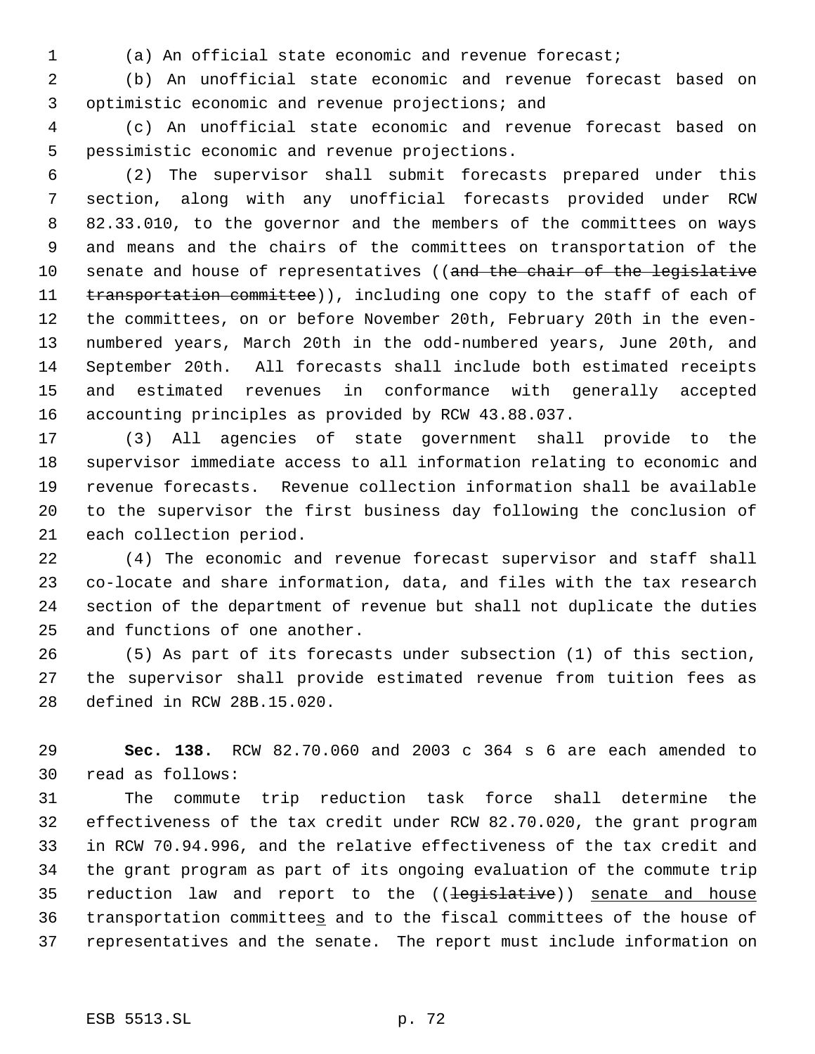(a) An official state economic and revenue forecast;

 (b) An unofficial state economic and revenue forecast based on optimistic economic and revenue projections; and

 (c) An unofficial state economic and revenue forecast based on pessimistic economic and revenue projections.

 (2) The supervisor shall submit forecasts prepared under this section, along with any unofficial forecasts provided under RCW 82.33.010, to the governor and the members of the committees on ways and means and the chairs of the committees on transportation of the 10 senate and house of representatives ((and the chair of the legislative 11 transportation committee)), including one copy to the staff of each of the committees, on or before November 20th, February 20th in the even- numbered years, March 20th in the odd-numbered years, June 20th, and September 20th. All forecasts shall include both estimated receipts and estimated revenues in conformance with generally accepted accounting principles as provided by RCW 43.88.037.

 (3) All agencies of state government shall provide to the supervisor immediate access to all information relating to economic and revenue forecasts. Revenue collection information shall be available to the supervisor the first business day following the conclusion of each collection period.

 (4) The economic and revenue forecast supervisor and staff shall co-locate and share information, data, and files with the tax research section of the department of revenue but shall not duplicate the duties and functions of one another.

 (5) As part of its forecasts under subsection (1) of this section, the supervisor shall provide estimated revenue from tuition fees as defined in RCW 28B.15.020.

 **Sec. 138.** RCW 82.70.060 and 2003 c 364 s 6 are each amended to read as follows:

 The commute trip reduction task force shall determine the effectiveness of the tax credit under RCW 82.70.020, the grant program in RCW 70.94.996, and the relative effectiveness of the tax credit and the grant program as part of its ongoing evaluation of the commute trip 35 reduction law and report to the ((<del>legislative</del>)) senate and house transportation committees and to the fiscal committees of the house of representatives and the senate. The report must include information on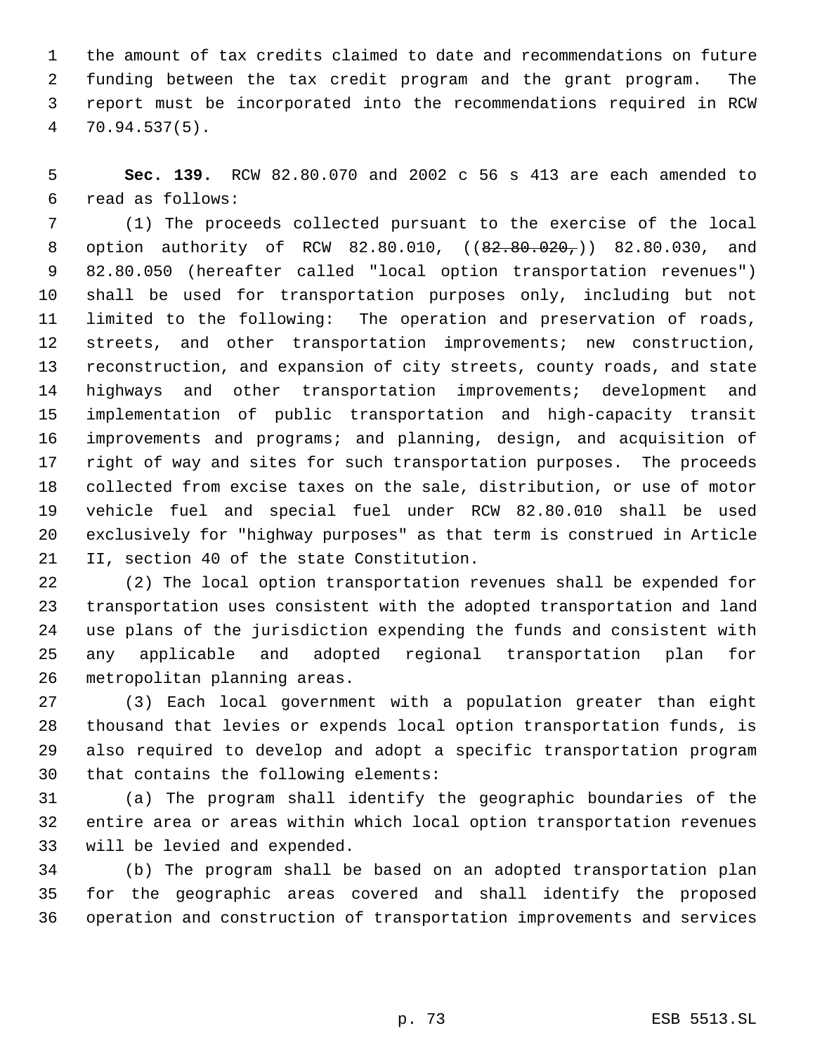the amount of tax credits claimed to date and recommendations on future funding between the tax credit program and the grant program. The report must be incorporated into the recommendations required in RCW 70.94.537(5).

 **Sec. 139.** RCW 82.80.070 and 2002 c 56 s 413 are each amended to read as follows:

 (1) The proceeds collected pursuant to the exercise of the local 8 option authority of RCW 82.80.010, ((82.80.020,)) 82.80.030, and 82.80.050 (hereafter called "local option transportation revenues") shall be used for transportation purposes only, including but not limited to the following: The operation and preservation of roads, streets, and other transportation improvements; new construction, reconstruction, and expansion of city streets, county roads, and state 14 highways and other transportation improvements; development and implementation of public transportation and high-capacity transit improvements and programs; and planning, design, and acquisition of right of way and sites for such transportation purposes. The proceeds collected from excise taxes on the sale, distribution, or use of motor vehicle fuel and special fuel under RCW 82.80.010 shall be used exclusively for "highway purposes" as that term is construed in Article II, section 40 of the state Constitution.

 (2) The local option transportation revenues shall be expended for transportation uses consistent with the adopted transportation and land use plans of the jurisdiction expending the funds and consistent with any applicable and adopted regional transportation plan for metropolitan planning areas.

 (3) Each local government with a population greater than eight thousand that levies or expends local option transportation funds, is also required to develop and adopt a specific transportation program that contains the following elements:

 (a) The program shall identify the geographic boundaries of the entire area or areas within which local option transportation revenues will be levied and expended.

 (b) The program shall be based on an adopted transportation plan for the geographic areas covered and shall identify the proposed operation and construction of transportation improvements and services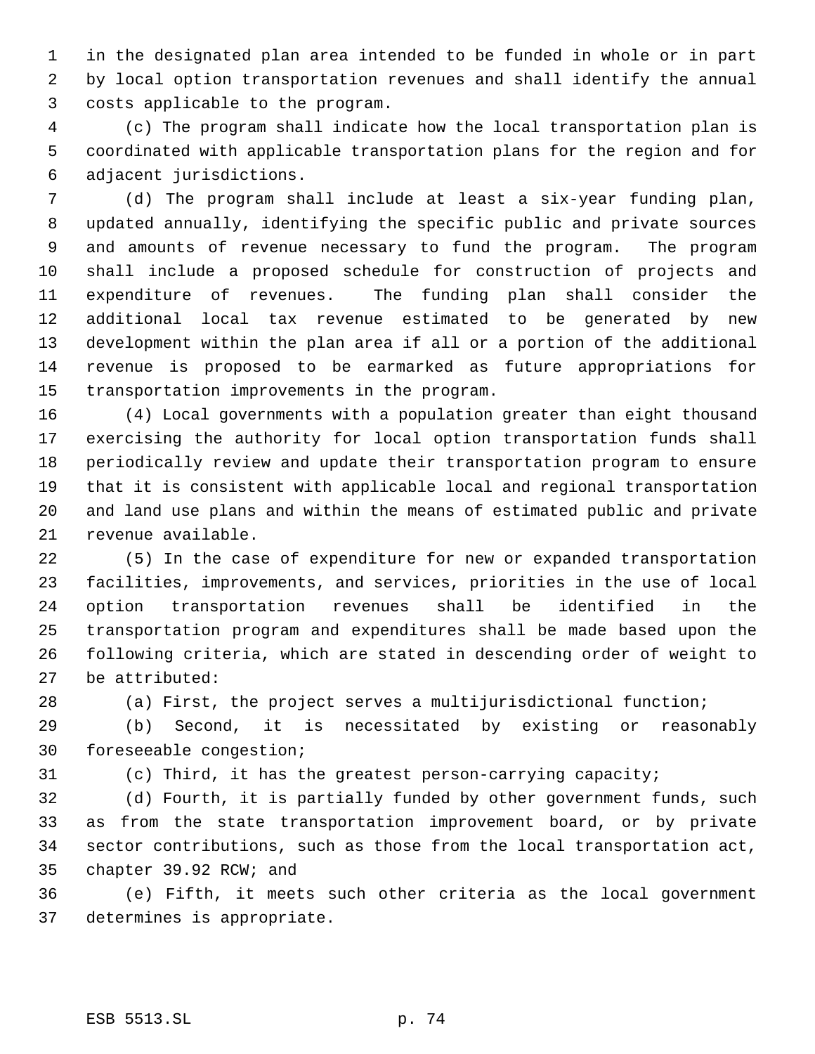in the designated plan area intended to be funded in whole or in part by local option transportation revenues and shall identify the annual costs applicable to the program.

 (c) The program shall indicate how the local transportation plan is coordinated with applicable transportation plans for the region and for adjacent jurisdictions.

 (d) The program shall include at least a six-year funding plan, updated annually, identifying the specific public and private sources and amounts of revenue necessary to fund the program. The program shall include a proposed schedule for construction of projects and expenditure of revenues. The funding plan shall consider the additional local tax revenue estimated to be generated by new development within the plan area if all or a portion of the additional revenue is proposed to be earmarked as future appropriations for transportation improvements in the program.

 (4) Local governments with a population greater than eight thousand exercising the authority for local option transportation funds shall periodically review and update their transportation program to ensure that it is consistent with applicable local and regional transportation and land use plans and within the means of estimated public and private revenue available.

 (5) In the case of expenditure for new or expanded transportation facilities, improvements, and services, priorities in the use of local option transportation revenues shall be identified in the transportation program and expenditures shall be made based upon the following criteria, which are stated in descending order of weight to be attributed:

(a) First, the project serves a multijurisdictional function;

 (b) Second, it is necessitated by existing or reasonably foreseeable congestion;

(c) Third, it has the greatest person-carrying capacity;

 (d) Fourth, it is partially funded by other government funds, such as from the state transportation improvement board, or by private sector contributions, such as those from the local transportation act, chapter 39.92 RCW; and

 (e) Fifth, it meets such other criteria as the local government determines is appropriate.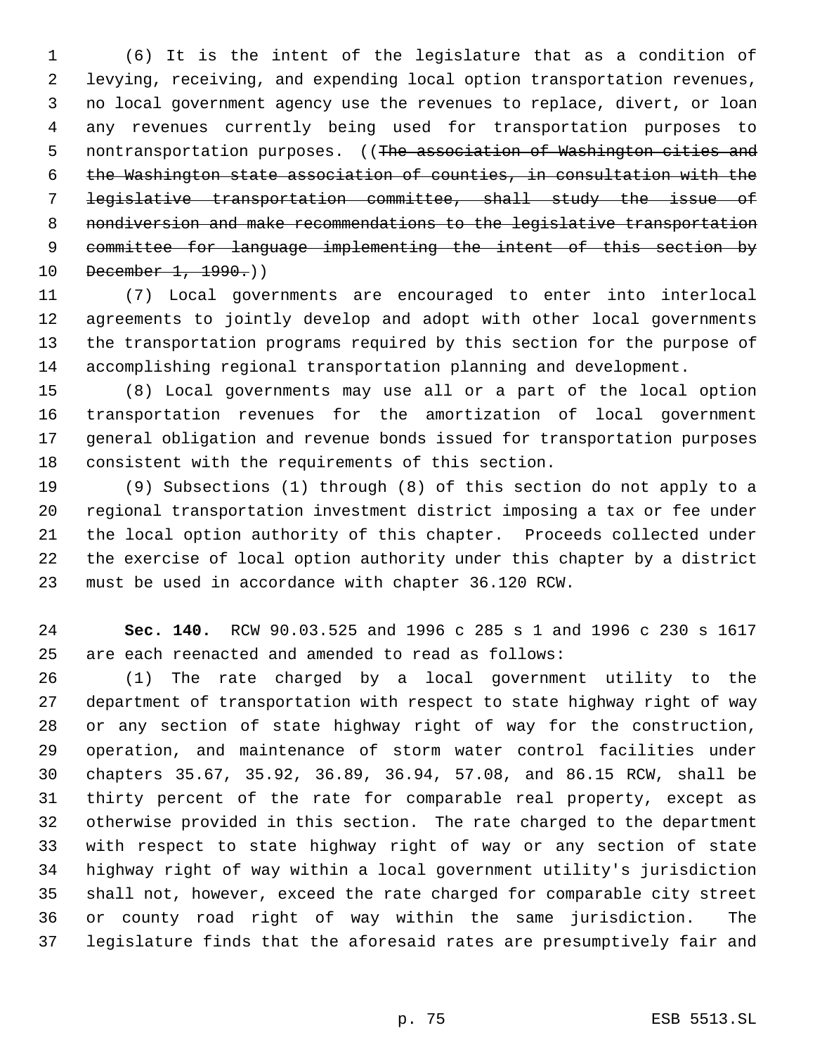(6) It is the intent of the legislature that as a condition of levying, receiving, and expending local option transportation revenues, no local government agency use the revenues to replace, divert, or loan any revenues currently being used for transportation purposes to 5 nontransportation purposes. ((The association of Washington cities and the Washington state association of counties, in consultation with the legislative transportation committee, shall study the issue of nondiversion and make recommendations to the legislative transportation committee for language implementing the intent of this section by 10 December 1, 1990.)

 (7) Local governments are encouraged to enter into interlocal agreements to jointly develop and adopt with other local governments the transportation programs required by this section for the purpose of accomplishing regional transportation planning and development.

 (8) Local governments may use all or a part of the local option transportation revenues for the amortization of local government general obligation and revenue bonds issued for transportation purposes consistent with the requirements of this section.

 (9) Subsections (1) through (8) of this section do not apply to a regional transportation investment district imposing a tax or fee under the local option authority of this chapter. Proceeds collected under the exercise of local option authority under this chapter by a district must be used in accordance with chapter 36.120 RCW.

 **Sec. 140.** RCW 90.03.525 and 1996 c 285 s 1 and 1996 c 230 s 1617 are each reenacted and amended to read as follows:

 (1) The rate charged by a local government utility to the department of transportation with respect to state highway right of way or any section of state highway right of way for the construction, operation, and maintenance of storm water control facilities under chapters 35.67, 35.92, 36.89, 36.94, 57.08, and 86.15 RCW, shall be thirty percent of the rate for comparable real property, except as otherwise provided in this section. The rate charged to the department with respect to state highway right of way or any section of state highway right of way within a local government utility's jurisdiction shall not, however, exceed the rate charged for comparable city street or county road right of way within the same jurisdiction. The legislature finds that the aforesaid rates are presumptively fair and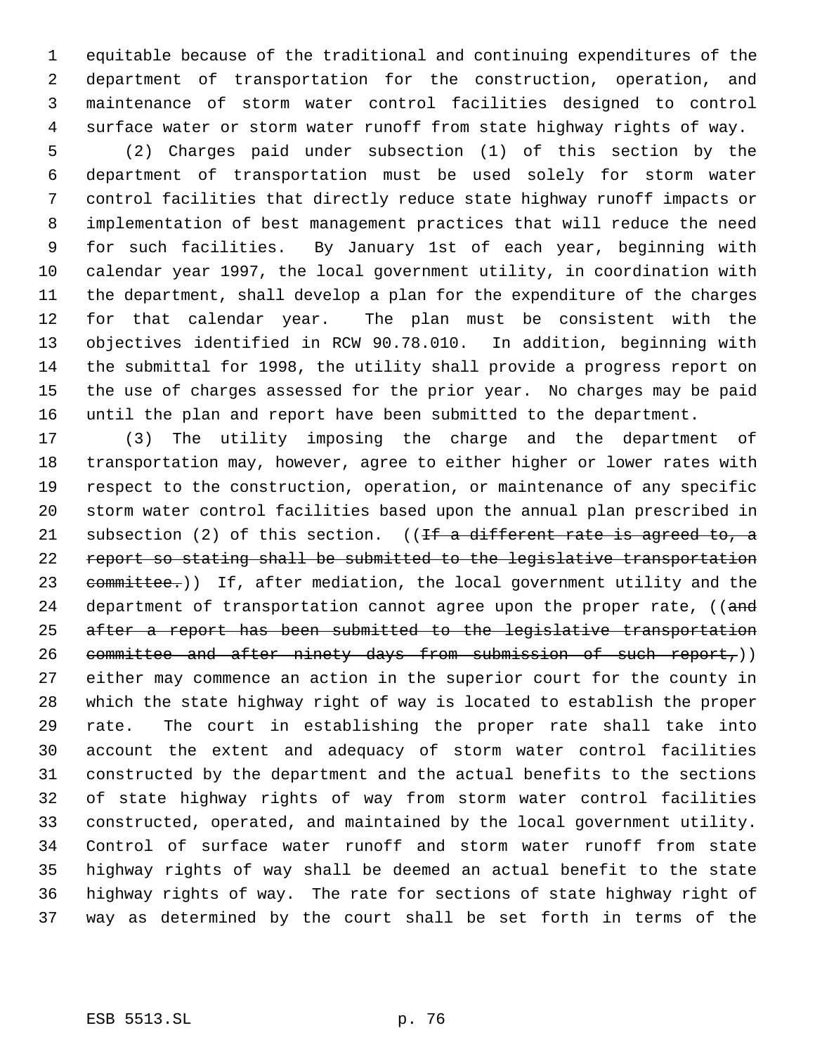equitable because of the traditional and continuing expenditures of the department of transportation for the construction, operation, and maintenance of storm water control facilities designed to control surface water or storm water runoff from state highway rights of way.

 (2) Charges paid under subsection (1) of this section by the department of transportation must be used solely for storm water control facilities that directly reduce state highway runoff impacts or implementation of best management practices that will reduce the need for such facilities. By January 1st of each year, beginning with calendar year 1997, the local government utility, in coordination with the department, shall develop a plan for the expenditure of the charges for that calendar year. The plan must be consistent with the objectives identified in RCW 90.78.010. In addition, beginning with the submittal for 1998, the utility shall provide a progress report on the use of charges assessed for the prior year. No charges may be paid until the plan and report have been submitted to the department.

 (3) The utility imposing the charge and the department of transportation may, however, agree to either higher or lower rates with respect to the construction, operation, or maintenance of any specific storm water control facilities based upon the annual plan prescribed in 21 subsection (2) of this section. (( $\pm f$  a different rate is agreed to, a report so stating shall be submitted to the legislative transportation 23 committee.)) If, after mediation, the local government utility and the 24 department of transportation cannot agree upon the proper rate, ((and after a report has been submitted to the legislative transportation 26 committee and after ninety days from submission of such report,)) either may commence an action in the superior court for the county in which the state highway right of way is located to establish the proper rate. The court in establishing the proper rate shall take into account the extent and adequacy of storm water control facilities constructed by the department and the actual benefits to the sections of state highway rights of way from storm water control facilities constructed, operated, and maintained by the local government utility. Control of surface water runoff and storm water runoff from state highway rights of way shall be deemed an actual benefit to the state highway rights of way. The rate for sections of state highway right of way as determined by the court shall be set forth in terms of the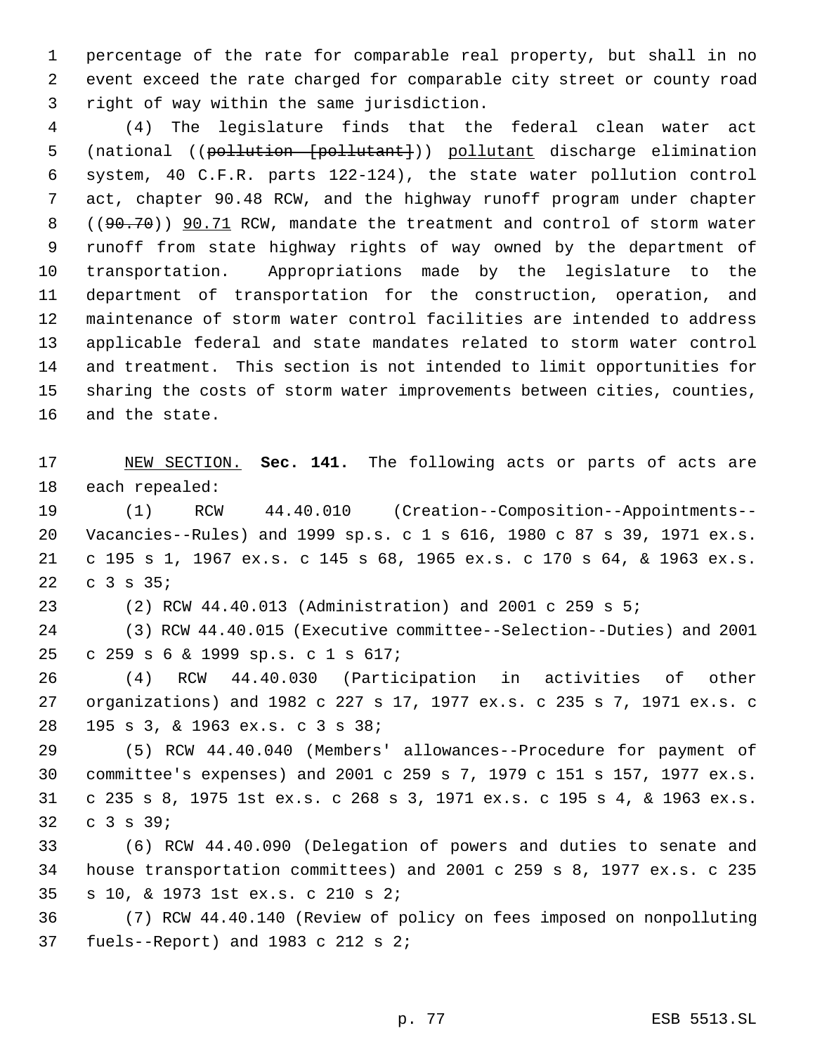percentage of the rate for comparable real property, but shall in no event exceed the rate charged for comparable city street or county road right of way within the same jurisdiction.

 (4) The legislature finds that the federal clean water act 5 (national ((pollution [pollutant])) pollutant discharge elimination system, 40 C.F.R. parts 122-124), the state water pollution control act, chapter 90.48 RCW, and the highway runoff program under chapter 8 ((90.70)) 90.71 RCW, mandate the treatment and control of storm water runoff from state highway rights of way owned by the department of transportation. Appropriations made by the legislature to the department of transportation for the construction, operation, and maintenance of storm water control facilities are intended to address applicable federal and state mandates related to storm water control and treatment. This section is not intended to limit opportunities for sharing the costs of storm water improvements between cities, counties, and the state.

 NEW SECTION. **Sec. 141.** The following acts or parts of acts are each repealed:

 (1) RCW 44.40.010 (Creation--Composition--Appointments-- Vacancies--Rules) and 1999 sp.s. c 1 s 616, 1980 c 87 s 39, 1971 ex.s. c 195 s 1, 1967 ex.s. c 145 s 68, 1965 ex.s. c 170 s 64, & 1963 ex.s. c 3 s 35;

(2) RCW 44.40.013 (Administration) and 2001 c 259 s 5;

 (3) RCW 44.40.015 (Executive committee--Selection--Duties) and 2001 c 259 s 6 & 1999 sp.s. c 1 s 617;

 (4) RCW 44.40.030 (Participation in activities of other organizations) and 1982 c 227 s 17, 1977 ex.s. c 235 s 7, 1971 ex.s. c 195 s 3, & 1963 ex.s. c 3 s 38;

 (5) RCW 44.40.040 (Members' allowances--Procedure for payment of committee's expenses) and 2001 c 259 s 7, 1979 c 151 s 157, 1977 ex.s. c 235 s 8, 1975 1st ex.s. c 268 s 3, 1971 ex.s. c 195 s 4, & 1963 ex.s. c 3 s 39;

 (6) RCW 44.40.090 (Delegation of powers and duties to senate and house transportation committees) and 2001 c 259 s 8, 1977 ex.s. c 235 s 10, & 1973 1st ex.s. c 210 s 2;

 (7) RCW 44.40.140 (Review of policy on fees imposed on nonpolluting fuels--Report) and 1983 c 212 s 2;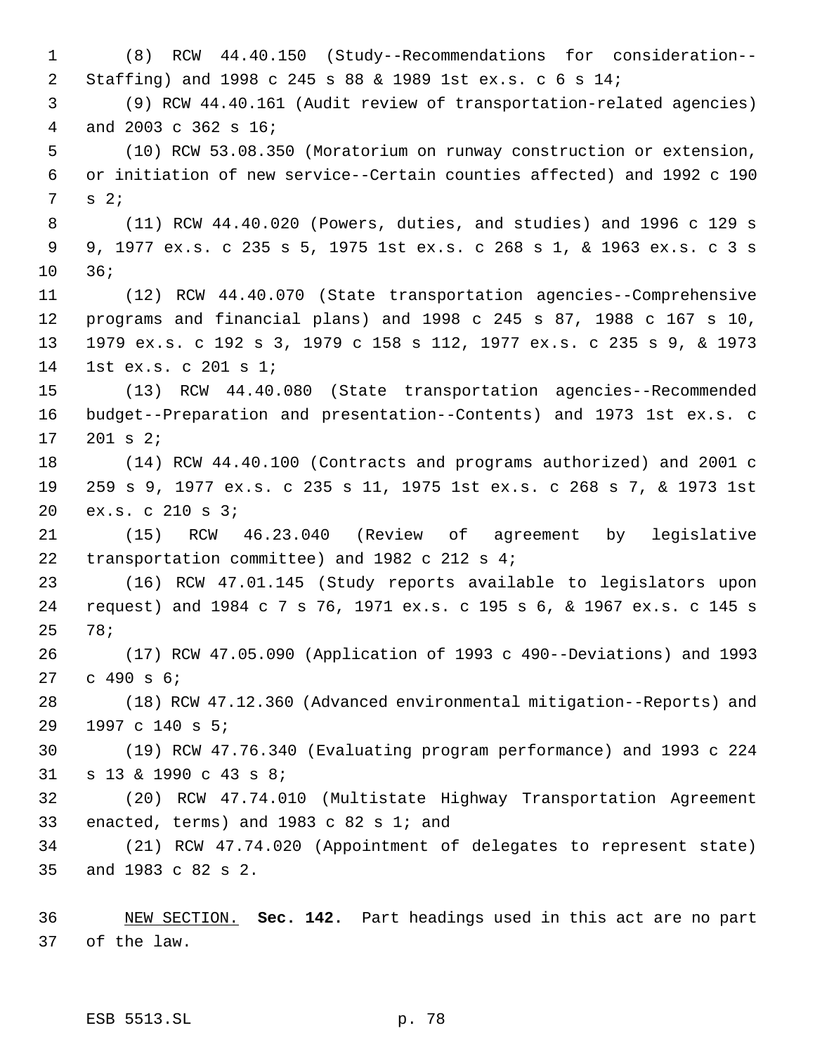(8) RCW 44.40.150 (Study--Recommendations for consideration-- Staffing) and 1998 c 245 s 88 & 1989 1st ex.s. c 6 s 14; (9) RCW 44.40.161 (Audit review of transportation-related agencies) and 2003 c 362 s 16; (10) RCW 53.08.350 (Moratorium on runway construction or extension, or initiation of new service--Certain counties affected) and 1992 c 190 s 2; (11) RCW 44.40.020 (Powers, duties, and studies) and 1996 c 129 s 9, 1977 ex.s. c 235 s 5, 1975 1st ex.s. c 268 s 1, & 1963 ex.s. c 3 s 36; (12) RCW 44.40.070 (State transportation agencies--Comprehensive programs and financial plans) and 1998 c 245 s 87, 1988 c 167 s 10, 1979 ex.s. c 192 s 3, 1979 c 158 s 112, 1977 ex.s. c 235 s 9, & 1973 1st ex.s. c 201 s 1; (13) RCW 44.40.080 (State transportation agencies--Recommended budget--Preparation and presentation--Contents) and 1973 1st ex.s. c 201 s 2; (14) RCW 44.40.100 (Contracts and programs authorized) and 2001 c 259 s 9, 1977 ex.s. c 235 s 11, 1975 1st ex.s. c 268 s 7, & 1973 1st ex.s. c 210 s 3; (15) RCW 46.23.040 (Review of agreement by legislative transportation committee) and 1982 c 212 s 4; (16) RCW 47.01.145 (Study reports available to legislators upon request) and 1984 c 7 s 76, 1971 ex.s. c 195 s 6, & 1967 ex.s. c 145 s 78; (17) RCW 47.05.090 (Application of 1993 c 490--Deviations) and 1993 c 490 s 6; (18) RCW 47.12.360 (Advanced environmental mitigation--Reports) and 1997 c 140 s 5; (19) RCW 47.76.340 (Evaluating program performance) and 1993 c 224 s 13 & 1990 c 43 s 8; (20) RCW 47.74.010 (Multistate Highway Transportation Agreement enacted, terms) and 1983 c 82 s 1; and (21) RCW 47.74.020 (Appointment of delegates to represent state) and 1983 c 82 s 2.

 NEW SECTION. **Sec. 142.** Part headings used in this act are no part of the law.